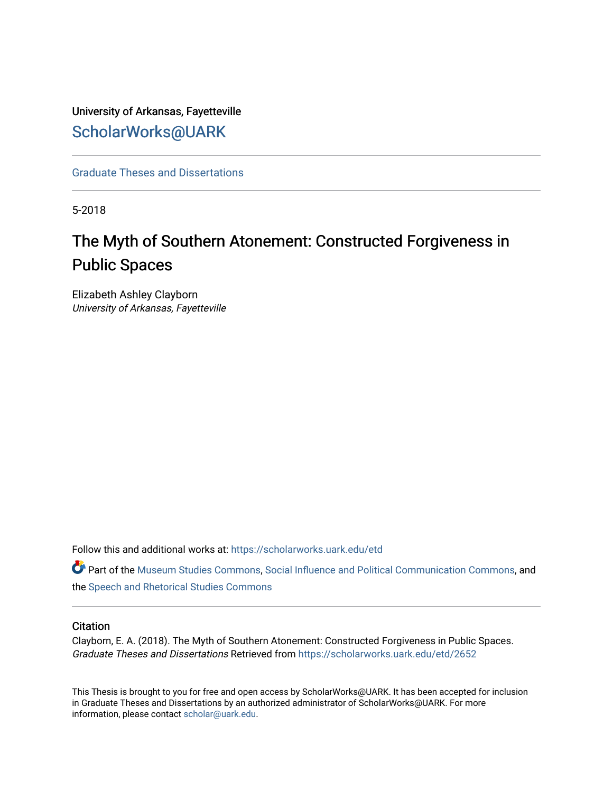# University of Arkansas, Fayetteville [ScholarWorks@UARK](https://scholarworks.uark.edu/)

[Graduate Theses and Dissertations](https://scholarworks.uark.edu/etd) 

5-2018

# The Myth of Southern Atonement: Constructed Forgiveness in Public Spaces

Elizabeth Ashley Clayborn University of Arkansas, Fayetteville

Follow this and additional works at: [https://scholarworks.uark.edu/etd](https://scholarworks.uark.edu/etd?utm_source=scholarworks.uark.edu%2Fetd%2F2652&utm_medium=PDF&utm_campaign=PDFCoverPages)

Part of the [Museum Studies Commons,](http://network.bepress.com/hgg/discipline/1366?utm_source=scholarworks.uark.edu%2Fetd%2F2652&utm_medium=PDF&utm_campaign=PDFCoverPages) [Social Influence and Political Communication Commons](http://network.bepress.com/hgg/discipline/337?utm_source=scholarworks.uark.edu%2Fetd%2F2652&utm_medium=PDF&utm_campaign=PDFCoverPages), and the [Speech and Rhetorical Studies Commons](http://network.bepress.com/hgg/discipline/338?utm_source=scholarworks.uark.edu%2Fetd%2F2652&utm_medium=PDF&utm_campaign=PDFCoverPages) 

# **Citation**

Clayborn, E. A. (2018). The Myth of Southern Atonement: Constructed Forgiveness in Public Spaces. Graduate Theses and Dissertations Retrieved from [https://scholarworks.uark.edu/etd/2652](https://scholarworks.uark.edu/etd/2652?utm_source=scholarworks.uark.edu%2Fetd%2F2652&utm_medium=PDF&utm_campaign=PDFCoverPages)

This Thesis is brought to you for free and open access by ScholarWorks@UARK. It has been accepted for inclusion in Graduate Theses and Dissertations by an authorized administrator of ScholarWorks@UARK. For more information, please contact [scholar@uark.edu.](mailto:scholar@uark.edu)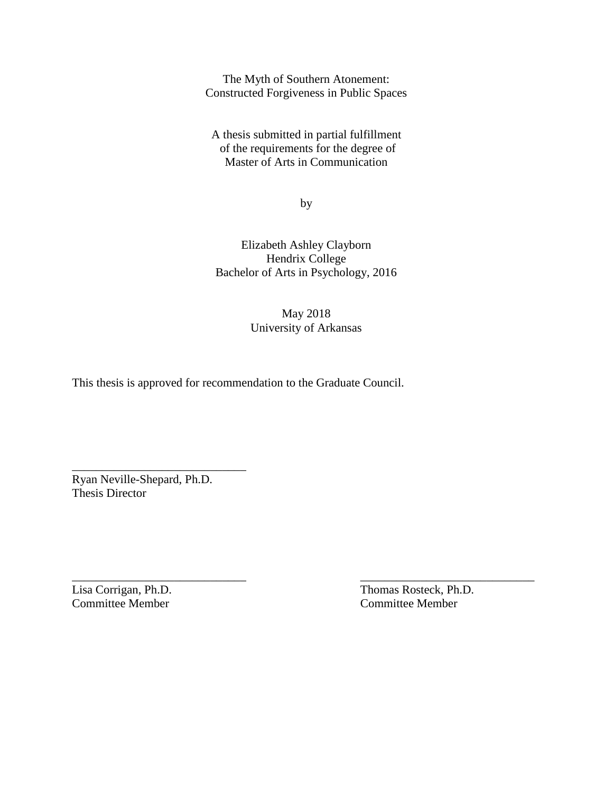The Myth of Southern Atonement: Constructed Forgiveness in Public Spaces

A thesis submitted in partial fulfillment of the requirements for the degree of Master of Arts in Communication

by

Elizabeth Ashley Clayborn Hendrix College Bachelor of Arts in Psychology, 2016

> May 2018 University of Arkansas

 $\overline{\phantom{a}}$  , and the contract of the contract of the contract of the contract of the contract of the contract of the contract of the contract of the contract of the contract of the contract of the contract of the contrac

This thesis is approved for recommendation to the Graduate Council.

Ryan Neville-Shepard, Ph.D. Thesis Director

\_\_\_\_\_\_\_\_\_\_\_\_\_\_\_\_\_\_\_\_\_\_\_\_\_\_\_\_\_

Lisa Corrigan, Ph.D. Thomas Rosteck, Ph.D. Committee Member Committee Member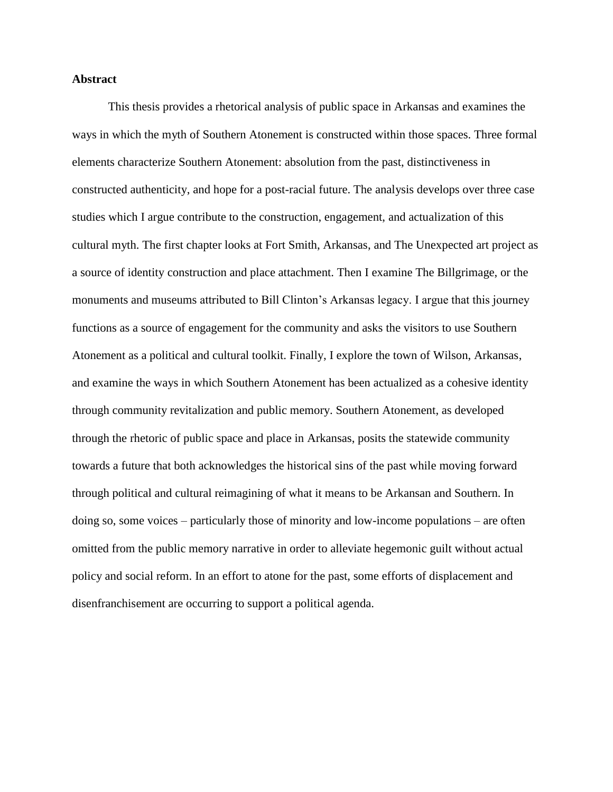# **Abstract**

This thesis provides a rhetorical analysis of public space in Arkansas and examines the ways in which the myth of Southern Atonement is constructed within those spaces. Three formal elements characterize Southern Atonement: absolution from the past, distinctiveness in constructed authenticity, and hope for a post-racial future. The analysis develops over three case studies which I argue contribute to the construction, engagement, and actualization of this cultural myth. The first chapter looks at Fort Smith, Arkansas, and The Unexpected art project as a source of identity construction and place attachment. Then I examine The Billgrimage, or the monuments and museums attributed to Bill Clinton's Arkansas legacy. I argue that this journey functions as a source of engagement for the community and asks the visitors to use Southern Atonement as a political and cultural toolkit. Finally, I explore the town of Wilson, Arkansas, and examine the ways in which Southern Atonement has been actualized as a cohesive identity through community revitalization and public memory. Southern Atonement, as developed through the rhetoric of public space and place in Arkansas, posits the statewide community towards a future that both acknowledges the historical sins of the past while moving forward through political and cultural reimagining of what it means to be Arkansan and Southern. In doing so, some voices – particularly those of minority and low-income populations – are often omitted from the public memory narrative in order to alleviate hegemonic guilt without actual policy and social reform. In an effort to atone for the past, some efforts of displacement and disenfranchisement are occurring to support a political agenda.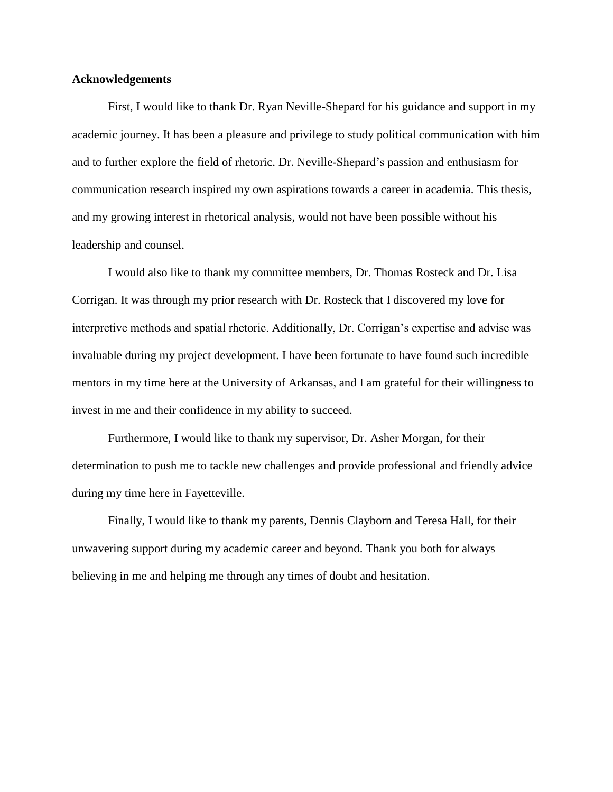# **Acknowledgements**

First, I would like to thank Dr. Ryan Neville-Shepard for his guidance and support in my academic journey. It has been a pleasure and privilege to study political communication with him and to further explore the field of rhetoric. Dr. Neville-Shepard's passion and enthusiasm for communication research inspired my own aspirations towards a career in academia. This thesis, and my growing interest in rhetorical analysis, would not have been possible without his leadership and counsel.

I would also like to thank my committee members, Dr. Thomas Rosteck and Dr. Lisa Corrigan. It was through my prior research with Dr. Rosteck that I discovered my love for interpretive methods and spatial rhetoric. Additionally, Dr. Corrigan's expertise and advise was invaluable during my project development. I have been fortunate to have found such incredible mentors in my time here at the University of Arkansas, and I am grateful for their willingness to invest in me and their confidence in my ability to succeed.

Furthermore, I would like to thank my supervisor, Dr. Asher Morgan, for their determination to push me to tackle new challenges and provide professional and friendly advice during my time here in Fayetteville.

Finally, I would like to thank my parents, Dennis Clayborn and Teresa Hall, for their unwavering support during my academic career and beyond. Thank you both for always believing in me and helping me through any times of doubt and hesitation.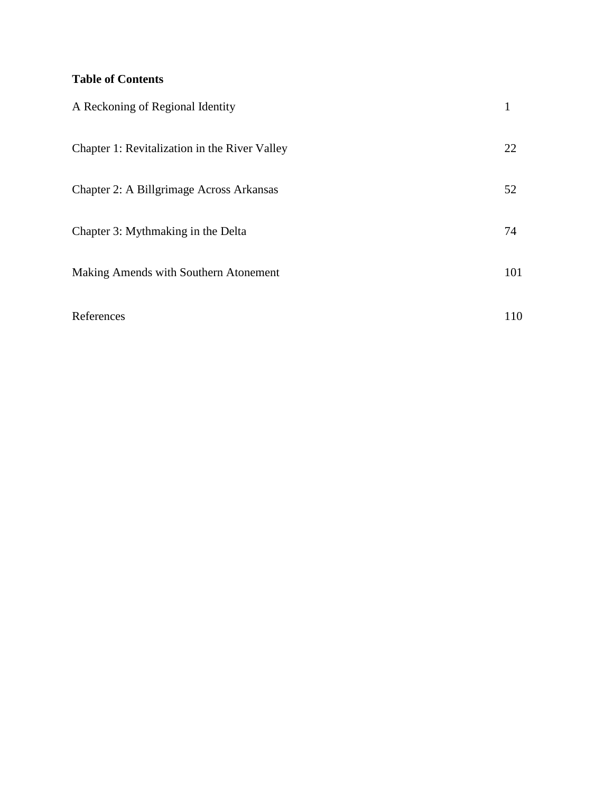# **Table of Contents**

| A Reckoning of Regional Identity              |     |
|-----------------------------------------------|-----|
| Chapter 1: Revitalization in the River Valley | 22  |
| Chapter 2: A Billgrimage Across Arkansas      | 52  |
| Chapter 3: Mythmaking in the Delta            | 74  |
| Making Amends with Southern Atonement         | 101 |
| References                                    | 110 |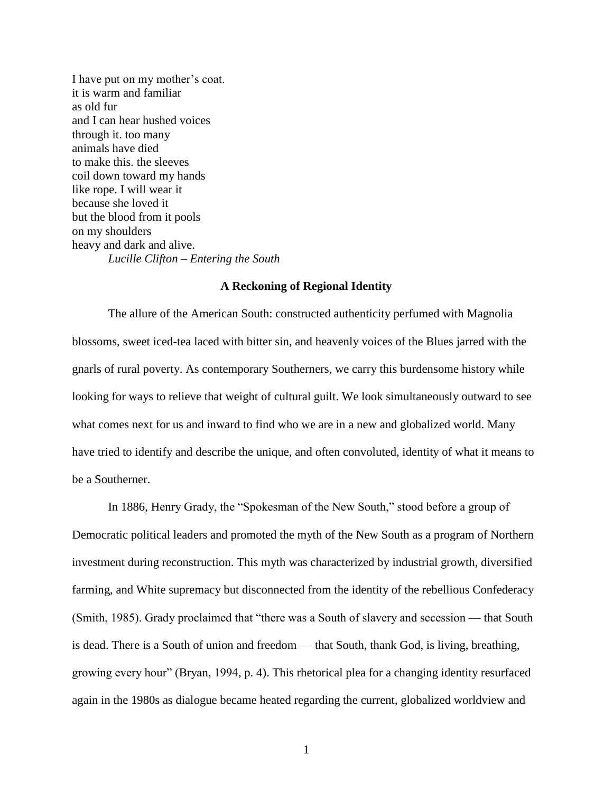I have put on my mother's coat. it is warm and familiar as old fur and I can hear hushed voices through it. too many animals have died to make this. the sleeves coil down toward my hands like rope. I will wear it because she loved it but the blood from it pools on my shoulders heavy and dark and alive. *Lucille Clifton – Entering the South*

# **A Reckoning of Regional Identity**

The allure of the American South: constructed authenticity perfumed with Magnolia blossoms, sweet iced-tea laced with bitter sin, and heavenly voices of the Blues jarred with the gnarls of rural poverty. As contemporary Southerners, we carry this burdensome history while looking for ways to relieve that weight of cultural guilt. We look simultaneously outward to see what comes next for us and inward to find who we are in a new and globalized world. Many have tried to identify and describe the unique, and often convoluted, identity of what it means to be a Southerner.

In 1886, Henry Grady, the "Spokesman of the New South," stood before a group of Democratic political leaders and promoted the myth of the New South as a program of Northern investment during reconstruction. This myth was characterized by industrial growth, diversified farming, and White supremacy but disconnected from the identity of the rebellious Confederacy (Smith, 1985). Grady proclaimed that "there was a South of slavery and secession — that South is dead. There is a South of union and freedom — that South, thank God, is living, breathing, growing every hour" (Bryan, 1994, p. 4). This rhetorical plea for a changing identity resurfaced again in the 1980s as dialogue became heated regarding the current, globalized worldview and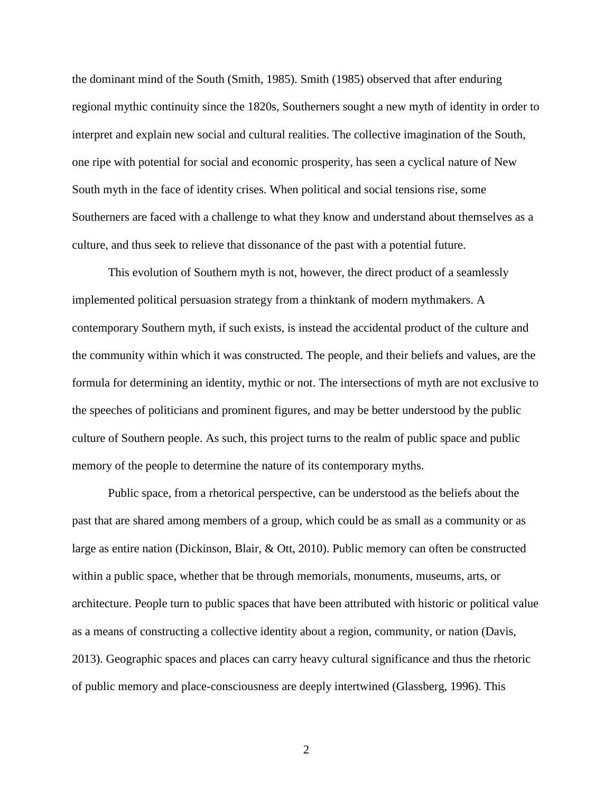the dominant mind of the South (Smith, 1985). Smith (1985) observed that after enduring regional mythic continuity since the 1820s, Southerners sought a new myth of identity in order to interpret and explain new social and cultural realities. The collective imagination of the South, one ripe with potential for social and economic prosperity, has seen a cyclical nature of New South myth in the face of identity crises. When political and social tensions rise, some Southerners are faced with a challenge to what they know and understand about themselves as a culture, and thus seek to relieve that dissonance of the past with a potential future.

This evolution of Southern myth is not, however, the direct product of a seamlessly implemented political persuasion strategy from a thinktank of modern mythmakers. A contemporary Southern myth, if such exists, is instead the accidental product of the culture and the community within which it was constructed. The people, and their beliefs and values, are the formula for determining an identity, mythic or not. The intersections of myth are not exclusive to the speeches of politicians and prominent figures, and may be better understood by the public culture of Southern people. As such, this project turns to the realm of public space and public memory of the people to determine the nature of its contemporary myths.

Public space, from a rhetorical perspective, can be understood as the beliefs about the past that are shared among members of a group, which could be as small as a community or as large as entire nation (Dickinson, Blair, & Ott, 2010). Public memory can often be constructed within a public space, whether that be through memorials, monuments, museums, arts, or architecture. People turn to public spaces that have been attributed with historic or political value as a means of constructing a collective identity about a region, community, or nation (Davis, 2013). Geographic spaces and places can carry heavy cultural significance and thus the rhetoric of public memory and place-consciousness are deeply intertwined (Glassberg, 1996). This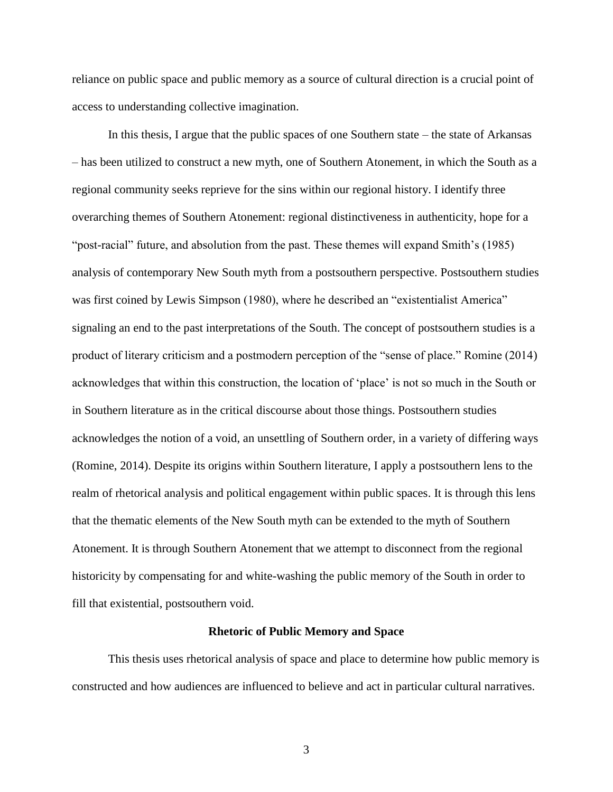reliance on public space and public memory as a source of cultural direction is a crucial point of access to understanding collective imagination.

In this thesis, I argue that the public spaces of one Southern state – the state of Arkansas – has been utilized to construct a new myth, one of Southern Atonement, in which the South as a regional community seeks reprieve for the sins within our regional history. I identify three overarching themes of Southern Atonement: regional distinctiveness in authenticity, hope for a "post-racial" future, and absolution from the past. These themes will expand Smith's (1985) analysis of contemporary New South myth from a postsouthern perspective. Postsouthern studies was first coined by Lewis Simpson (1980), where he described an "existentialist America" signaling an end to the past interpretations of the South. The concept of postsouthern studies is a product of literary criticism and a postmodern perception of the "sense of place." Romine (2014) acknowledges that within this construction, the location of 'place' is not so much in the South or in Southern literature as in the critical discourse about those things. Postsouthern studies acknowledges the notion of a void, an unsettling of Southern order, in a variety of differing ways (Romine, 2014). Despite its origins within Southern literature, I apply a postsouthern lens to the realm of rhetorical analysis and political engagement within public spaces. It is through this lens that the thematic elements of the New South myth can be extended to the myth of Southern Atonement. It is through Southern Atonement that we attempt to disconnect from the regional historicity by compensating for and white-washing the public memory of the South in order to fill that existential, postsouthern void.

#### **Rhetoric of Public Memory and Space**

This thesis uses rhetorical analysis of space and place to determine how public memory is constructed and how audiences are influenced to believe and act in particular cultural narratives.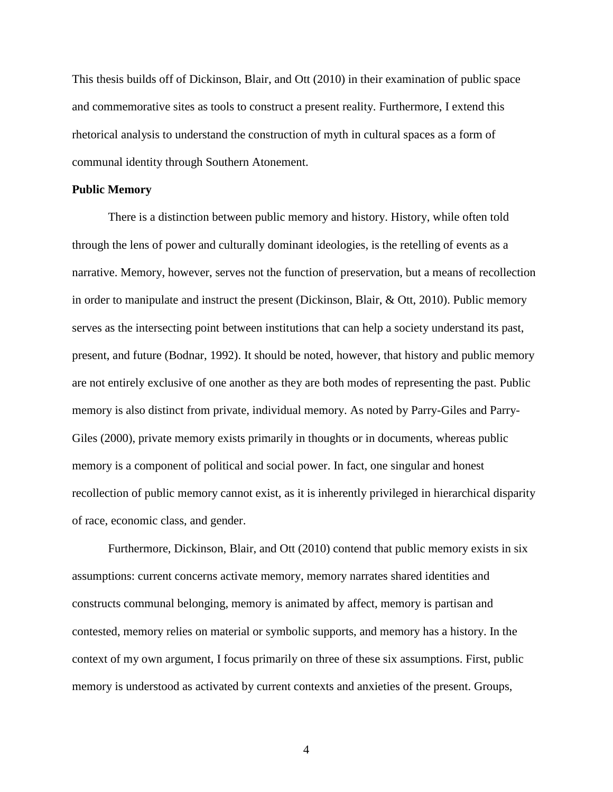This thesis builds off of Dickinson, Blair, and Ott (2010) in their examination of public space and commemorative sites as tools to construct a present reality. Furthermore, I extend this rhetorical analysis to understand the construction of myth in cultural spaces as a form of communal identity through Southern Atonement.

#### **Public Memory**

There is a distinction between public memory and history. History, while often told through the lens of power and culturally dominant ideologies, is the retelling of events as a narrative. Memory, however, serves not the function of preservation, but a means of recollection in order to manipulate and instruct the present (Dickinson, Blair, & Ott, 2010). Public memory serves as the intersecting point between institutions that can help a society understand its past, present, and future (Bodnar, 1992). It should be noted, however, that history and public memory are not entirely exclusive of one another as they are both modes of representing the past. Public memory is also distinct from private, individual memory. As noted by Parry-Giles and Parry-Giles (2000), private memory exists primarily in thoughts or in documents, whereas public memory is a component of political and social power. In fact, one singular and honest recollection of public memory cannot exist, as it is inherently privileged in hierarchical disparity of race, economic class, and gender.

Furthermore, Dickinson, Blair, and Ott (2010) contend that public memory exists in six assumptions: current concerns activate memory, memory narrates shared identities and constructs communal belonging, memory is animated by affect, memory is partisan and contested, memory relies on material or symbolic supports, and memory has a history. In the context of my own argument, I focus primarily on three of these six assumptions. First, public memory is understood as activated by current contexts and anxieties of the present. Groups,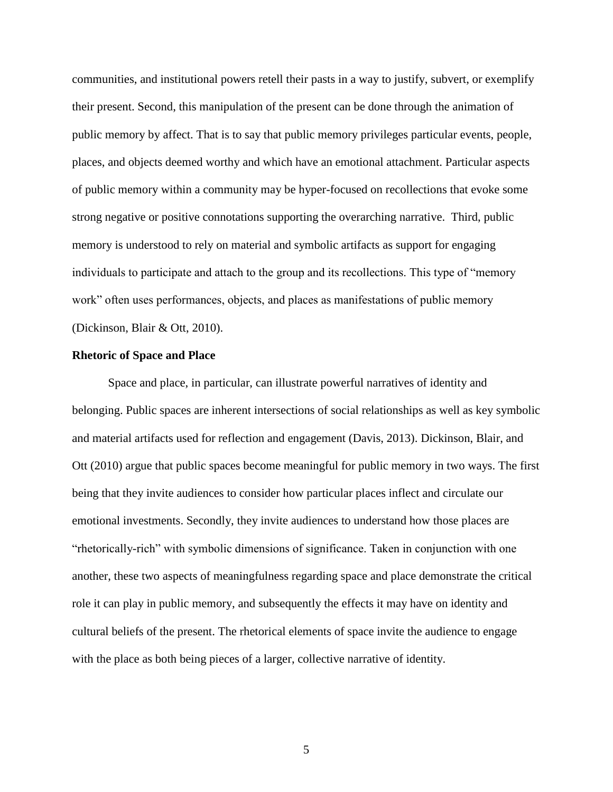communities, and institutional powers retell their pasts in a way to justify, subvert, or exemplify their present. Second, this manipulation of the present can be done through the animation of public memory by affect. That is to say that public memory privileges particular events, people, places, and objects deemed worthy and which have an emotional attachment. Particular aspects of public memory within a community may be hyper-focused on recollections that evoke some strong negative or positive connotations supporting the overarching narrative. Third, public memory is understood to rely on material and symbolic artifacts as support for engaging individuals to participate and attach to the group and its recollections. This type of "memory work" often uses performances, objects, and places as manifestations of public memory (Dickinson, Blair & Ott, 2010).

#### **Rhetoric of Space and Place**

Space and place, in particular, can illustrate powerful narratives of identity and belonging. Public spaces are inherent intersections of social relationships as well as key symbolic and material artifacts used for reflection and engagement (Davis, 2013). Dickinson, Blair, and Ott (2010) argue that public spaces become meaningful for public memory in two ways. The first being that they invite audiences to consider how particular places inflect and circulate our emotional investments. Secondly, they invite audiences to understand how those places are "rhetorically-rich" with symbolic dimensions of significance. Taken in conjunction with one another, these two aspects of meaningfulness regarding space and place demonstrate the critical role it can play in public memory, and subsequently the effects it may have on identity and cultural beliefs of the present. The rhetorical elements of space invite the audience to engage with the place as both being pieces of a larger, collective narrative of identity.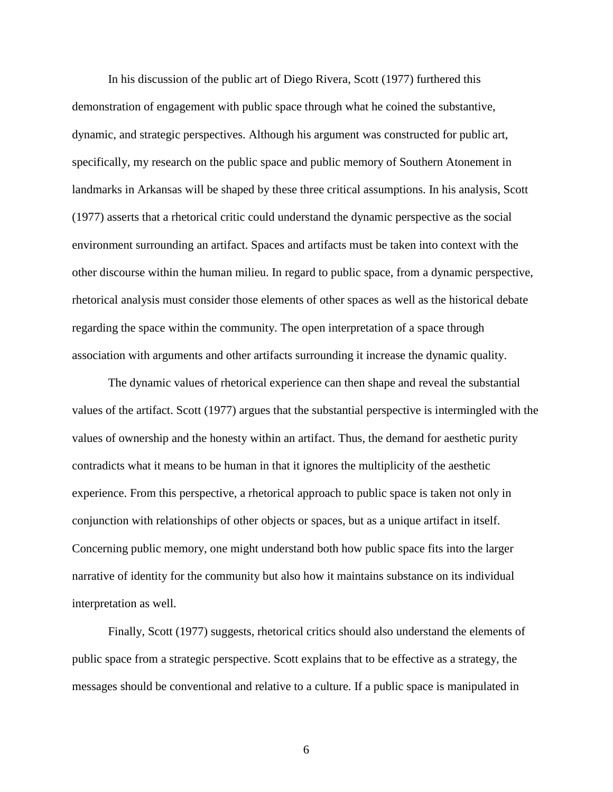In his discussion of the public art of Diego Rivera, Scott (1977) furthered this demonstration of engagement with public space through what he coined the substantive, dynamic, and strategic perspectives. Although his argument was constructed for public art, specifically, my research on the public space and public memory of Southern Atonement in landmarks in Arkansas will be shaped by these three critical assumptions. In his analysis, Scott (1977) asserts that a rhetorical critic could understand the dynamic perspective as the social environment surrounding an artifact. Spaces and artifacts must be taken into context with the other discourse within the human milieu. In regard to public space, from a dynamic perspective, rhetorical analysis must consider those elements of other spaces as well as the historical debate regarding the space within the community. The open interpretation of a space through association with arguments and other artifacts surrounding it increase the dynamic quality.

The dynamic values of rhetorical experience can then shape and reveal the substantial values of the artifact. Scott (1977) argues that the substantial perspective is intermingled with the values of ownership and the honesty within an artifact. Thus, the demand for aesthetic purity contradicts what it means to be human in that it ignores the multiplicity of the aesthetic experience. From this perspective, a rhetorical approach to public space is taken not only in conjunction with relationships of other objects or spaces, but as a unique artifact in itself. Concerning public memory, one might understand both how public space fits into the larger narrative of identity for the community but also how it maintains substance on its individual interpretation as well.

Finally, Scott (1977) suggests, rhetorical critics should also understand the elements of public space from a strategic perspective. Scott explains that to be effective as a strategy, the messages should be conventional and relative to a culture. If a public space is manipulated in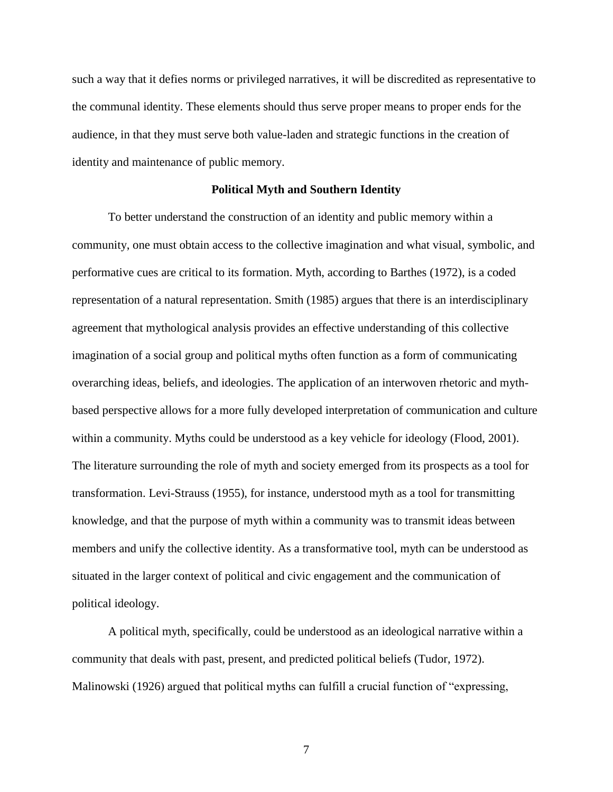such a way that it defies norms or privileged narratives, it will be discredited as representative to the communal identity. These elements should thus serve proper means to proper ends for the audience, in that they must serve both value-laden and strategic functions in the creation of identity and maintenance of public memory.

#### **Political Myth and Southern Identity**

To better understand the construction of an identity and public memory within a community, one must obtain access to the collective imagination and what visual, symbolic, and performative cues are critical to its formation. Myth, according to Barthes (1972), is a coded representation of a natural representation. Smith (1985) argues that there is an interdisciplinary agreement that mythological analysis provides an effective understanding of this collective imagination of a social group and political myths often function as a form of communicating overarching ideas, beliefs, and ideologies. The application of an interwoven rhetoric and mythbased perspective allows for a more fully developed interpretation of communication and culture within a community. Myths could be understood as a key vehicle for ideology (Flood, 2001). The literature surrounding the role of myth and society emerged from its prospects as a tool for transformation. Levi-Strauss (1955), for instance, understood myth as a tool for transmitting knowledge, and that the purpose of myth within a community was to transmit ideas between members and unify the collective identity. As a transformative tool, myth can be understood as situated in the larger context of political and civic engagement and the communication of political ideology.

A political myth, specifically, could be understood as an ideological narrative within a community that deals with past, present, and predicted political beliefs (Tudor, 1972). Malinowski (1926) argued that political myths can fulfill a crucial function of "expressing,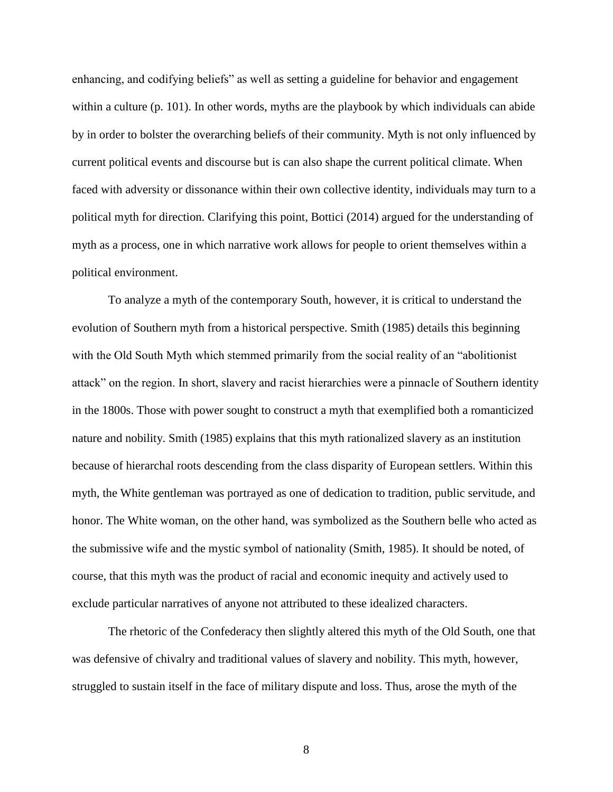enhancing, and codifying beliefs" as well as setting a guideline for behavior and engagement within a culture (p. 101). In other words, myths are the playbook by which individuals can abide by in order to bolster the overarching beliefs of their community. Myth is not only influenced by current political events and discourse but is can also shape the current political climate. When faced with adversity or dissonance within their own collective identity, individuals may turn to a political myth for direction. Clarifying this point, Bottici (2014) argued for the understanding of myth as a process, one in which narrative work allows for people to orient themselves within a political environment.

To analyze a myth of the contemporary South, however, it is critical to understand the evolution of Southern myth from a historical perspective. Smith (1985) details this beginning with the Old South Myth which stemmed primarily from the social reality of an "abolitionist attack" on the region. In short, slavery and racist hierarchies were a pinnacle of Southern identity in the 1800s. Those with power sought to construct a myth that exemplified both a romanticized nature and nobility. Smith (1985) explains that this myth rationalized slavery as an institution because of hierarchal roots descending from the class disparity of European settlers. Within this myth, the White gentleman was portrayed as one of dedication to tradition, public servitude, and honor. The White woman, on the other hand, was symbolized as the Southern belle who acted as the submissive wife and the mystic symbol of nationality (Smith, 1985). It should be noted, of course, that this myth was the product of racial and economic inequity and actively used to exclude particular narratives of anyone not attributed to these idealized characters.

The rhetoric of the Confederacy then slightly altered this myth of the Old South, one that was defensive of chivalry and traditional values of slavery and nobility. This myth, however, struggled to sustain itself in the face of military dispute and loss. Thus, arose the myth of the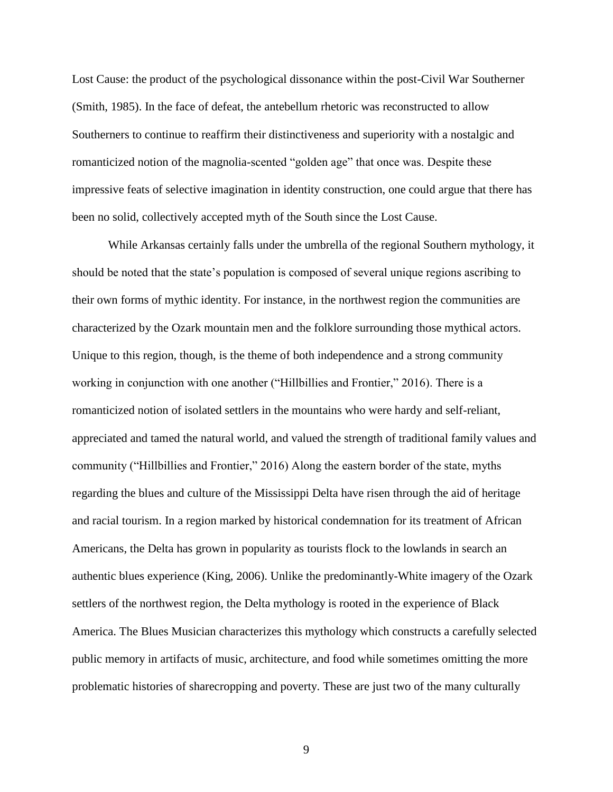Lost Cause: the product of the psychological dissonance within the post-Civil War Southerner (Smith, 1985). In the face of defeat, the antebellum rhetoric was reconstructed to allow Southerners to continue to reaffirm their distinctiveness and superiority with a nostalgic and romanticized notion of the magnolia-scented "golden age" that once was. Despite these impressive feats of selective imagination in identity construction, one could argue that there has been no solid, collectively accepted myth of the South since the Lost Cause.

While Arkansas certainly falls under the umbrella of the regional Southern mythology, it should be noted that the state's population is composed of several unique regions ascribing to their own forms of mythic identity. For instance, in the northwest region the communities are characterized by the Ozark mountain men and the folklore surrounding those mythical actors. Unique to this region, though, is the theme of both independence and a strong community working in conjunction with one another ("Hillbillies and Frontier," 2016). There is a romanticized notion of isolated settlers in the mountains who were hardy and self-reliant, appreciated and tamed the natural world, and valued the strength of traditional family values and community ("Hillbillies and Frontier," 2016) Along the eastern border of the state, myths regarding the blues and culture of the Mississippi Delta have risen through the aid of heritage and racial tourism. In a region marked by historical condemnation for its treatment of African Americans, the Delta has grown in popularity as tourists flock to the lowlands in search an authentic blues experience (King, 2006). Unlike the predominantly-White imagery of the Ozark settlers of the northwest region, the Delta mythology is rooted in the experience of Black America. The Blues Musician characterizes this mythology which constructs a carefully selected public memory in artifacts of music, architecture, and food while sometimes omitting the more problematic histories of sharecropping and poverty. These are just two of the many culturally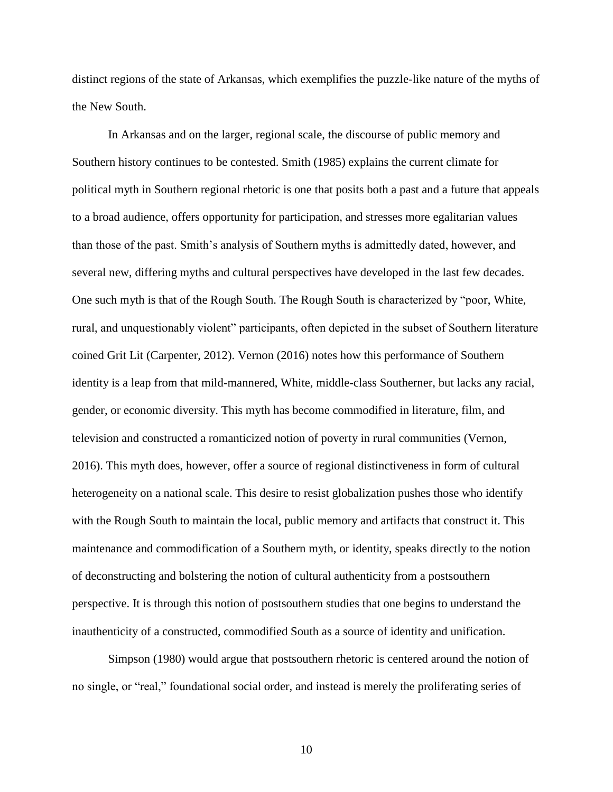distinct regions of the state of Arkansas, which exemplifies the puzzle-like nature of the myths of the New South.

In Arkansas and on the larger, regional scale, the discourse of public memory and Southern history continues to be contested. Smith (1985) explains the current climate for political myth in Southern regional rhetoric is one that posits both a past and a future that appeals to a broad audience, offers opportunity for participation, and stresses more egalitarian values than those of the past. Smith's analysis of Southern myths is admittedly dated, however, and several new, differing myths and cultural perspectives have developed in the last few decades. One such myth is that of the Rough South. The Rough South is characterized by "poor, White, rural, and unquestionably violent" participants, often depicted in the subset of Southern literature coined Grit Lit (Carpenter, 2012). Vernon (2016) notes how this performance of Southern identity is a leap from that mild-mannered, White, middle-class Southerner, but lacks any racial, gender, or economic diversity. This myth has become commodified in literature, film, and television and constructed a romanticized notion of poverty in rural communities (Vernon, 2016). This myth does, however, offer a source of regional distinctiveness in form of cultural heterogeneity on a national scale. This desire to resist globalization pushes those who identify with the Rough South to maintain the local, public memory and artifacts that construct it. This maintenance and commodification of a Southern myth, or identity, speaks directly to the notion of deconstructing and bolstering the notion of cultural authenticity from a postsouthern perspective. It is through this notion of postsouthern studies that one begins to understand the inauthenticity of a constructed, commodified South as a source of identity and unification.

Simpson (1980) would argue that postsouthern rhetoric is centered around the notion of no single, or "real," foundational social order, and instead is merely the proliferating series of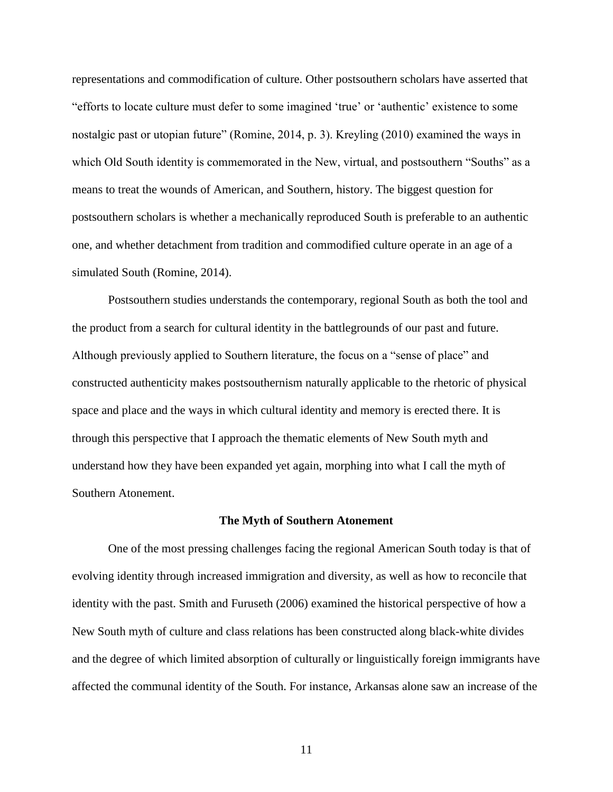representations and commodification of culture. Other postsouthern scholars have asserted that "efforts to locate culture must defer to some imagined 'true' or 'authentic' existence to some nostalgic past or utopian future" (Romine, 2014, p. 3). Kreyling (2010) examined the ways in which Old South identity is commemorated in the New, virtual, and postsouthern "Souths" as a means to treat the wounds of American, and Southern, history. The biggest question for postsouthern scholars is whether a mechanically reproduced South is preferable to an authentic one, and whether detachment from tradition and commodified culture operate in an age of a simulated South (Romine, 2014).

Postsouthern studies understands the contemporary, regional South as both the tool and the product from a search for cultural identity in the battlegrounds of our past and future. Although previously applied to Southern literature, the focus on a "sense of place" and constructed authenticity makes postsouthernism naturally applicable to the rhetoric of physical space and place and the ways in which cultural identity and memory is erected there. It is through this perspective that I approach the thematic elements of New South myth and understand how they have been expanded yet again, morphing into what I call the myth of Southern Atonement.

#### **The Myth of Southern Atonement**

One of the most pressing challenges facing the regional American South today is that of evolving identity through increased immigration and diversity, as well as how to reconcile that identity with the past. Smith and Furuseth (2006) examined the historical perspective of how a New South myth of culture and class relations has been constructed along black-white divides and the degree of which limited absorption of culturally or linguistically foreign immigrants have affected the communal identity of the South. For instance, Arkansas alone saw an increase of the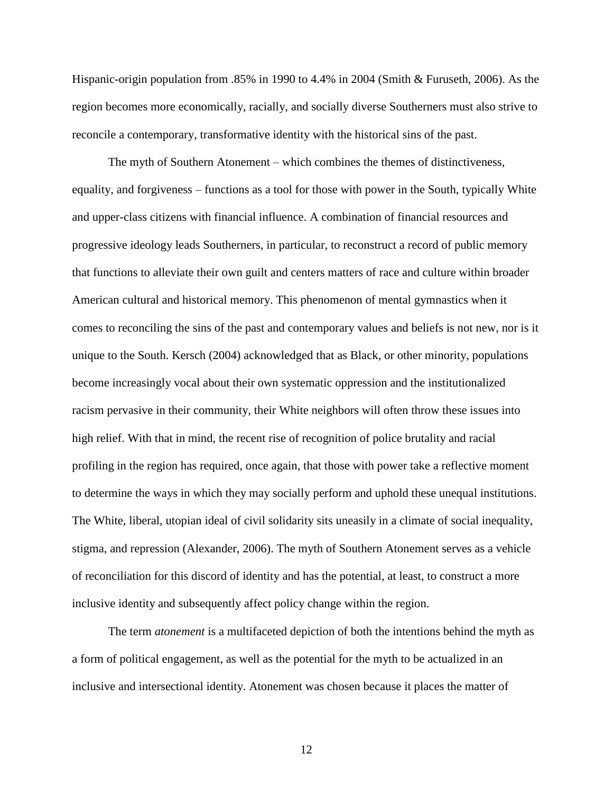Hispanic-origin population from .85% in 1990 to 4.4% in 2004 (Smith & Furuseth, 2006). As the region becomes more economically, racially, and socially diverse Southerners must also strive to reconcile a contemporary, transformative identity with the historical sins of the past.

The myth of Southern Atonement – which combines the themes of distinctiveness, equality, and forgiveness – functions as a tool for those with power in the South, typically White and upper-class citizens with financial influence. A combination of financial resources and progressive ideology leads Southerners, in particular, to reconstruct a record of public memory that functions to alleviate their own guilt and centers matters of race and culture within broader American cultural and historical memory. This phenomenon of mental gymnastics when it comes to reconciling the sins of the past and contemporary values and beliefs is not new, nor is it unique to the South. Kersch (2004) acknowledged that as Black, or other minority, populations become increasingly vocal about their own systematic oppression and the institutionalized racism pervasive in their community, their White neighbors will often throw these issues into high relief. With that in mind, the recent rise of recognition of police brutality and racial profiling in the region has required, once again, that those with power take a reflective moment to determine the ways in which they may socially perform and uphold these unequal institutions. The White, liberal, utopian ideal of civil solidarity sits uneasily in a climate of social inequality, stigma, and repression (Alexander, 2006). The myth of Southern Atonement serves as a vehicle of reconciliation for this discord of identity and has the potential, at least, to construct a more inclusive identity and subsequently affect policy change within the region.

The term *atonement* is a multifaceted depiction of both the intentions behind the myth as a form of political engagement, as well as the potential for the myth to be actualized in an inclusive and intersectional identity. Atonement was chosen because it places the matter of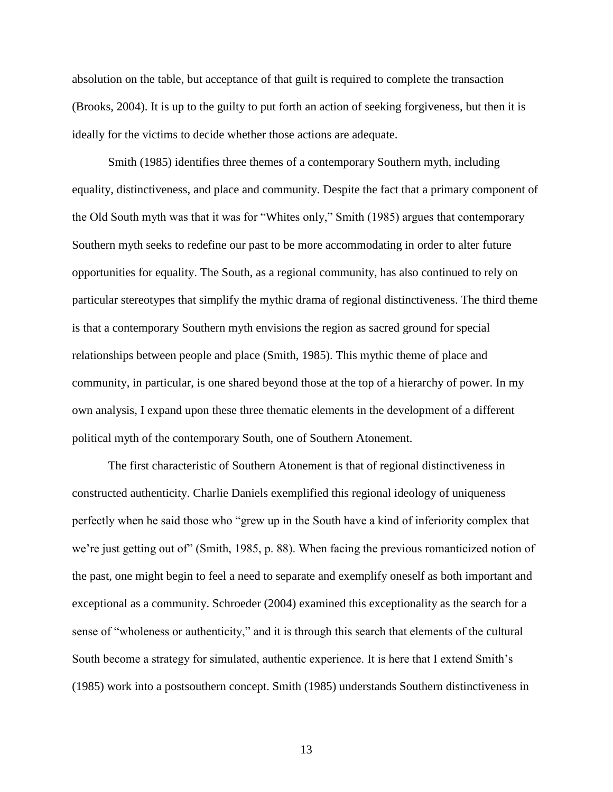absolution on the table, but acceptance of that guilt is required to complete the transaction (Brooks, 2004). It is up to the guilty to put forth an action of seeking forgiveness, but then it is ideally for the victims to decide whether those actions are adequate.

Smith (1985) identifies three themes of a contemporary Southern myth, including equality, distinctiveness, and place and community. Despite the fact that a primary component of the Old South myth was that it was for "Whites only," Smith (1985) argues that contemporary Southern myth seeks to redefine our past to be more accommodating in order to alter future opportunities for equality. The South, as a regional community, has also continued to rely on particular stereotypes that simplify the mythic drama of regional distinctiveness. The third theme is that a contemporary Southern myth envisions the region as sacred ground for special relationships between people and place (Smith, 1985). This mythic theme of place and community, in particular, is one shared beyond those at the top of a hierarchy of power. In my own analysis, I expand upon these three thematic elements in the development of a different political myth of the contemporary South, one of Southern Atonement.

The first characteristic of Southern Atonement is that of regional distinctiveness in constructed authenticity. Charlie Daniels exemplified this regional ideology of uniqueness perfectly when he said those who "grew up in the South have a kind of inferiority complex that we're just getting out of" (Smith, 1985, p. 88). When facing the previous romanticized notion of the past, one might begin to feel a need to separate and exemplify oneself as both important and exceptional as a community. Schroeder (2004) examined this exceptionality as the search for a sense of "wholeness or authenticity," and it is through this search that elements of the cultural South become a strategy for simulated, authentic experience. It is here that I extend Smith's (1985) work into a postsouthern concept. Smith (1985) understands Southern distinctiveness in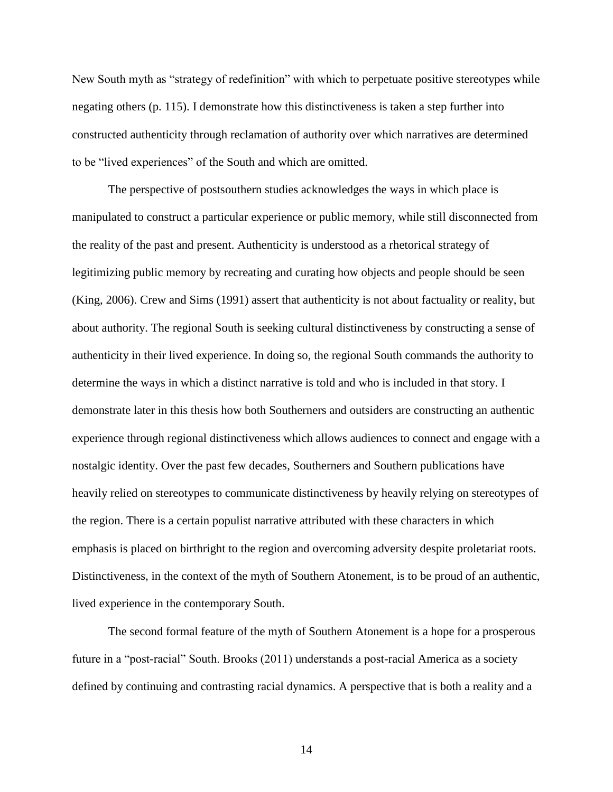New South myth as "strategy of redefinition" with which to perpetuate positive stereotypes while negating others (p. 115). I demonstrate how this distinctiveness is taken a step further into constructed authenticity through reclamation of authority over which narratives are determined to be "lived experiences" of the South and which are omitted.

The perspective of postsouthern studies acknowledges the ways in which place is manipulated to construct a particular experience or public memory, while still disconnected from the reality of the past and present. Authenticity is understood as a rhetorical strategy of legitimizing public memory by recreating and curating how objects and people should be seen (King, 2006). Crew and Sims (1991) assert that authenticity is not about factuality or reality, but about authority. The regional South is seeking cultural distinctiveness by constructing a sense of authenticity in their lived experience. In doing so, the regional South commands the authority to determine the ways in which a distinct narrative is told and who is included in that story. I demonstrate later in this thesis how both Southerners and outsiders are constructing an authentic experience through regional distinctiveness which allows audiences to connect and engage with a nostalgic identity. Over the past few decades, Southerners and Southern publications have heavily relied on stereotypes to communicate distinctiveness by heavily relying on stereotypes of the region. There is a certain populist narrative attributed with these characters in which emphasis is placed on birthright to the region and overcoming adversity despite proletariat roots. Distinctiveness, in the context of the myth of Southern Atonement, is to be proud of an authentic, lived experience in the contemporary South.

The second formal feature of the myth of Southern Atonement is a hope for a prosperous future in a "post-racial" South. Brooks (2011) understands a post-racial America as a society defined by continuing and contrasting racial dynamics. A perspective that is both a reality and a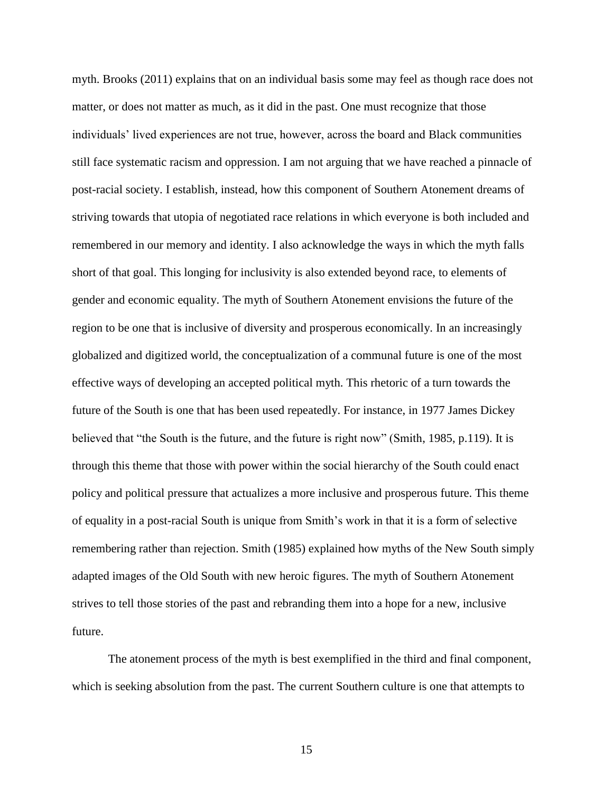myth. Brooks (2011) explains that on an individual basis some may feel as though race does not matter, or does not matter as much, as it did in the past. One must recognize that those individuals' lived experiences are not true, however, across the board and Black communities still face systematic racism and oppression. I am not arguing that we have reached a pinnacle of post-racial society. I establish, instead, how this component of Southern Atonement dreams of striving towards that utopia of negotiated race relations in which everyone is both included and remembered in our memory and identity. I also acknowledge the ways in which the myth falls short of that goal. This longing for inclusivity is also extended beyond race, to elements of gender and economic equality. The myth of Southern Atonement envisions the future of the region to be one that is inclusive of diversity and prosperous economically. In an increasingly globalized and digitized world, the conceptualization of a communal future is one of the most effective ways of developing an accepted political myth. This rhetoric of a turn towards the future of the South is one that has been used repeatedly. For instance, in 1977 James Dickey believed that "the South is the future, and the future is right now" (Smith, 1985, p.119). It is through this theme that those with power within the social hierarchy of the South could enact policy and political pressure that actualizes a more inclusive and prosperous future. This theme of equality in a post-racial South is unique from Smith's work in that it is a form of selective remembering rather than rejection. Smith (1985) explained how myths of the New South simply adapted images of the Old South with new heroic figures. The myth of Southern Atonement strives to tell those stories of the past and rebranding them into a hope for a new, inclusive future.

The atonement process of the myth is best exemplified in the third and final component, which is seeking absolution from the past. The current Southern culture is one that attempts to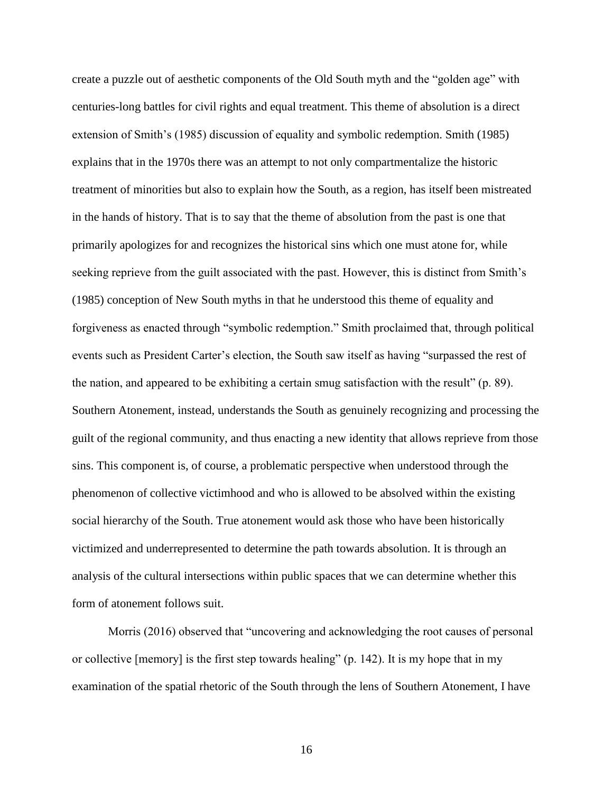create a puzzle out of aesthetic components of the Old South myth and the "golden age" with centuries-long battles for civil rights and equal treatment. This theme of absolution is a direct extension of Smith's (1985) discussion of equality and symbolic redemption. Smith (1985) explains that in the 1970s there was an attempt to not only compartmentalize the historic treatment of minorities but also to explain how the South, as a region, has itself been mistreated in the hands of history. That is to say that the theme of absolution from the past is one that primarily apologizes for and recognizes the historical sins which one must atone for, while seeking reprieve from the guilt associated with the past. However, this is distinct from Smith's (1985) conception of New South myths in that he understood this theme of equality and forgiveness as enacted through "symbolic redemption." Smith proclaimed that, through political events such as President Carter's election, the South saw itself as having "surpassed the rest of the nation, and appeared to be exhibiting a certain smug satisfaction with the result" (p. 89). Southern Atonement, instead, understands the South as genuinely recognizing and processing the guilt of the regional community, and thus enacting a new identity that allows reprieve from those sins. This component is, of course, a problematic perspective when understood through the phenomenon of collective victimhood and who is allowed to be absolved within the existing social hierarchy of the South. True atonement would ask those who have been historically victimized and underrepresented to determine the path towards absolution. It is through an analysis of the cultural intersections within public spaces that we can determine whether this form of atonement follows suit.

Morris (2016) observed that "uncovering and acknowledging the root causes of personal or collective [memory] is the first step towards healing" (p. 142). It is my hope that in my examination of the spatial rhetoric of the South through the lens of Southern Atonement, I have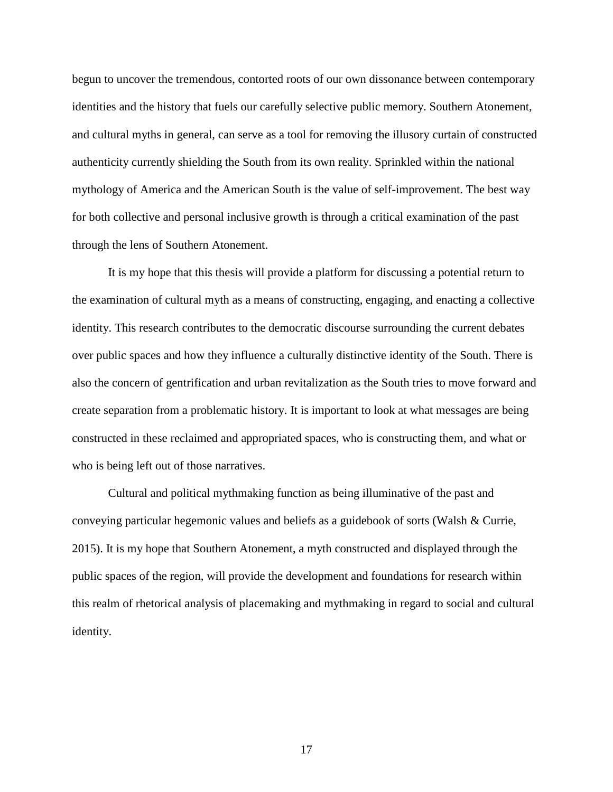begun to uncover the tremendous, contorted roots of our own dissonance between contemporary identities and the history that fuels our carefully selective public memory. Southern Atonement, and cultural myths in general, can serve as a tool for removing the illusory curtain of constructed authenticity currently shielding the South from its own reality. Sprinkled within the national mythology of America and the American South is the value of self-improvement. The best way for both collective and personal inclusive growth is through a critical examination of the past through the lens of Southern Atonement.

It is my hope that this thesis will provide a platform for discussing a potential return to the examination of cultural myth as a means of constructing, engaging, and enacting a collective identity. This research contributes to the democratic discourse surrounding the current debates over public spaces and how they influence a culturally distinctive identity of the South. There is also the concern of gentrification and urban revitalization as the South tries to move forward and create separation from a problematic history. It is important to look at what messages are being constructed in these reclaimed and appropriated spaces, who is constructing them, and what or who is being left out of those narratives.

Cultural and political mythmaking function as being illuminative of the past and conveying particular hegemonic values and beliefs as a guidebook of sorts (Walsh & Currie, 2015). It is my hope that Southern Atonement, a myth constructed and displayed through the public spaces of the region, will provide the development and foundations for research within this realm of rhetorical analysis of placemaking and mythmaking in regard to social and cultural identity.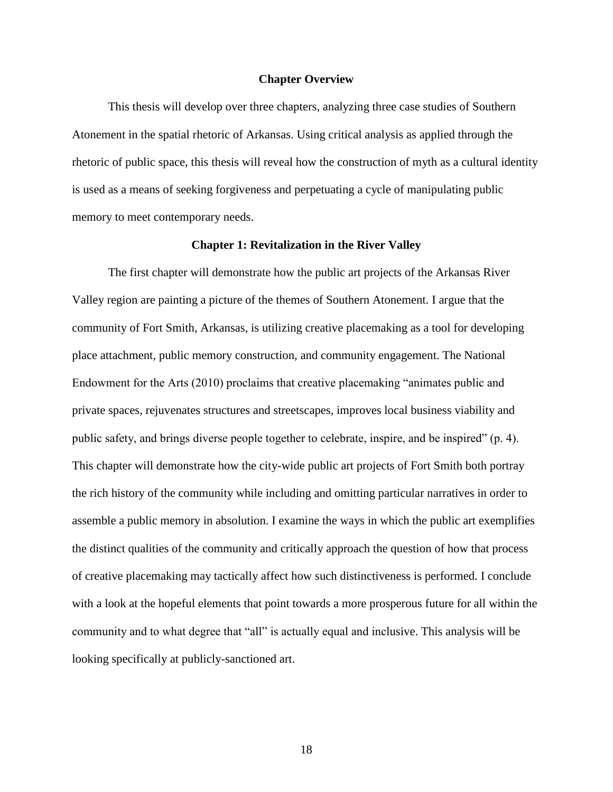#### **Chapter Overview**

This thesis will develop over three chapters, analyzing three case studies of Southern Atonement in the spatial rhetoric of Arkansas. Using critical analysis as applied through the rhetoric of public space, this thesis will reveal how the construction of myth as a cultural identity is used as a means of seeking forgiveness and perpetuating a cycle of manipulating public memory to meet contemporary needs.

# **Chapter 1: Revitalization in the River Valley**

The first chapter will demonstrate how the public art projects of the Arkansas River Valley region are painting a picture of the themes of Southern Atonement. I argue that the community of Fort Smith, Arkansas, is utilizing creative placemaking as a tool for developing place attachment, public memory construction, and community engagement. The National Endowment for the Arts (2010) proclaims that creative placemaking "animates public and private spaces, rejuvenates structures and streetscapes, improves local business viability and public safety, and brings diverse people together to celebrate, inspire, and be inspired" (p. 4). This chapter will demonstrate how the city-wide public art projects of Fort Smith both portray the rich history of the community while including and omitting particular narratives in order to assemble a public memory in absolution. I examine the ways in which the public art exemplifies the distinct qualities of the community and critically approach the question of how that process of creative placemaking may tactically affect how such distinctiveness is performed. I conclude with a look at the hopeful elements that point towards a more prosperous future for all within the community and to what degree that "all" is actually equal and inclusive. This analysis will be looking specifically at publicly-sanctioned art.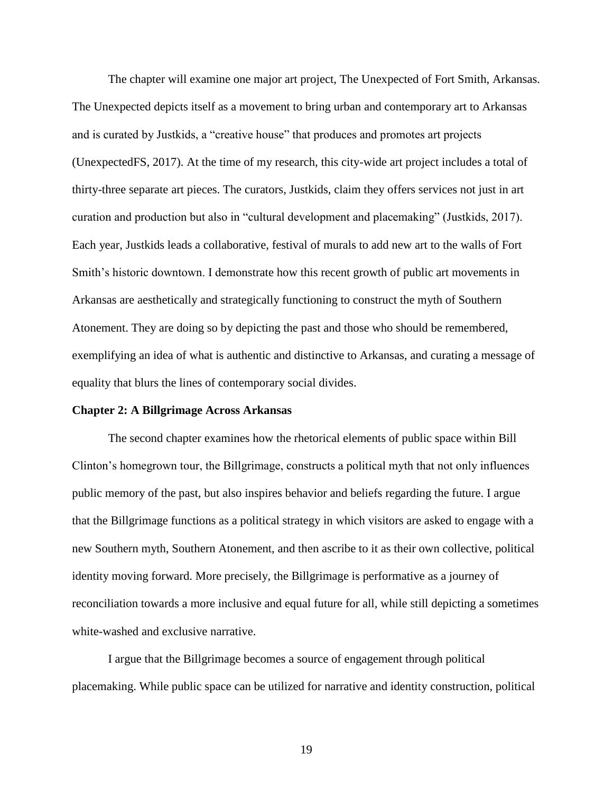The chapter will examine one major art project, The Unexpected of Fort Smith, Arkansas. The Unexpected depicts itself as a movement to bring urban and contemporary art to Arkansas and is curated by Justkids, a "creative house" that produces and promotes art projects (UnexpectedFS, 2017). At the time of my research, this city-wide art project includes a total of thirty-three separate art pieces. The curators, Justkids, claim they offers services not just in art curation and production but also in "cultural development and placemaking" (Justkids, 2017). Each year, Justkids leads a collaborative, festival of murals to add new art to the walls of Fort Smith's historic downtown. I demonstrate how this recent growth of public art movements in Arkansas are aesthetically and strategically functioning to construct the myth of Southern Atonement. They are doing so by depicting the past and those who should be remembered, exemplifying an idea of what is authentic and distinctive to Arkansas, and curating a message of equality that blurs the lines of contemporary social divides.

## **Chapter 2: A Billgrimage Across Arkansas**

The second chapter examines how the rhetorical elements of public space within Bill Clinton's homegrown tour, the Billgrimage, constructs a political myth that not only influences public memory of the past, but also inspires behavior and beliefs regarding the future. I argue that the Billgrimage functions as a political strategy in which visitors are asked to engage with a new Southern myth, Southern Atonement, and then ascribe to it as their own collective, political identity moving forward. More precisely, the Billgrimage is performative as a journey of reconciliation towards a more inclusive and equal future for all, while still depicting a sometimes white-washed and exclusive narrative.

I argue that the Billgrimage becomes a source of engagement through political placemaking. While public space can be utilized for narrative and identity construction, political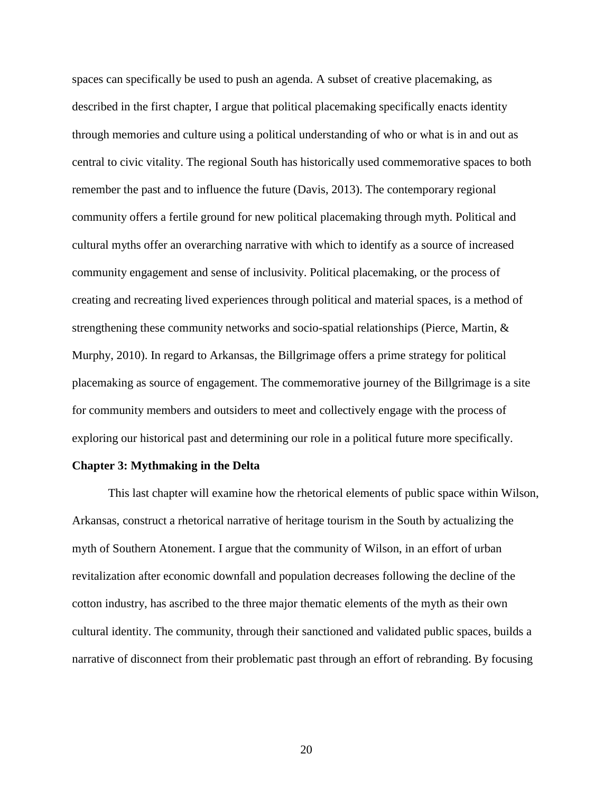spaces can specifically be used to push an agenda. A subset of creative placemaking, as described in the first chapter, I argue that political placemaking specifically enacts identity through memories and culture using a political understanding of who or what is in and out as central to civic vitality. The regional South has historically used commemorative spaces to both remember the past and to influence the future (Davis, 2013). The contemporary regional community offers a fertile ground for new political placemaking through myth. Political and cultural myths offer an overarching narrative with which to identify as a source of increased community engagement and sense of inclusivity. Political placemaking, or the process of creating and recreating lived experiences through political and material spaces, is a method of strengthening these community networks and socio-spatial relationships (Pierce, Martin, & Murphy, 2010). In regard to Arkansas, the Billgrimage offers a prime strategy for political placemaking as source of engagement. The commemorative journey of the Billgrimage is a site for community members and outsiders to meet and collectively engage with the process of exploring our historical past and determining our role in a political future more specifically.

#### **Chapter 3: Mythmaking in the Delta**

This last chapter will examine how the rhetorical elements of public space within Wilson, Arkansas, construct a rhetorical narrative of heritage tourism in the South by actualizing the myth of Southern Atonement. I argue that the community of Wilson, in an effort of urban revitalization after economic downfall and population decreases following the decline of the cotton industry, has ascribed to the three major thematic elements of the myth as their own cultural identity. The community, through their sanctioned and validated public spaces, builds a narrative of disconnect from their problematic past through an effort of rebranding. By focusing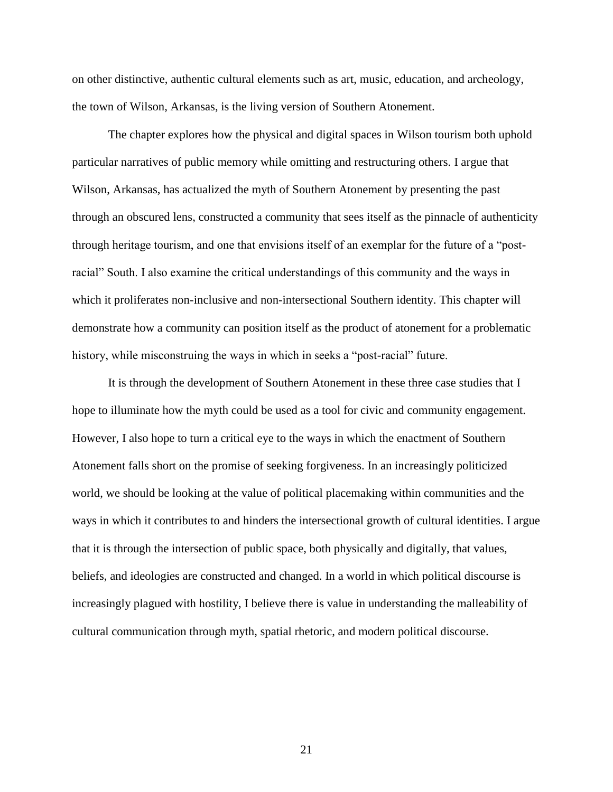on other distinctive, authentic cultural elements such as art, music, education, and archeology, the town of Wilson, Arkansas, is the living version of Southern Atonement.

The chapter explores how the physical and digital spaces in Wilson tourism both uphold particular narratives of public memory while omitting and restructuring others. I argue that Wilson, Arkansas, has actualized the myth of Southern Atonement by presenting the past through an obscured lens, constructed a community that sees itself as the pinnacle of authenticity through heritage tourism, and one that envisions itself of an exemplar for the future of a "postracial" South. I also examine the critical understandings of this community and the ways in which it proliferates non-inclusive and non-intersectional Southern identity. This chapter will demonstrate how a community can position itself as the product of atonement for a problematic history, while misconstruing the ways in which in seeks a "post-racial" future.

It is through the development of Southern Atonement in these three case studies that I hope to illuminate how the myth could be used as a tool for civic and community engagement. However, I also hope to turn a critical eye to the ways in which the enactment of Southern Atonement falls short on the promise of seeking forgiveness. In an increasingly politicized world, we should be looking at the value of political placemaking within communities and the ways in which it contributes to and hinders the intersectional growth of cultural identities. I argue that it is through the intersection of public space, both physically and digitally, that values, beliefs, and ideologies are constructed and changed. In a world in which political discourse is increasingly plagued with hostility, I believe there is value in understanding the malleability of cultural communication through myth, spatial rhetoric, and modern political discourse.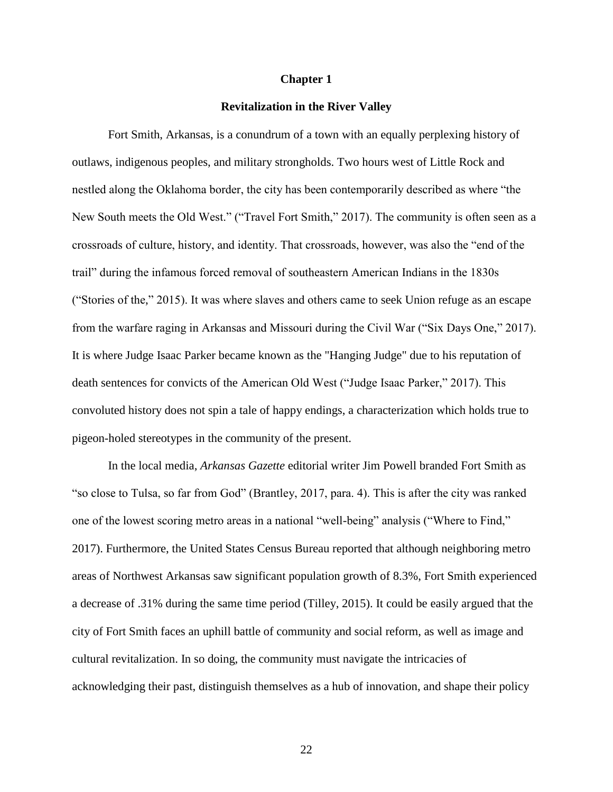#### **Chapter 1**

## **Revitalization in the River Valley**

Fort Smith, Arkansas, is a conundrum of a town with an equally perplexing history of outlaws, indigenous peoples, and military strongholds. Two hours west of Little Rock and nestled along the Oklahoma border, the city has been contemporarily described as where "the New South meets the Old West." ("Travel Fort Smith," 2017). The community is often seen as a crossroads of culture, history, and identity. That crossroads, however, was also the "end of the trail" during the infamous forced removal of southeastern American Indians in the 1830s ("Stories of the," 2015). It was where slaves and others came to seek Union refuge as an escape from the warfare raging in Arkansas and Missouri during the Civil War ("Six Days One," 2017). It is where Judge Isaac Parker became known as the "Hanging Judge" due to his reputation of death sentences for convicts of the American Old West ("Judge Isaac Parker," 2017). This convoluted history does not spin a tale of happy endings, a characterization which holds true to pigeon-holed stereotypes in the community of the present.

In the local media, *Arkansas Gazette* editorial writer Jim Powell branded Fort Smith as "so close to Tulsa, so far from God" (Brantley, 2017, para. 4). This is after the city was ranked one of the lowest scoring metro areas in a national "well-being" analysis ("Where to Find," 2017). Furthermore, the United States Census Bureau reported that although neighboring metro areas of Northwest Arkansas saw significant population growth of 8.3%, Fort Smith experienced a decrease of .31% during the same time period (Tilley, 2015). It could be easily argued that the city of Fort Smith faces an uphill battle of community and social reform, as well as image and cultural revitalization. In so doing, the community must navigate the intricacies of acknowledging their past, distinguish themselves as a hub of innovation, and shape their policy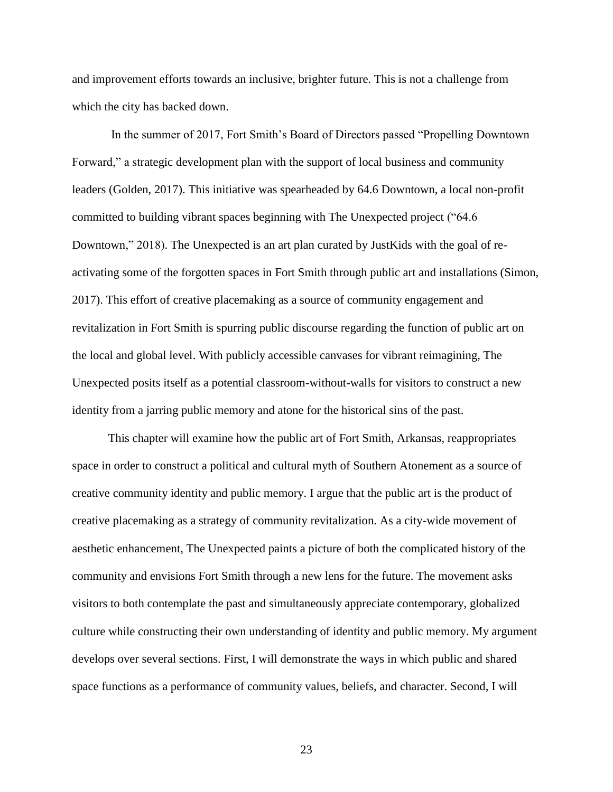and improvement efforts towards an inclusive, brighter future. This is not a challenge from which the city has backed down.

In the summer of 2017, Fort Smith's Board of Directors passed "Propelling Downtown Forward," a strategic development plan with the support of local business and community leaders (Golden, 2017). This initiative was spearheaded by 64.6 Downtown, a local non-profit committed to building vibrant spaces beginning with The Unexpected project ("64.6 Downtown," 2018). The Unexpected is an art plan curated by JustKids with the goal of reactivating some of the forgotten spaces in Fort Smith through public art and installations (Simon, 2017). This effort of creative placemaking as a source of community engagement and revitalization in Fort Smith is spurring public discourse regarding the function of public art on the local and global level. With publicly accessible canvases for vibrant reimagining, The Unexpected posits itself as a potential classroom-without-walls for visitors to construct a new identity from a jarring public memory and atone for the historical sins of the past.

This chapter will examine how the public art of Fort Smith, Arkansas, reappropriates space in order to construct a political and cultural myth of Southern Atonement as a source of creative community identity and public memory. I argue that the public art is the product of creative placemaking as a strategy of community revitalization. As a city-wide movement of aesthetic enhancement, The Unexpected paints a picture of both the complicated history of the community and envisions Fort Smith through a new lens for the future. The movement asks visitors to both contemplate the past and simultaneously appreciate contemporary, globalized culture while constructing their own understanding of identity and public memory. My argument develops over several sections. First, I will demonstrate the ways in which public and shared space functions as a performance of community values, beliefs, and character. Second, I will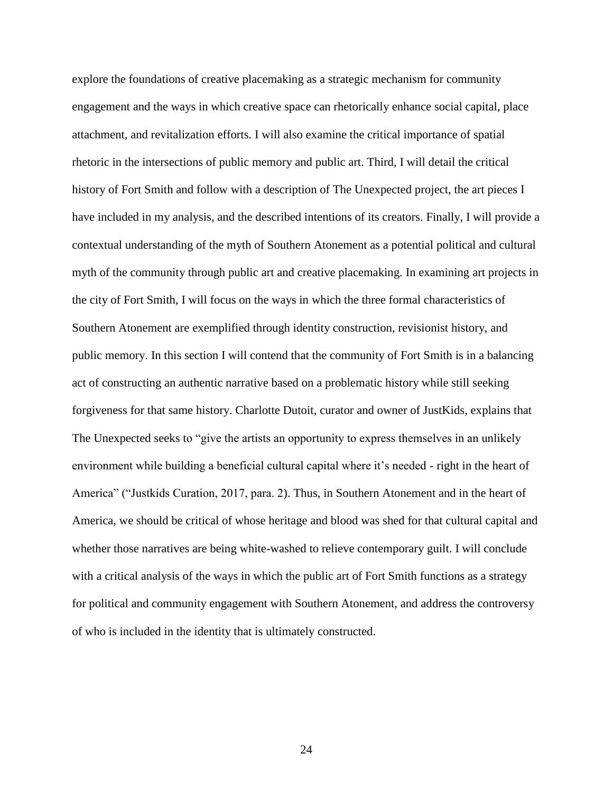explore the foundations of creative placemaking as a strategic mechanism for community engagement and the ways in which creative space can rhetorically enhance social capital, place attachment, and revitalization efforts. I will also examine the critical importance of spatial rhetoric in the intersections of public memory and public art. Third, I will detail the critical history of Fort Smith and follow with a description of The Unexpected project, the art pieces I have included in my analysis, and the described intentions of its creators. Finally, I will provide a contextual understanding of the myth of Southern Atonement as a potential political and cultural myth of the community through public art and creative placemaking. In examining art projects in the city of Fort Smith, I will focus on the ways in which the three formal characteristics of Southern Atonement are exemplified through identity construction, revisionist history, and public memory. In this section I will contend that the community of Fort Smith is in a balancing act of constructing an authentic narrative based on a problematic history while still seeking forgiveness for that same history. Charlotte Dutoit, curator and owner of JustKids, explains that The Unexpected seeks to "give the artists an opportunity to express themselves in an unlikely environment while building a beneficial cultural capital where it's needed - right in the heart of America" ("Justkids Curation, 2017, para. 2). Thus, in Southern Atonement and in the heart of America, we should be critical of whose heritage and blood was shed for that cultural capital and whether those narratives are being white-washed to relieve contemporary guilt. I will conclude with a critical analysis of the ways in which the public art of Fort Smith functions as a strategy for political and community engagement with Southern Atonement, and address the controversy of who is included in the identity that is ultimately constructed.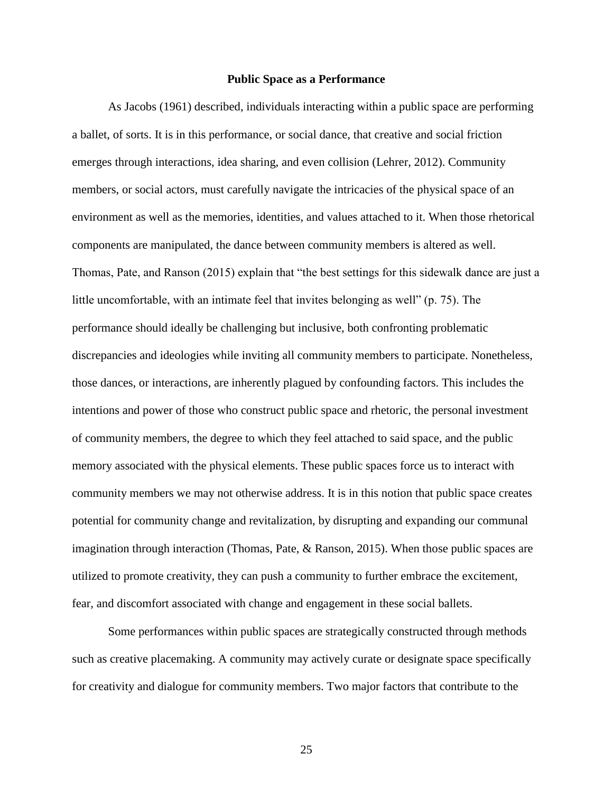#### **Public Space as a Performance**

As Jacobs (1961) described, individuals interacting within a public space are performing a ballet, of sorts. It is in this performance, or social dance, that creative and social friction emerges through interactions, idea sharing, and even collision (Lehrer, 2012). Community members, or social actors, must carefully navigate the intricacies of the physical space of an environment as well as the memories, identities, and values attached to it. When those rhetorical components are manipulated, the dance between community members is altered as well. Thomas, Pate, and Ranson (2015) explain that "the best settings for this sidewalk dance are just a little uncomfortable, with an intimate feel that invites belonging as well" (p. 75). The performance should ideally be challenging but inclusive, both confronting problematic discrepancies and ideologies while inviting all community members to participate. Nonetheless, those dances, or interactions, are inherently plagued by confounding factors. This includes the intentions and power of those who construct public space and rhetoric, the personal investment of community members, the degree to which they feel attached to said space, and the public memory associated with the physical elements. These public spaces force us to interact with community members we may not otherwise address. It is in this notion that public space creates potential for community change and revitalization, by disrupting and expanding our communal imagination through interaction (Thomas, Pate, & Ranson, 2015). When those public spaces are utilized to promote creativity, they can push a community to further embrace the excitement, fear, and discomfort associated with change and engagement in these social ballets.

Some performances within public spaces are strategically constructed through methods such as creative placemaking. A community may actively curate or designate space specifically for creativity and dialogue for community members. Two major factors that contribute to the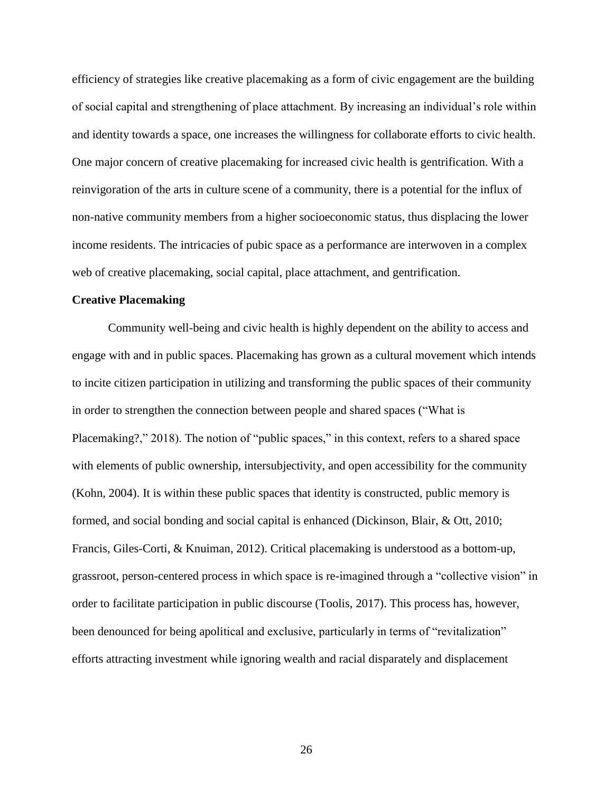efficiency of strategies like creative placemaking as a form of civic engagement are the building of social capital and strengthening of place attachment. By increasing an individual's role within and identity towards a space, one increases the willingness for collaborate efforts to civic health. One major concern of creative placemaking for increased civic health is gentrification. With a reinvigoration of the arts in culture scene of a community, there is a potential for the influx of non-native community members from a higher socioeconomic status, thus displacing the lower income residents. The intricacies of pubic space as a performance are interwoven in a complex web of creative placemaking, social capital, place attachment, and gentrification.

# **Creative Placemaking**

Community well-being and civic health is highly dependent on the ability to access and engage with and in public spaces. Placemaking has grown as a cultural movement which intends to incite citizen participation in utilizing and transforming the public spaces of their community in order to strengthen the connection between people and shared spaces ("What is Placemaking?," 2018). The notion of "public spaces," in this context, refers to a shared space with elements of public ownership, intersubjectivity, and open accessibility for the community (Kohn, 2004). It is within these public spaces that identity is constructed, public memory is formed, and social bonding and social capital is enhanced (Dickinson, Blair, & Ott, 2010; Francis, Giles-Corti, & Knuiman, 2012). Critical placemaking is understood as a bottom-up, grassroot, person-centered process in which space is re-imagined through a "collective vision" in order to facilitate participation in public discourse (Toolis, 2017). This process has, however, been denounced for being apolitical and exclusive, particularly in terms of "revitalization" efforts attracting investment while ignoring wealth and racial disparately and displacement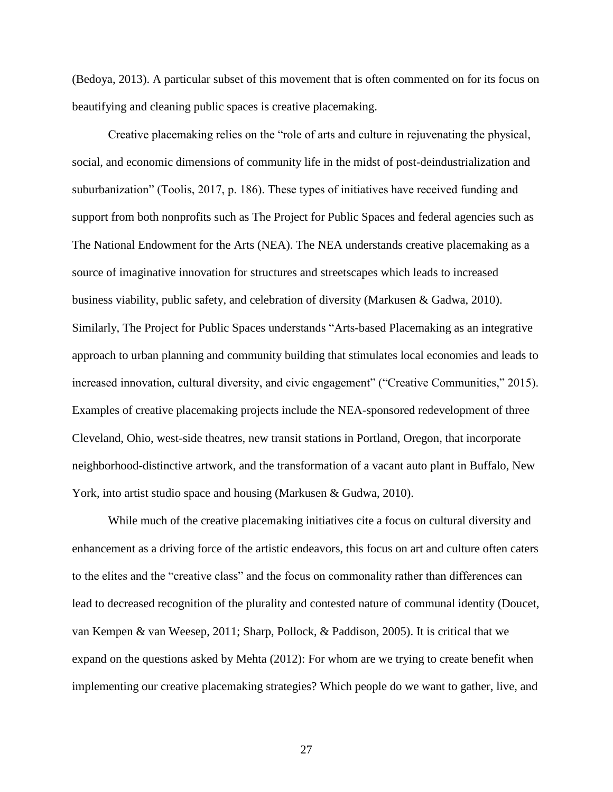(Bedoya, 2013). A particular subset of this movement that is often commented on for its focus on beautifying and cleaning public spaces is creative placemaking.

Creative placemaking relies on the "role of arts and culture in rejuvenating the physical, social, and economic dimensions of community life in the midst of post-deindustrialization and suburbanization" (Toolis, 2017, p. 186). These types of initiatives have received funding and support from both nonprofits such as The Project for Public Spaces and federal agencies such as The National Endowment for the Arts (NEA). The NEA understands creative placemaking as a source of imaginative innovation for structures and streetscapes which leads to increased business viability, public safety, and celebration of diversity (Markusen & Gadwa, 2010). Similarly, The Project for Public Spaces understands "Arts-based Placemaking as an integrative approach to urban planning and community building that stimulates local economies and leads to increased innovation, cultural diversity, and civic engagement" ("Creative Communities," 2015). Examples of creative placemaking projects include the NEA-sponsored redevelopment of three Cleveland, Ohio, west-side theatres, new transit stations in Portland, Oregon, that incorporate neighborhood-distinctive artwork, and the transformation of a vacant auto plant in Buffalo, New York, into artist studio space and housing (Markusen & Gudwa, 2010).

While much of the creative placemaking initiatives cite a focus on cultural diversity and enhancement as a driving force of the artistic endeavors, this focus on art and culture often caters to the elites and the "creative class" and the focus on commonality rather than differences can lead to decreased recognition of the plurality and contested nature of communal identity (Doucet, van Kempen & van Weesep, 2011; Sharp, Pollock, & Paddison, 2005). It is critical that we expand on the questions asked by Mehta (2012): For whom are we trying to create benefit when implementing our creative placemaking strategies? Which people do we want to gather, live, and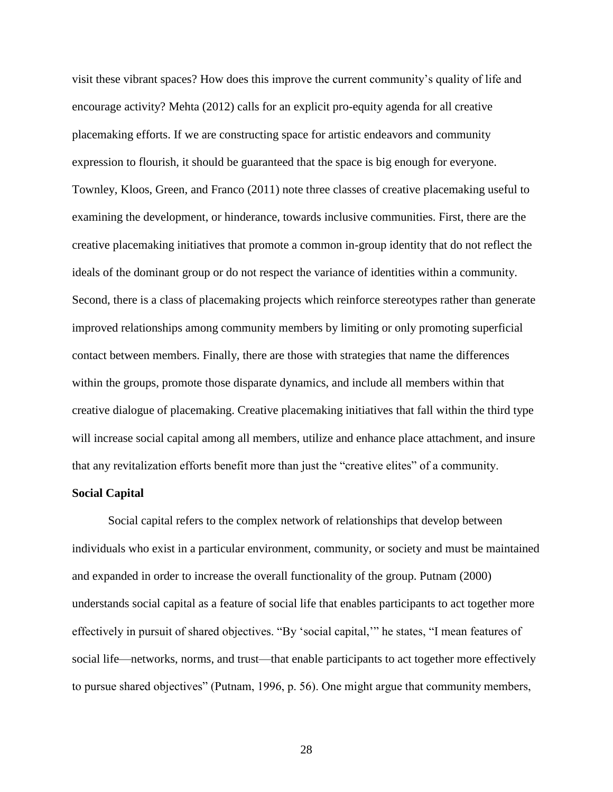visit these vibrant spaces? How does this improve the current community's quality of life and encourage activity? Mehta (2012) calls for an explicit pro-equity agenda for all creative placemaking efforts. If we are constructing space for artistic endeavors and community expression to flourish, it should be guaranteed that the space is big enough for everyone. Townley, Kloos, Green, and Franco (2011) note three classes of creative placemaking useful to examining the development, or hinderance, towards inclusive communities. First, there are the creative placemaking initiatives that promote a common in-group identity that do not reflect the ideals of the dominant group or do not respect the variance of identities within a community. Second, there is a class of placemaking projects which reinforce stereotypes rather than generate improved relationships among community members by limiting or only promoting superficial contact between members. Finally, there are those with strategies that name the differences within the groups, promote those disparate dynamics, and include all members within that creative dialogue of placemaking. Creative placemaking initiatives that fall within the third type will increase social capital among all members, utilize and enhance place attachment, and insure that any revitalization efforts benefit more than just the "creative elites" of a community.

# **Social Capital**

Social capital refers to the complex network of relationships that develop between individuals who exist in a particular environment, community, or society and must be maintained and expanded in order to increase the overall functionality of the group. Putnam (2000) understands social capital as a feature of social life that enables participants to act together more effectively in pursuit of shared objectives. "By 'social capital,'" he states, "I mean features of social life—networks, norms, and trust—that enable participants to act together more effectively to pursue shared objectives" (Putnam, 1996, p. 56). One might argue that community members,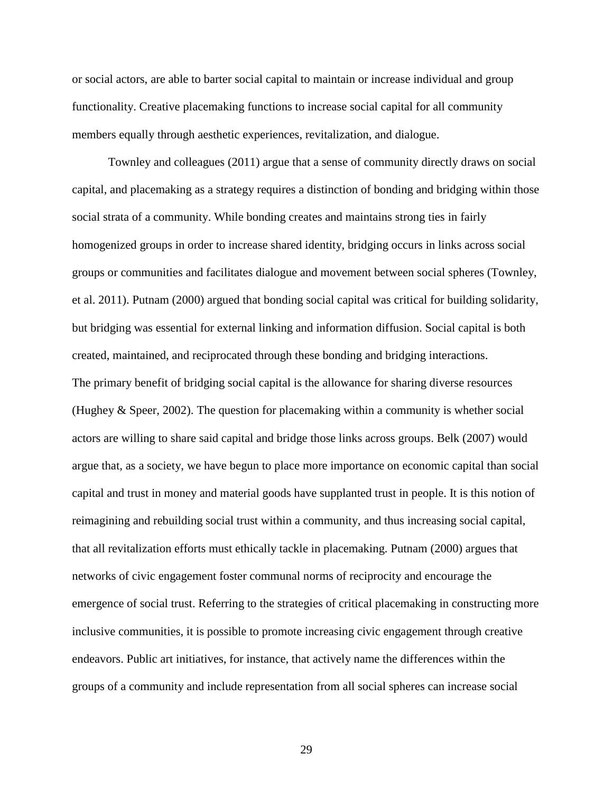or social actors, are able to barter social capital to maintain or increase individual and group functionality. Creative placemaking functions to increase social capital for all community members equally through aesthetic experiences, revitalization, and dialogue.

Townley and colleagues (2011) argue that a sense of community directly draws on social capital, and placemaking as a strategy requires a distinction of bonding and bridging within those social strata of a community. While bonding creates and maintains strong ties in fairly homogenized groups in order to increase shared identity, bridging occurs in links across social groups or communities and facilitates dialogue and movement between social spheres (Townley, et al. 2011). Putnam (2000) argued that bonding social capital was critical for building solidarity, but bridging was essential for external linking and information diffusion. Social capital is both created, maintained, and reciprocated through these bonding and bridging interactions. The primary benefit of bridging social capital is the allowance for sharing diverse resources (Hughey & Speer, 2002). The question for placemaking within a community is whether social actors are willing to share said capital and bridge those links across groups. Belk (2007) would argue that, as a society, we have begun to place more importance on economic capital than social capital and trust in money and material goods have supplanted trust in people. It is this notion of reimagining and rebuilding social trust within a community, and thus increasing social capital, that all revitalization efforts must ethically tackle in placemaking. Putnam (2000) argues that networks of civic engagement foster communal norms of reciprocity and encourage the emergence of social trust. Referring to the strategies of critical placemaking in constructing more inclusive communities, it is possible to promote increasing civic engagement through creative endeavors. Public art initiatives, for instance, that actively name the differences within the groups of a community and include representation from all social spheres can increase social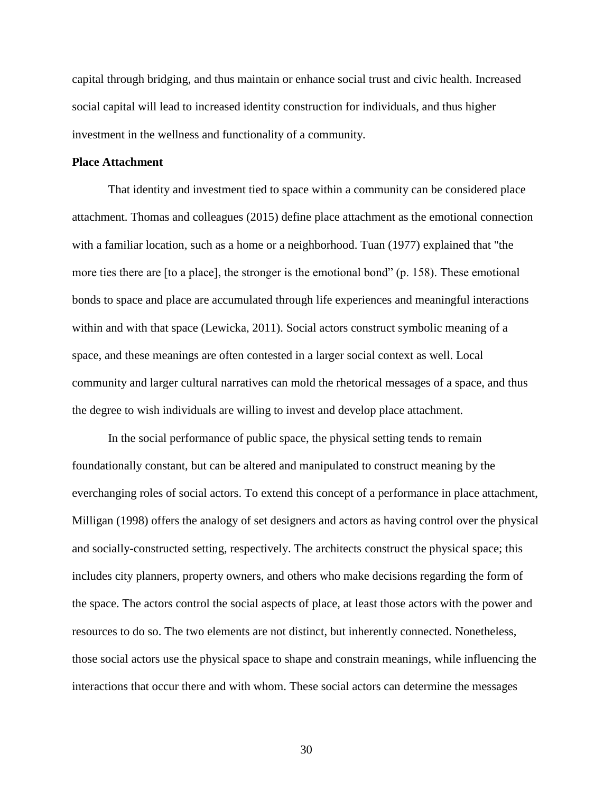capital through bridging, and thus maintain or enhance social trust and civic health. Increased social capital will lead to increased identity construction for individuals, and thus higher investment in the wellness and functionality of a community.

# **Place Attachment**

That identity and investment tied to space within a community can be considered place attachment. Thomas and colleagues (2015) define place attachment as the emotional connection with a familiar location, such as a home or a neighborhood. Tuan (1977) explained that "the more ties there are [to a place], the stronger is the emotional bond" (p. 158). These emotional bonds to space and place are accumulated through life experiences and meaningful interactions within and with that space (Lewicka, 2011). Social actors construct symbolic meaning of a space, and these meanings are often contested in a larger social context as well. Local community and larger cultural narratives can mold the rhetorical messages of a space, and thus the degree to wish individuals are willing to invest and develop place attachment.

In the social performance of public space, the physical setting tends to remain foundationally constant, but can be altered and manipulated to construct meaning by the everchanging roles of social actors. To extend this concept of a performance in place attachment, Milligan (1998) offers the analogy of set designers and actors as having control over the physical and socially-constructed setting, respectively. The architects construct the physical space; this includes city planners, property owners, and others who make decisions regarding the form of the space. The actors control the social aspects of place, at least those actors with the power and resources to do so. The two elements are not distinct, but inherently connected. Nonetheless, those social actors use the physical space to shape and constrain meanings, while influencing the interactions that occur there and with whom. These social actors can determine the messages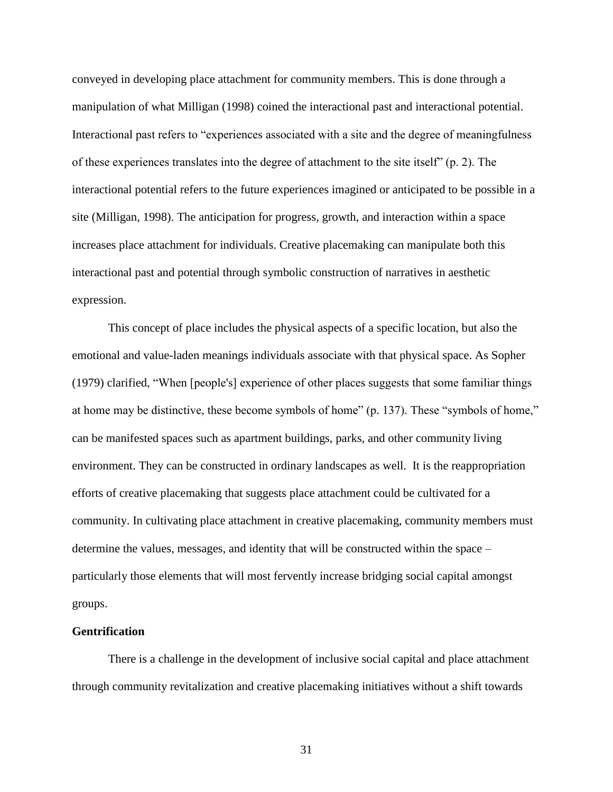conveyed in developing place attachment for community members. This is done through a manipulation of what Milligan (1998) coined the interactional past and interactional potential. Interactional past refers to "experiences associated with a site and the degree of meaningfulness of these experiences translates into the degree of attachment to the site itself" (p. 2). The interactional potential refers to the future experiences imagined or anticipated to be possible in a site (Milligan, 1998). The anticipation for progress, growth, and interaction within a space increases place attachment for individuals. Creative placemaking can manipulate both this interactional past and potential through symbolic construction of narratives in aesthetic expression.

This concept of place includes the physical aspects of a specific location, but also the emotional and value-laden meanings individuals associate with that physical space. As Sopher (1979) clarified, "When [people's] experience of other places suggests that some familiar things at home may be distinctive, these become symbols of home" (p. 137). These "symbols of home," can be manifested spaces such as apartment buildings, parks, and other community living environment. They can be constructed in ordinary landscapes as well. It is the reappropriation efforts of creative placemaking that suggests place attachment could be cultivated for a community. In cultivating place attachment in creative placemaking, community members must determine the values, messages, and identity that will be constructed within the space – particularly those elements that will most fervently increase bridging social capital amongst groups.

# **Gentrification**

There is a challenge in the development of inclusive social capital and place attachment through community revitalization and creative placemaking initiatives without a shift towards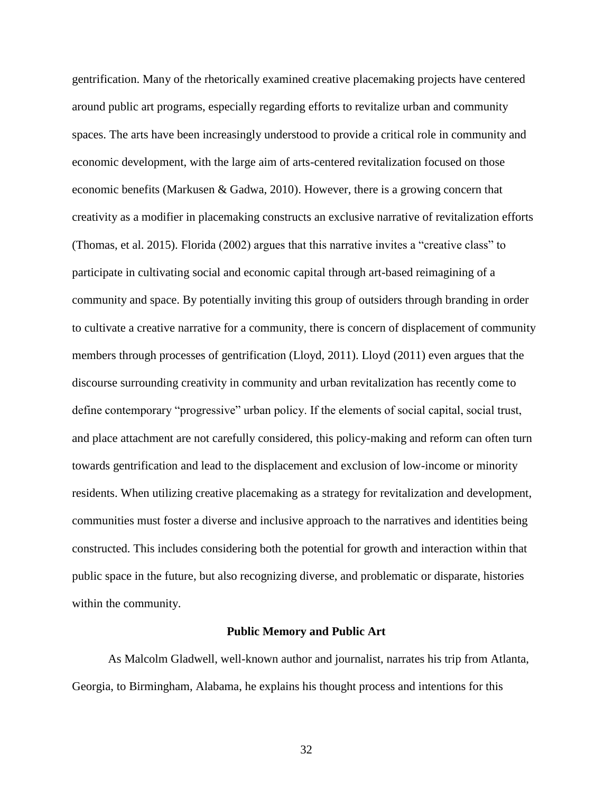gentrification. Many of the rhetorically examined creative placemaking projects have centered around public art programs, especially regarding efforts to revitalize urban and community spaces. The arts have been increasingly understood to provide a critical role in community and economic development, with the large aim of arts-centered revitalization focused on those economic benefits (Markusen & Gadwa, 2010). However, there is a growing concern that creativity as a modifier in placemaking constructs an exclusive narrative of revitalization efforts (Thomas, et al. 2015). Florida (2002) argues that this narrative invites a "creative class" to participate in cultivating social and economic capital through art-based reimagining of a community and space. By potentially inviting this group of outsiders through branding in order to cultivate a creative narrative for a community, there is concern of displacement of community members through processes of gentrification (Lloyd, 2011). Lloyd (2011) even argues that the discourse surrounding creativity in community and urban revitalization has recently come to define contemporary "progressive" urban policy. If the elements of social capital, social trust, and place attachment are not carefully considered, this policy-making and reform can often turn towards gentrification and lead to the displacement and exclusion of low-income or minority residents. When utilizing creative placemaking as a strategy for revitalization and development, communities must foster a diverse and inclusive approach to the narratives and identities being constructed. This includes considering both the potential for growth and interaction within that public space in the future, but also recognizing diverse, and problematic or disparate, histories within the community.

#### **Public Memory and Public Art**

As Malcolm Gladwell, well-known author and journalist, narrates his trip from Atlanta, Georgia, to Birmingham, Alabama, he explains his thought process and intentions for this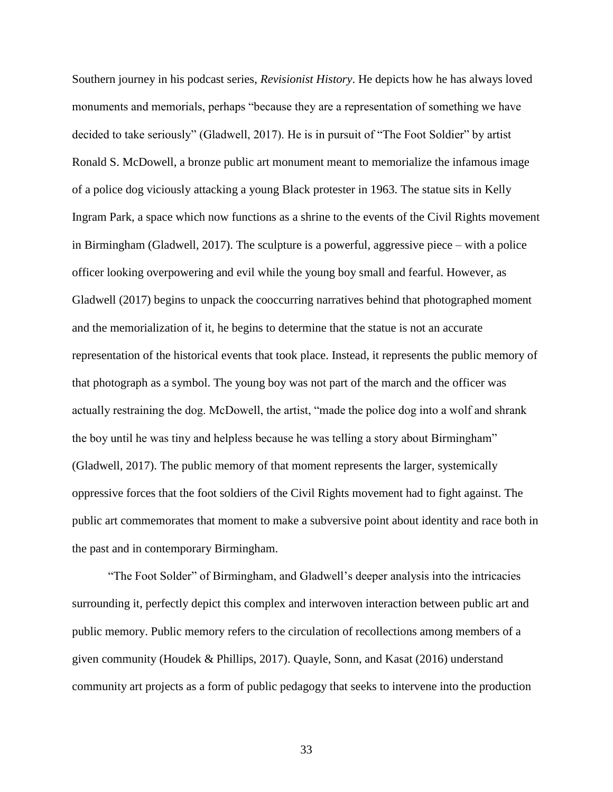Southern journey in his podcast series, *Revisionist History*. He depicts how he has always loved monuments and memorials, perhaps "because they are a representation of something we have decided to take seriously" (Gladwell, 2017). He is in pursuit of "The Foot Soldier" by artist Ronald S. McDowell, a bronze public art monument meant to memorialize the infamous image of a police dog viciously attacking a young Black protester in 1963. The statue sits in Kelly Ingram Park, a space which now functions as a shrine to the events of the Civil Rights movement in Birmingham (Gladwell, 2017). The sculpture is a powerful, aggressive piece – with a police officer looking overpowering and evil while the young boy small and fearful. However, as Gladwell (2017) begins to unpack the cooccurring narratives behind that photographed moment and the memorialization of it, he begins to determine that the statue is not an accurate representation of the historical events that took place. Instead, it represents the public memory of that photograph as a symbol. The young boy was not part of the march and the officer was actually restraining the dog. McDowell, the artist, "made the police dog into a wolf and shrank the boy until he was tiny and helpless because he was telling a story about Birmingham" (Gladwell, 2017). The public memory of that moment represents the larger, systemically oppressive forces that the foot soldiers of the Civil Rights movement had to fight against. The public art commemorates that moment to make a subversive point about identity and race both in the past and in contemporary Birmingham.

"The Foot Solder" of Birmingham, and Gladwell's deeper analysis into the intricacies surrounding it, perfectly depict this complex and interwoven interaction between public art and public memory. Public memory refers to the circulation of recollections among members of a given community (Houdek & Phillips, 2017). Quayle, Sonn, and Kasat (2016) understand community art projects as a form of public pedagogy that seeks to intervene into the production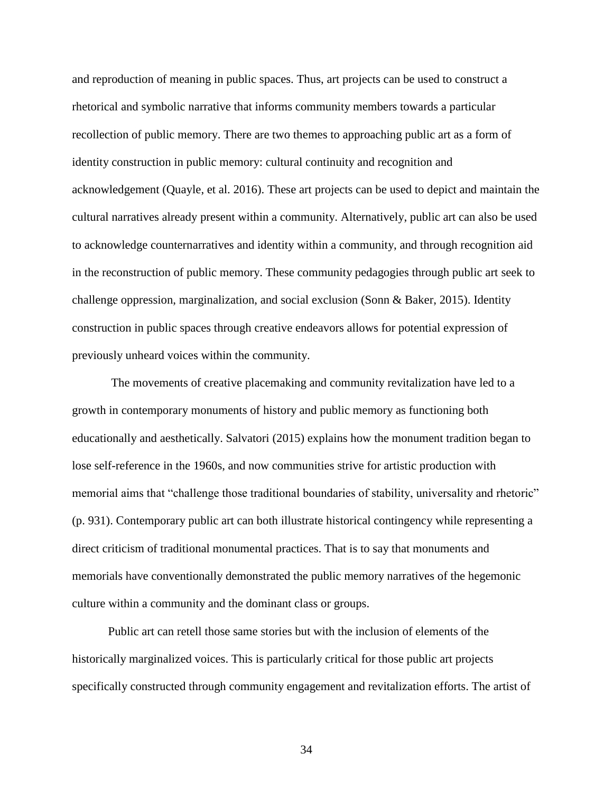and reproduction of meaning in public spaces. Thus, art projects can be used to construct a rhetorical and symbolic narrative that informs community members towards a particular recollection of public memory. There are two themes to approaching public art as a form of identity construction in public memory: cultural continuity and recognition and acknowledgement (Quayle, et al. 2016). These art projects can be used to depict and maintain the cultural narratives already present within a community. Alternatively, public art can also be used to acknowledge counternarratives and identity within a community, and through recognition aid in the reconstruction of public memory. These community pedagogies through public art seek to challenge oppression, marginalization, and social exclusion (Sonn & Baker, 2015). Identity construction in public spaces through creative endeavors allows for potential expression of previously unheard voices within the community.

The movements of creative placemaking and community revitalization have led to a growth in contemporary monuments of history and public memory as functioning both educationally and aesthetically. Salvatori (2015) explains how the monument tradition began to lose self-reference in the 1960s, and now communities strive for artistic production with memorial aims that "challenge those traditional boundaries of stability, universality and rhetoric" (p. 931). Contemporary public art can both illustrate historical contingency while representing a direct criticism of traditional monumental practices. That is to say that monuments and memorials have conventionally demonstrated the public memory narratives of the hegemonic culture within a community and the dominant class or groups.

Public art can retell those same stories but with the inclusion of elements of the historically marginalized voices. This is particularly critical for those public art projects specifically constructed through community engagement and revitalization efforts. The artist of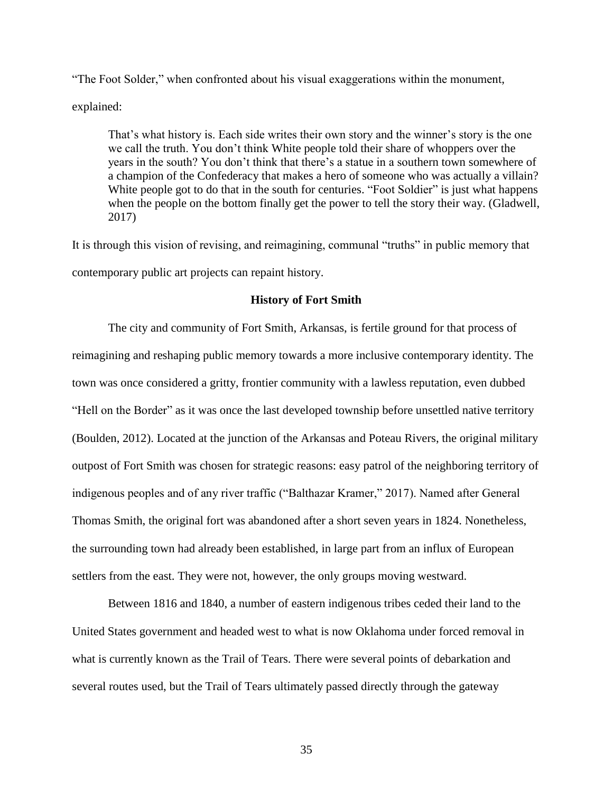"The Foot Solder," when confronted about his visual exaggerations within the monument,

explained:

That's what history is. Each side writes their own story and the winner's story is the one we call the truth. You don't think White people told their share of whoppers over the years in the south? You don't think that there's a statue in a southern town somewhere of a champion of the Confederacy that makes a hero of someone who was actually a villain? White people got to do that in the south for centuries. "Foot Soldier" is just what happens when the people on the bottom finally get the power to tell the story their way. (Gladwell, 2017)

It is through this vision of revising, and reimagining, communal "truths" in public memory that contemporary public art projects can repaint history.

### **History of Fort Smith**

The city and community of Fort Smith, Arkansas, is fertile ground for that process of reimagining and reshaping public memory towards a more inclusive contemporary identity. The town was once considered a gritty, frontier community with a lawless reputation, even dubbed "Hell on the Border" as it was once the last developed township before unsettled native territory (Boulden, 2012). Located at the junction of the Arkansas and Poteau Rivers, the original military outpost of Fort Smith was chosen for strategic reasons: easy patrol of the neighboring territory of indigenous peoples and of any river traffic ("Balthazar Kramer," 2017). Named after General Thomas Smith, the original fort was abandoned after a short seven years in 1824. Nonetheless, the surrounding town had already been established, in large part from an influx of European settlers from the east. They were not, however, the only groups moving westward.

Between 1816 and 1840, a number of eastern indigenous tribes ceded their land to the United States government and headed west to what is now Oklahoma under forced removal in what is currently known as the Trail of Tears. There were several points of debarkation and several routes used, but the Trail of Tears ultimately passed directly through the gateway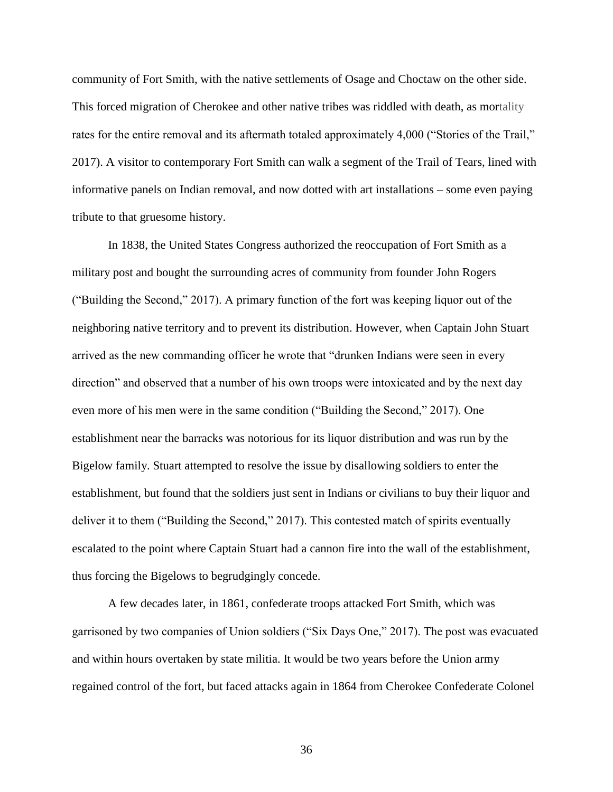community of Fort Smith, with the native settlements of Osage and Choctaw on the other side. This forced migration of Cherokee and other native tribes was riddled with death, as mortality rates for the entire removal and its aftermath totaled approximately 4,000 ("Stories of the Trail," 2017). A visitor to contemporary Fort Smith can walk a segment of the Trail of Tears, lined with informative panels on Indian removal, and now dotted with art installations – some even paying tribute to that gruesome history.

In 1838, the United States Congress authorized the reoccupation of Fort Smith as a military post and bought the surrounding acres of community from founder John Rogers ("Building the Second," 2017). A primary function of the fort was keeping liquor out of the neighboring native territory and to prevent its distribution. However, when Captain John Stuart arrived as the new commanding officer he wrote that "drunken Indians were seen in every direction" and observed that a number of his own troops were intoxicated and by the next day even more of his men were in the same condition ("Building the Second," 2017). One establishment near the barracks was notorious for its liquor distribution and was run by the Bigelow family. Stuart attempted to resolve the issue by disallowing soldiers to enter the establishment, but found that the soldiers just sent in Indians or civilians to buy their liquor and deliver it to them ("Building the Second," 2017). This contested match of spirits eventually escalated to the point where Captain Stuart had a cannon fire into the wall of the establishment, thus forcing the Bigelows to begrudgingly concede.

A few decades later, in 1861, confederate troops attacked Fort Smith, which was garrisoned by two companies of Union soldiers ("Six Days One," 2017). The post was evacuated and within hours overtaken by state militia. It would be two years before the Union army regained control of the fort, but faced attacks again in 1864 from Cherokee Confederate Colonel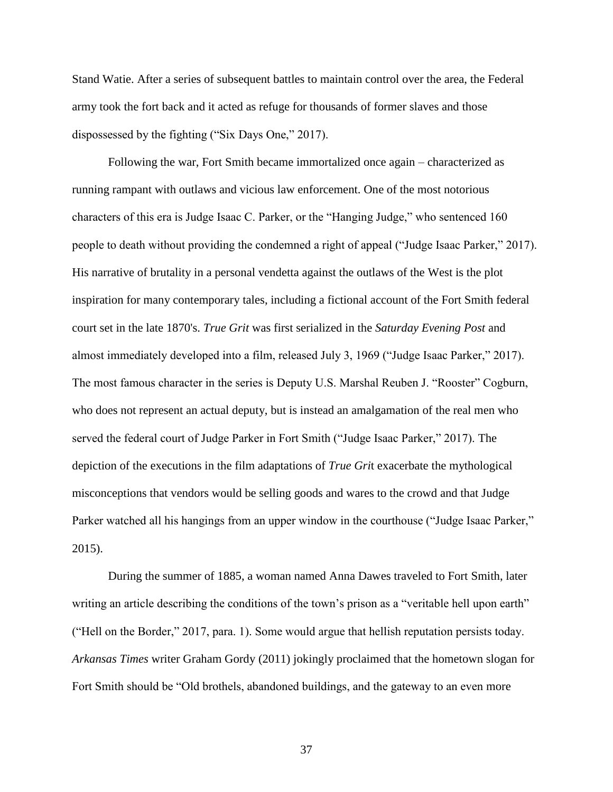Stand Watie. After a series of subsequent battles to maintain control over the area, the Federal army took the fort back and it acted as refuge for thousands of former slaves and those dispossessed by the fighting ("Six Days One," 2017).

Following the war, Fort Smith became immortalized once again – characterized as running rampant with outlaws and vicious law enforcement. One of the most notorious characters of this era is Judge Isaac C. Parker, or the "Hanging Judge," who sentenced 160 people to death without providing the condemned a right of appeal ("Judge Isaac Parker," 2017). His narrative of brutality in a personal vendetta against the outlaws of the West is the plot inspiration for many contemporary tales, including a fictional account of the Fort Smith federal court set in the late 1870's. *True Grit* was first serialized in the *Saturday Evening Post* and almost immediately developed into a film, released July 3, 1969 ("Judge Isaac Parker," 2017). The most famous character in the series is Deputy U.S. Marshal Reuben J. "Rooster" Cogburn, who does not represent an actual deputy, but is instead an amalgamation of the real men who served the federal court of Judge Parker in Fort Smith ("Judge Isaac Parker," 2017). The depiction of the executions in the film adaptations of *True Gri*t exacerbate the mythological misconceptions that vendors would be selling goods and wares to the crowd and that Judge Parker watched all his hangings from an upper window in the courthouse ("Judge Isaac Parker," 2015).

During the summer of 1885, a woman named Anna Dawes traveled to Fort Smith, later writing an article describing the conditions of the town's prison as a "veritable hell upon earth" ("Hell on the Border," 2017, para. 1). Some would argue that hellish reputation persists today. *Arkansas Times* writer Graham Gordy (2011) jokingly proclaimed that the hometown slogan for Fort Smith should be "Old brothels, abandoned buildings, and the gateway to an even more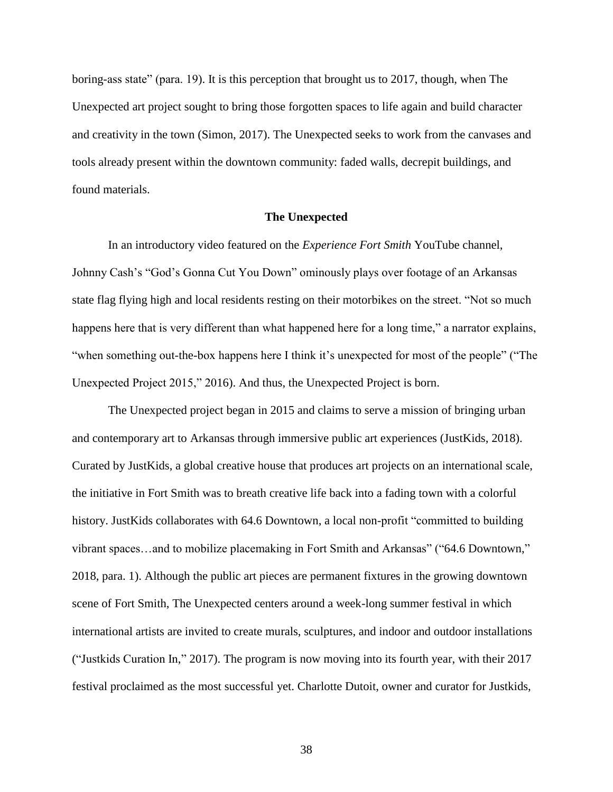boring-ass state" (para. 19). It is this perception that brought us to 2017, though, when The Unexpected art project sought to bring those forgotten spaces to life again and build character and creativity in the town (Simon, 2017). The Unexpected seeks to work from the canvases and tools already present within the downtown community: faded walls, decrepit buildings, and found materials.

# **The Unexpected**

In an introductory video featured on the *Experience Fort Smith* YouTube channel, Johnny Cash's "God's Gonna Cut You Down" ominously plays over footage of an Arkansas state flag flying high and local residents resting on their motorbikes on the street. "Not so much happens here that is very different than what happened here for a long time," a narrator explains, "when something out-the-box happens here I think it's unexpected for most of the people" ("The Unexpected Project 2015," 2016). And thus, the Unexpected Project is born.

The Unexpected project began in 2015 and claims to serve a mission of bringing urban and contemporary art to Arkansas through immersive public art experiences (JustKids, 2018). Curated by JustKids, a global creative house that produces art projects on an international scale, the initiative in Fort Smith was to breath creative life back into a fading town with a colorful history. JustKids collaborates with 64.6 Downtown, a local non-profit "committed to building vibrant spaces…and to mobilize placemaking in Fort Smith and Arkansas" ("64.6 Downtown," 2018, para. 1). Although the public art pieces are permanent fixtures in the growing downtown scene of Fort Smith, The Unexpected centers around a week-long summer festival in which international artists are invited to create murals, sculptures, and indoor and outdoor installations ("Justkids Curation In," 2017). The program is now moving into its fourth year, with their 2017 festival proclaimed as the most successful yet. Charlotte Dutoit, owner and curator for Justkids,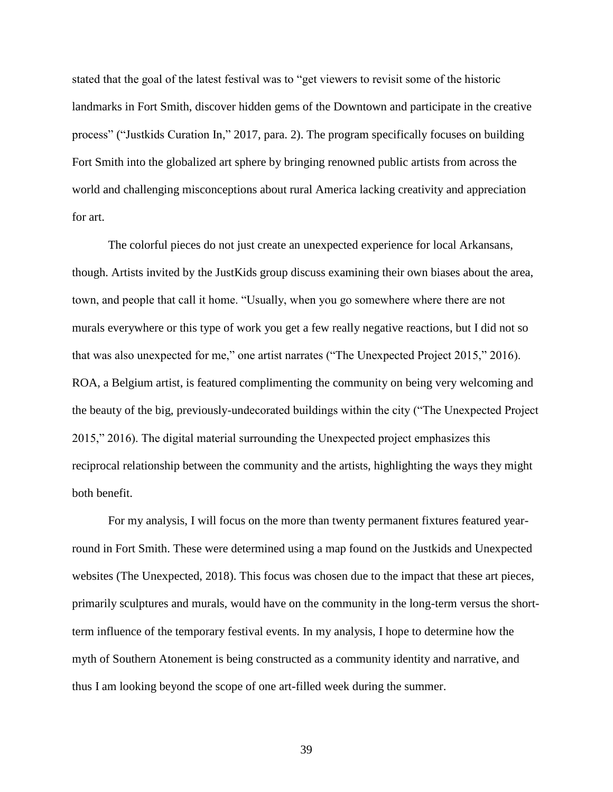stated that the goal of the latest festival was to "get viewers to revisit some of the historic landmarks in Fort Smith, discover hidden gems of the Downtown and participate in the creative process" ("Justkids Curation In," 2017, para. 2). The program specifically focuses on building Fort Smith into the globalized art sphere by bringing renowned public artists from across the world and challenging misconceptions about rural America lacking creativity and appreciation for art.

The colorful pieces do not just create an unexpected experience for local Arkansans, though. Artists invited by the JustKids group discuss examining their own biases about the area, town, and people that call it home. "Usually, when you go somewhere where there are not murals everywhere or this type of work you get a few really negative reactions, but I did not so that was also unexpected for me," one artist narrates ("The Unexpected Project 2015," 2016). ROA, a Belgium artist, is featured complimenting the community on being very welcoming and the beauty of the big, previously-undecorated buildings within the city ("The Unexpected Project 2015," 2016). The digital material surrounding the Unexpected project emphasizes this reciprocal relationship between the community and the artists, highlighting the ways they might both benefit.

For my analysis, I will focus on the more than twenty permanent fixtures featured yearround in Fort Smith. These were determined using a map found on the Justkids and Unexpected websites (The Unexpected, 2018). This focus was chosen due to the impact that these art pieces, primarily sculptures and murals, would have on the community in the long-term versus the shortterm influence of the temporary festival events. In my analysis, I hope to determine how the myth of Southern Atonement is being constructed as a community identity and narrative, and thus I am looking beyond the scope of one art-filled week during the summer.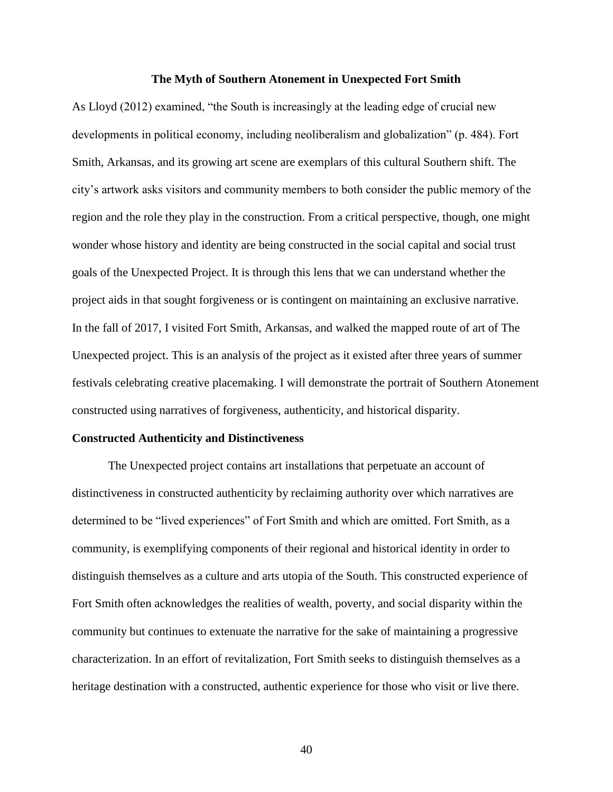#### **The Myth of Southern Atonement in Unexpected Fort Smith**

As Lloyd (2012) examined, "the South is increasingly at the leading edge of crucial new developments in political economy, including neoliberalism and globalization" (p. 484). Fort Smith, Arkansas, and its growing art scene are exemplars of this cultural Southern shift. The city's artwork asks visitors and community members to both consider the public memory of the region and the role they play in the construction. From a critical perspective, though, one might wonder whose history and identity are being constructed in the social capital and social trust goals of the Unexpected Project. It is through this lens that we can understand whether the project aids in that sought forgiveness or is contingent on maintaining an exclusive narrative. In the fall of 2017, I visited Fort Smith, Arkansas, and walked the mapped route of art of The Unexpected project. This is an analysis of the project as it existed after three years of summer festivals celebrating creative placemaking. I will demonstrate the portrait of Southern Atonement constructed using narratives of forgiveness, authenticity, and historical disparity.

#### **Constructed Authenticity and Distinctiveness**

The Unexpected project contains art installations that perpetuate an account of distinctiveness in constructed authenticity by reclaiming authority over which narratives are determined to be "lived experiences" of Fort Smith and which are omitted. Fort Smith, as a community, is exemplifying components of their regional and historical identity in order to distinguish themselves as a culture and arts utopia of the South. This constructed experience of Fort Smith often acknowledges the realities of wealth, poverty, and social disparity within the community but continues to extenuate the narrative for the sake of maintaining a progressive characterization. In an effort of revitalization, Fort Smith seeks to distinguish themselves as a heritage destination with a constructed, authentic experience for those who visit or live there.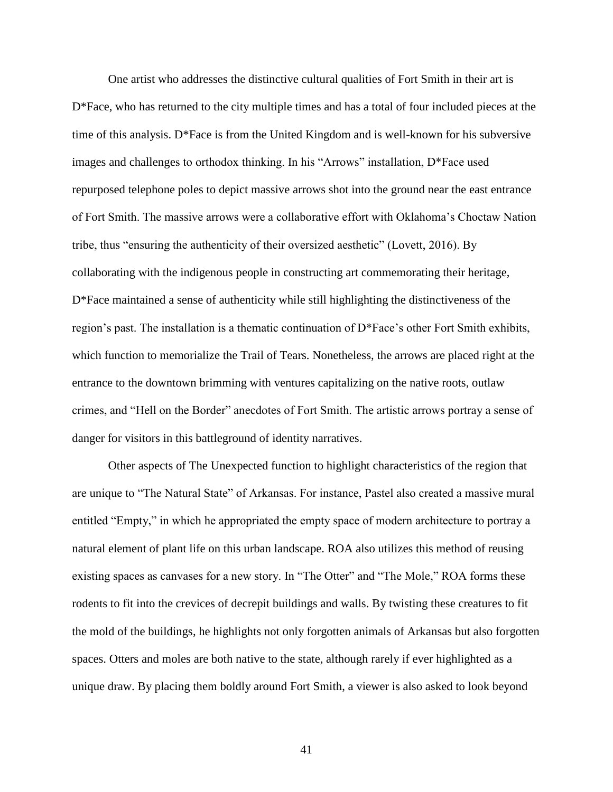One artist who addresses the distinctive cultural qualities of Fort Smith in their art is D\*Face, who has returned to the city multiple times and has a total of four included pieces at the time of this analysis. D\*Face is from the United Kingdom and is well-known for his subversive images and challenges to orthodox thinking. In his "Arrows" installation, D\*Face used repurposed telephone poles to depict massive arrows shot into the ground near the east entrance of Fort Smith. The massive arrows were a collaborative effort with Oklahoma's Choctaw Nation tribe, thus "ensuring the authenticity of their oversized aesthetic" (Lovett, 2016). By collaborating with the indigenous people in constructing art commemorating their heritage, D\*Face maintained a sense of authenticity while still highlighting the distinctiveness of the region's past. The installation is a thematic continuation of D\*Face's other Fort Smith exhibits, which function to memorialize the Trail of Tears. Nonetheless, the arrows are placed right at the entrance to the downtown brimming with ventures capitalizing on the native roots, outlaw crimes, and "Hell on the Border" anecdotes of Fort Smith. The artistic arrows portray a sense of danger for visitors in this battleground of identity narratives.

Other aspects of The Unexpected function to highlight characteristics of the region that are unique to "The Natural State" of Arkansas. For instance, Pastel also created a massive mural entitled "Empty," in which he appropriated the empty space of modern architecture to portray a natural element of plant life on this urban landscape. ROA also utilizes this method of reusing existing spaces as canvases for a new story. In "The Otter" and "The Mole," ROA forms these rodents to fit into the crevices of decrepit buildings and walls. By twisting these creatures to fit the mold of the buildings, he highlights not only forgotten animals of Arkansas but also forgotten spaces. Otters and moles are both native to the state, although rarely if ever highlighted as a unique draw. By placing them boldly around Fort Smith, a viewer is also asked to look beyond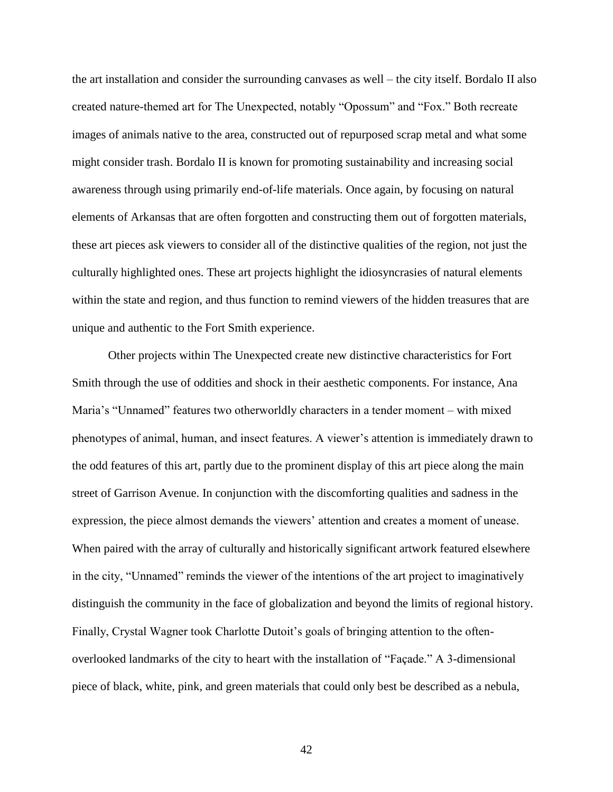the art installation and consider the surrounding canvases as well – the city itself. Bordalo II also created nature-themed art for The Unexpected, notably "Opossum" and "Fox." Both recreate images of animals native to the area, constructed out of repurposed scrap metal and what some might consider trash. Bordalo II is known for promoting sustainability and increasing social awareness through using primarily end-of-life materials. Once again, by focusing on natural elements of Arkansas that are often forgotten and constructing them out of forgotten materials, these art pieces ask viewers to consider all of the distinctive qualities of the region, not just the culturally highlighted ones. These art projects highlight the idiosyncrasies of natural elements within the state and region, and thus function to remind viewers of the hidden treasures that are unique and authentic to the Fort Smith experience.

Other projects within The Unexpected create new distinctive characteristics for Fort Smith through the use of oddities and shock in their aesthetic components. For instance, Ana Maria's "Unnamed" features two otherworldly characters in a tender moment – with mixed phenotypes of animal, human, and insect features. A viewer's attention is immediately drawn to the odd features of this art, partly due to the prominent display of this art piece along the main street of Garrison Avenue. In conjunction with the discomforting qualities and sadness in the expression, the piece almost demands the viewers' attention and creates a moment of unease. When paired with the array of culturally and historically significant artwork featured elsewhere in the city, "Unnamed" reminds the viewer of the intentions of the art project to imaginatively distinguish the community in the face of globalization and beyond the limits of regional history. Finally, Crystal Wagner took Charlotte Dutoit's goals of bringing attention to the oftenoverlooked landmarks of the city to heart with the installation of "Façade." A 3-dimensional piece of black, white, pink, and green materials that could only best be described as a nebula,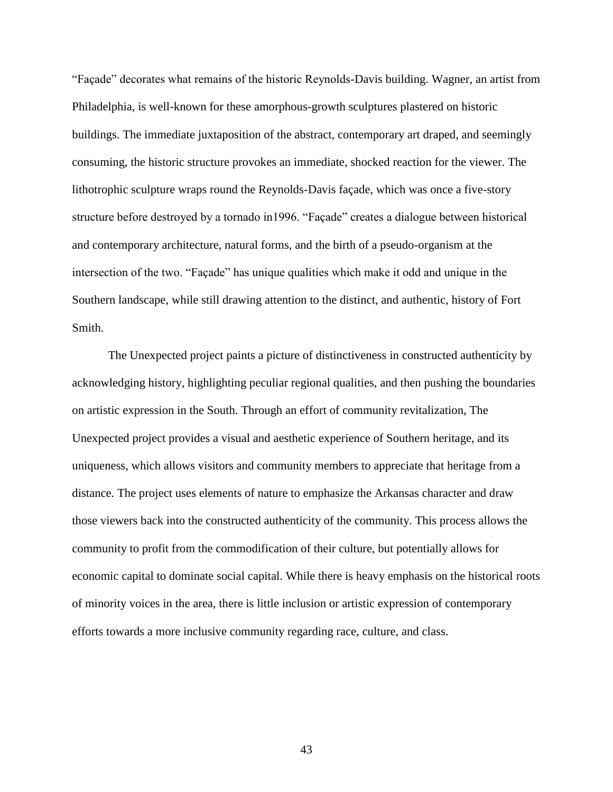"Façade" decorates what remains of the historic Reynolds-Davis building. Wagner, an artist from Philadelphia, is well-known for these amorphous-growth sculptures plastered on historic buildings. The immediate juxtaposition of the abstract, contemporary art draped, and seemingly consuming, the historic structure provokes an immediate, shocked reaction for the viewer. The lithotrophic sculpture wraps round the Reynolds-Davis façade, which was once a five-story structure before destroyed by a tornado in1996. "Façade" creates a dialogue between historical and contemporary architecture, natural forms, and the birth of a pseudo-organism at the intersection of the two. "Façade" has unique qualities which make it odd and unique in the Southern landscape, while still drawing attention to the distinct, and authentic, history of Fort Smith.

The Unexpected project paints a picture of distinctiveness in constructed authenticity by acknowledging history, highlighting peculiar regional qualities, and then pushing the boundaries on artistic expression in the South. Through an effort of community revitalization, The Unexpected project provides a visual and aesthetic experience of Southern heritage, and its uniqueness, which allows visitors and community members to appreciate that heritage from a distance. The project uses elements of nature to emphasize the Arkansas character and draw those viewers back into the constructed authenticity of the community. This process allows the community to profit from the commodification of their culture, but potentially allows for economic capital to dominate social capital. While there is heavy emphasis on the historical roots of minority voices in the area, there is little inclusion or artistic expression of contemporary efforts towards a more inclusive community regarding race, culture, and class.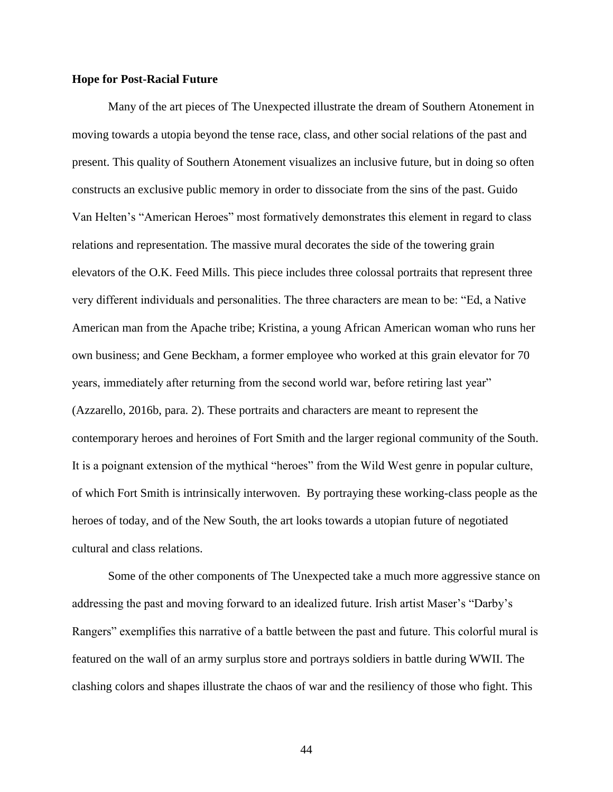#### **Hope for Post-Racial Future**

Many of the art pieces of The Unexpected illustrate the dream of Southern Atonement in moving towards a utopia beyond the tense race, class, and other social relations of the past and present. This quality of Southern Atonement visualizes an inclusive future, but in doing so often constructs an exclusive public memory in order to dissociate from the sins of the past. Guido Van Helten's "American Heroes" most formatively demonstrates this element in regard to class relations and representation. The massive mural decorates the side of the towering grain elevators of the O.K. Feed Mills. This piece includes three colossal portraits that represent three very different individuals and personalities. The three characters are mean to be: "Ed, a Native American man from the Apache tribe; Kristina, a young African American woman who runs her own business; and Gene Beckham, a former employee who worked at this grain elevator for 70 years, immediately after returning from the second world war, before retiring last year" (Azzarello, 2016b, para. 2). These portraits and characters are meant to represent the contemporary heroes and heroines of Fort Smith and the larger regional community of the South. It is a poignant extension of the mythical "heroes" from the Wild West genre in popular culture, of which Fort Smith is intrinsically interwoven. By portraying these working-class people as the heroes of today, and of the New South, the art looks towards a utopian future of negotiated cultural and class relations.

Some of the other components of The Unexpected take a much more aggressive stance on addressing the past and moving forward to an idealized future. Irish artist Maser's "Darby's Rangers" exemplifies this narrative of a battle between the past and future. This colorful mural is featured on the wall of an army surplus store and portrays soldiers in battle during WWII. The clashing colors and shapes illustrate the chaos of war and the resiliency of those who fight. This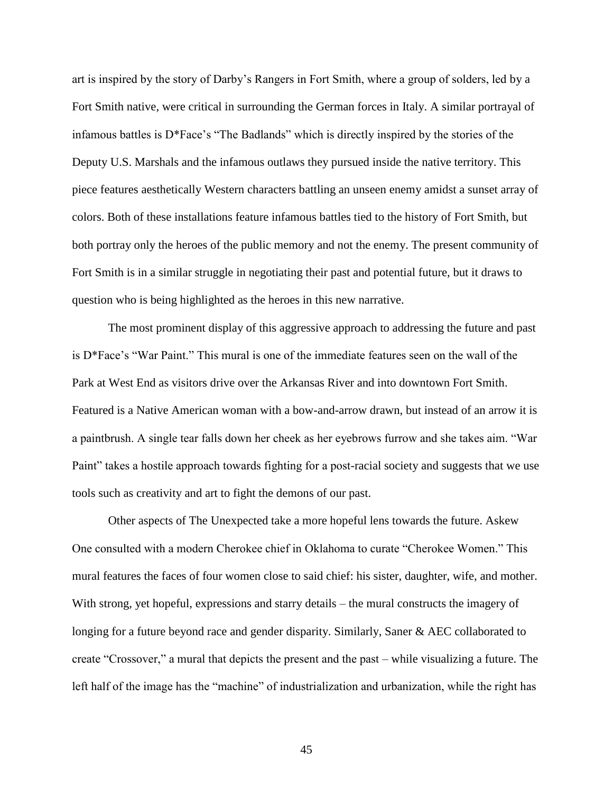art is inspired by the story of Darby's Rangers in Fort Smith, where a group of solders, led by a Fort Smith native, were critical in surrounding the German forces in Italy. A similar portrayal of infamous battles is D\*Face's "The Badlands" which is directly inspired by the stories of the Deputy U.S. Marshals and the infamous outlaws they pursued inside the native territory. This piece features aesthetically Western characters battling an unseen enemy amidst a sunset array of colors. Both of these installations feature infamous battles tied to the history of Fort Smith, but both portray only the heroes of the public memory and not the enemy. The present community of Fort Smith is in a similar struggle in negotiating their past and potential future, but it draws to question who is being highlighted as the heroes in this new narrative.

The most prominent display of this aggressive approach to addressing the future and past is D\*Face's "War Paint." This mural is one of the immediate features seen on the wall of the Park at West End as visitors drive over the Arkansas River and into downtown Fort Smith. Featured is a Native American woman with a bow-and-arrow drawn, but instead of an arrow it is a paintbrush. A single tear falls down her cheek as her eyebrows furrow and she takes aim. "War Paint" takes a hostile approach towards fighting for a post-racial society and suggests that we use tools such as creativity and art to fight the demons of our past.

Other aspects of The Unexpected take a more hopeful lens towards the future. Askew One consulted with a modern Cherokee chief in Oklahoma to curate "Cherokee Women." This mural features the faces of four women close to said chief: his sister, daughter, wife, and mother. With strong, yet hopeful, expressions and starry details – the mural constructs the imagery of longing for a future beyond race and gender disparity. Similarly, Saner & AEC collaborated to create "Crossover," a mural that depicts the present and the past – while visualizing a future. The left half of the image has the "machine" of industrialization and urbanization, while the right has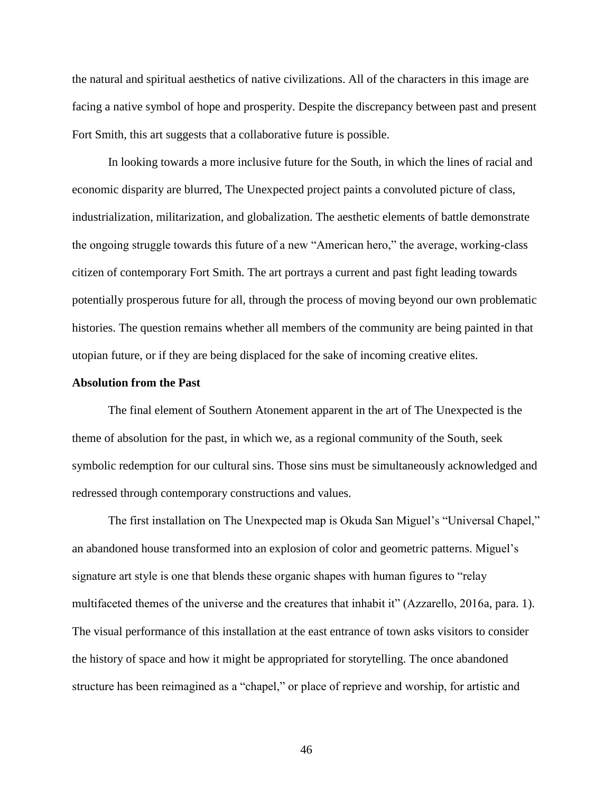the natural and spiritual aesthetics of native civilizations. All of the characters in this image are facing a native symbol of hope and prosperity. Despite the discrepancy between past and present Fort Smith, this art suggests that a collaborative future is possible.

In looking towards a more inclusive future for the South, in which the lines of racial and economic disparity are blurred, The Unexpected project paints a convoluted picture of class, industrialization, militarization, and globalization. The aesthetic elements of battle demonstrate the ongoing struggle towards this future of a new "American hero," the average, working-class citizen of contemporary Fort Smith. The art portrays a current and past fight leading towards potentially prosperous future for all, through the process of moving beyond our own problematic histories. The question remains whether all members of the community are being painted in that utopian future, or if they are being displaced for the sake of incoming creative elites.

## **Absolution from the Past**

The final element of Southern Atonement apparent in the art of The Unexpected is the theme of absolution for the past, in which we, as a regional community of the South, seek symbolic redemption for our cultural sins. Those sins must be simultaneously acknowledged and redressed through contemporary constructions and values.

The first installation on The Unexpected map is Okuda San Miguel's "Universal Chapel," an abandoned house transformed into an explosion of color and geometric patterns. Miguel's signature art style is one that blends these organic shapes with human figures to "relay multifaceted themes of the universe and the creatures that inhabit it" (Azzarello, 2016a, para. 1). The visual performance of this installation at the east entrance of town asks visitors to consider the history of space and how it might be appropriated for storytelling. The once abandoned structure has been reimagined as a "chapel," or place of reprieve and worship, for artistic and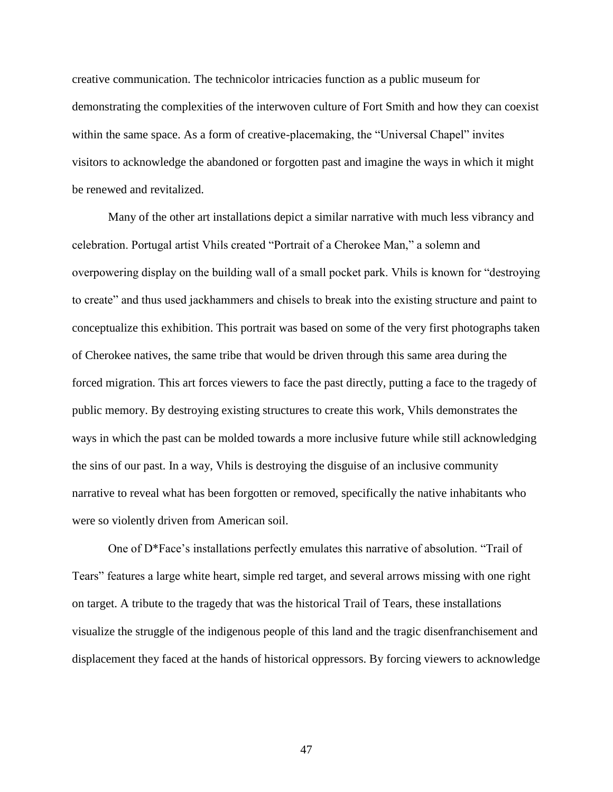creative communication. The technicolor intricacies function as a public museum for demonstrating the complexities of the interwoven culture of Fort Smith and how they can coexist within the same space. As a form of creative-placemaking, the "Universal Chapel" invites visitors to acknowledge the abandoned or forgotten past and imagine the ways in which it might be renewed and revitalized.

Many of the other art installations depict a similar narrative with much less vibrancy and celebration. Portugal artist Vhils created "Portrait of a Cherokee Man," a solemn and overpowering display on the building wall of a small pocket park. Vhils is known for "destroying to create" and thus used jackhammers and chisels to break into the existing structure and paint to conceptualize this exhibition. This portrait was based on some of the very first photographs taken of Cherokee natives, the same tribe that would be driven through this same area during the forced migration. This art forces viewers to face the past directly, putting a face to the tragedy of public memory. By destroying existing structures to create this work, Vhils demonstrates the ways in which the past can be molded towards a more inclusive future while still acknowledging the sins of our past. In a way, Vhils is destroying the disguise of an inclusive community narrative to reveal what has been forgotten or removed, specifically the native inhabitants who were so violently driven from American soil.

One of D\*Face's installations perfectly emulates this narrative of absolution. "Trail of Tears" features a large white heart, simple red target, and several arrows missing with one right on target. A tribute to the tragedy that was the historical Trail of Tears, these installations visualize the struggle of the indigenous people of this land and the tragic disenfranchisement and displacement they faced at the hands of historical oppressors. By forcing viewers to acknowledge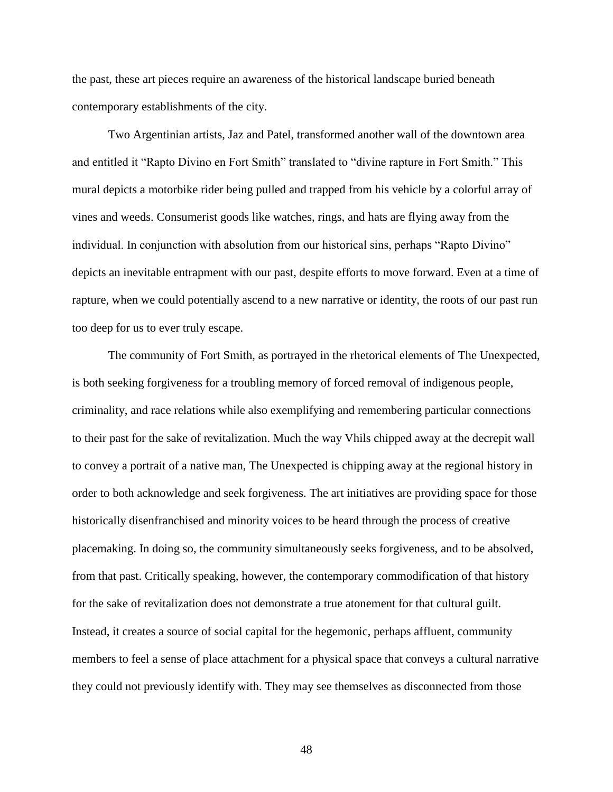the past, these art pieces require an awareness of the historical landscape buried beneath contemporary establishments of the city.

Two Argentinian artists, Jaz and Patel, transformed another wall of the downtown area and entitled it "Rapto Divino en Fort Smith" translated to "divine rapture in Fort Smith." This mural depicts a motorbike rider being pulled and trapped from his vehicle by a colorful array of vines and weeds. Consumerist goods like watches, rings, and hats are flying away from the individual. In conjunction with absolution from our historical sins, perhaps "Rapto Divino" depicts an inevitable entrapment with our past, despite efforts to move forward. Even at a time of rapture, when we could potentially ascend to a new narrative or identity, the roots of our past run too deep for us to ever truly escape.

The community of Fort Smith, as portrayed in the rhetorical elements of The Unexpected, is both seeking forgiveness for a troubling memory of forced removal of indigenous people, criminality, and race relations while also exemplifying and remembering particular connections to their past for the sake of revitalization. Much the way Vhils chipped away at the decrepit wall to convey a portrait of a native man, The Unexpected is chipping away at the regional history in order to both acknowledge and seek forgiveness. The art initiatives are providing space for those historically disenfranchised and minority voices to be heard through the process of creative placemaking. In doing so, the community simultaneously seeks forgiveness, and to be absolved, from that past. Critically speaking, however, the contemporary commodification of that history for the sake of revitalization does not demonstrate a true atonement for that cultural guilt. Instead, it creates a source of social capital for the hegemonic, perhaps affluent, community members to feel a sense of place attachment for a physical space that conveys a cultural narrative they could not previously identify with. They may see themselves as disconnected from those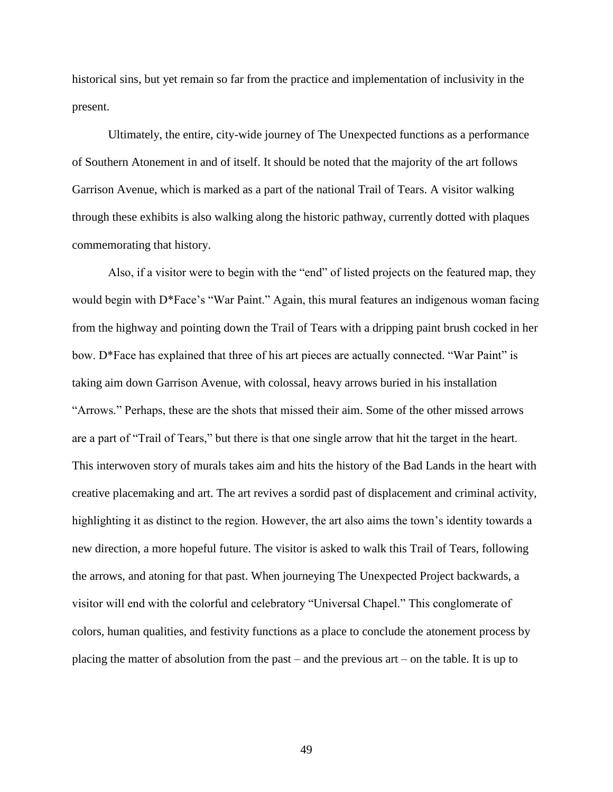historical sins, but yet remain so far from the practice and implementation of inclusivity in the present.

Ultimately, the entire, city-wide journey of The Unexpected functions as a performance of Southern Atonement in and of itself. It should be noted that the majority of the art follows Garrison Avenue, which is marked as a part of the national Trail of Tears. A visitor walking through these exhibits is also walking along the historic pathway, currently dotted with plaques commemorating that history.

Also, if a visitor were to begin with the "end" of listed projects on the featured map, they would begin with D\*Face's "War Paint." Again, this mural features an indigenous woman facing from the highway and pointing down the Trail of Tears with a dripping paint brush cocked in her bow. D\*Face has explained that three of his art pieces are actually connected. "War Paint" is taking aim down Garrison Avenue, with colossal, heavy arrows buried in his installation "Arrows." Perhaps, these are the shots that missed their aim. Some of the other missed arrows are a part of "Trail of Tears," but there is that one single arrow that hit the target in the heart. This interwoven story of murals takes aim and hits the history of the Bad Lands in the heart with creative placemaking and art. The art revives a sordid past of displacement and criminal activity, highlighting it as distinct to the region. However, the art also aims the town's identity towards a new direction, a more hopeful future. The visitor is asked to walk this Trail of Tears, following the arrows, and atoning for that past. When journeying The Unexpected Project backwards, a visitor will end with the colorful and celebratory "Universal Chapel." This conglomerate of colors, human qualities, and festivity functions as a place to conclude the atonement process by placing the matter of absolution from the past – and the previous art – on the table. It is up to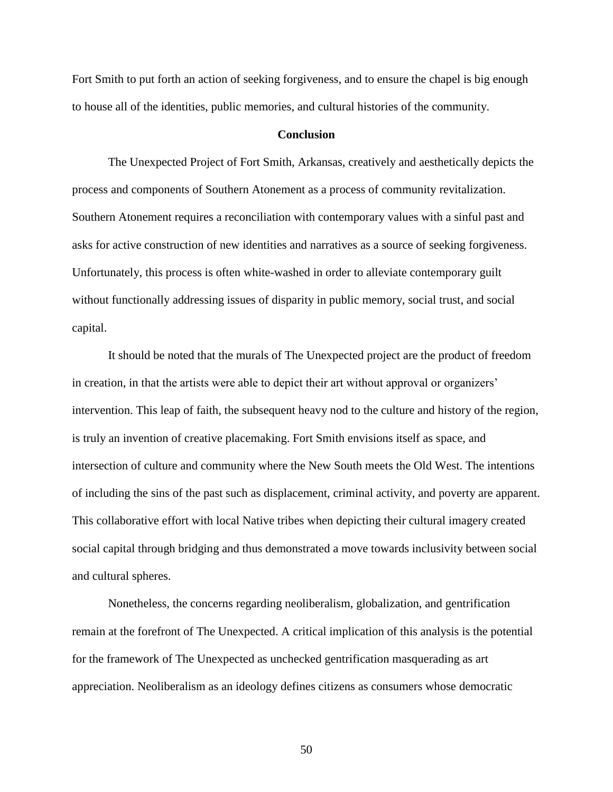Fort Smith to put forth an action of seeking forgiveness, and to ensure the chapel is big enough to house all of the identities, public memories, and cultural histories of the community.

## **Conclusion**

The Unexpected Project of Fort Smith, Arkansas, creatively and aesthetically depicts the process and components of Southern Atonement as a process of community revitalization. Southern Atonement requires a reconciliation with contemporary values with a sinful past and asks for active construction of new identities and narratives as a source of seeking forgiveness. Unfortunately, this process is often white-washed in order to alleviate contemporary guilt without functionally addressing issues of disparity in public memory, social trust, and social capital.

It should be noted that the murals of The Unexpected project are the product of freedom in creation, in that the artists were able to depict their art without approval or organizers' intervention. This leap of faith, the subsequent heavy nod to the culture and history of the region, is truly an invention of creative placemaking. Fort Smith envisions itself as space, and intersection of culture and community where the New South meets the Old West. The intentions of including the sins of the past such as displacement, criminal activity, and poverty are apparent. This collaborative effort with local Native tribes when depicting their cultural imagery created social capital through bridging and thus demonstrated a move towards inclusivity between social and cultural spheres.

Nonetheless, the concerns regarding neoliberalism, globalization, and gentrification remain at the forefront of The Unexpected. A critical implication of this analysis is the potential for the framework of The Unexpected as unchecked gentrification masquerading as art appreciation. Neoliberalism as an ideology defines citizens as consumers whose democratic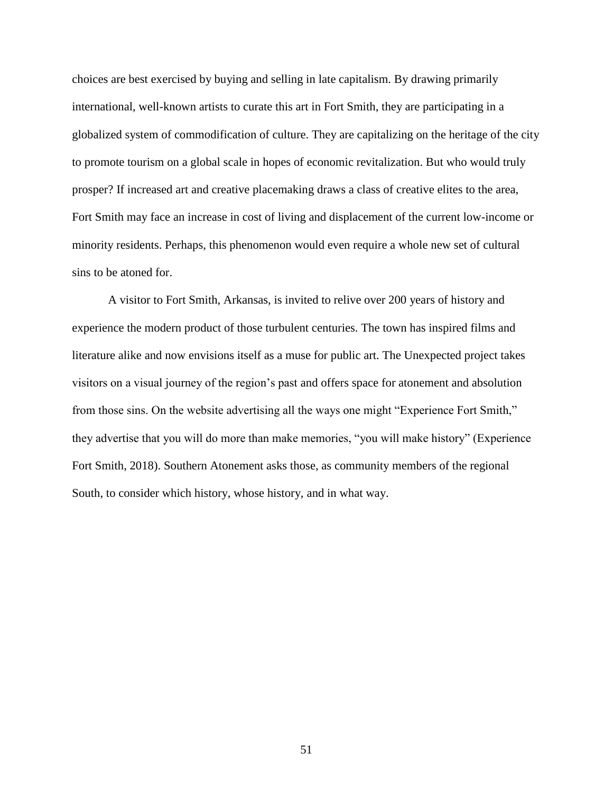choices are best exercised by buying and selling in late capitalism. By drawing primarily international, well-known artists to curate this art in Fort Smith, they are participating in a globalized system of commodification of culture. They are capitalizing on the heritage of the city to promote tourism on a global scale in hopes of economic revitalization. But who would truly prosper? If increased art and creative placemaking draws a class of creative elites to the area, Fort Smith may face an increase in cost of living and displacement of the current low-income or minority residents. Perhaps, this phenomenon would even require a whole new set of cultural sins to be atoned for.

A visitor to Fort Smith, Arkansas, is invited to relive over 200 years of history and experience the modern product of those turbulent centuries. The town has inspired films and literature alike and now envisions itself as a muse for public art. The Unexpected project takes visitors on a visual journey of the region's past and offers space for atonement and absolution from those sins. On the website advertising all the ways one might "Experience Fort Smith," they advertise that you will do more than make memories, "you will make history" (Experience Fort Smith, 2018). Southern Atonement asks those, as community members of the regional South, to consider which history, whose history, and in what way.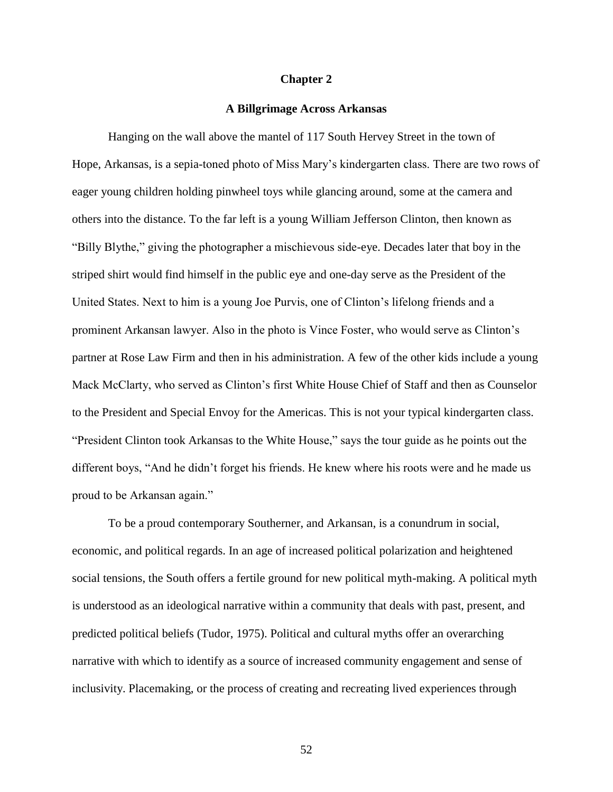## **Chapter 2**

## **A Billgrimage Across Arkansas**

Hanging on the wall above the mantel of 117 South Hervey Street in the town of Hope, Arkansas, is a sepia-toned photo of Miss Mary's kindergarten class. There are two rows of eager young children holding pinwheel toys while glancing around, some at the camera and others into the distance. To the far left is a young William Jefferson Clinton, then known as "Billy Blythe," giving the photographer a mischievous side-eye. Decades later that boy in the striped shirt would find himself in the public eye and one-day serve as the President of the United States. Next to him is a young Joe Purvis, one of Clinton's lifelong friends and a prominent Arkansan lawyer. Also in the photo is Vince Foster, who would serve as Clinton's partner at Rose Law Firm and then in his administration. A few of the other kids include a young Mack McClarty, who served as Clinton's first White House Chief of Staff and then as Counselor to the President and Special Envoy for the Americas. This is not your typical kindergarten class. "President Clinton took Arkansas to the White House," says the tour guide as he points out the different boys, "And he didn't forget his friends. He knew where his roots were and he made us proud to be Arkansan again."

To be a proud contemporary Southerner, and Arkansan, is a conundrum in social, economic, and political regards. In an age of increased political polarization and heightened social tensions, the South offers a fertile ground for new political myth-making. A political myth is understood as an ideological narrative within a community that deals with past, present, and predicted political beliefs (Tudor, 1975). Political and cultural myths offer an overarching narrative with which to identify as a source of increased community engagement and sense of inclusivity. Placemaking, or the process of creating and recreating lived experiences through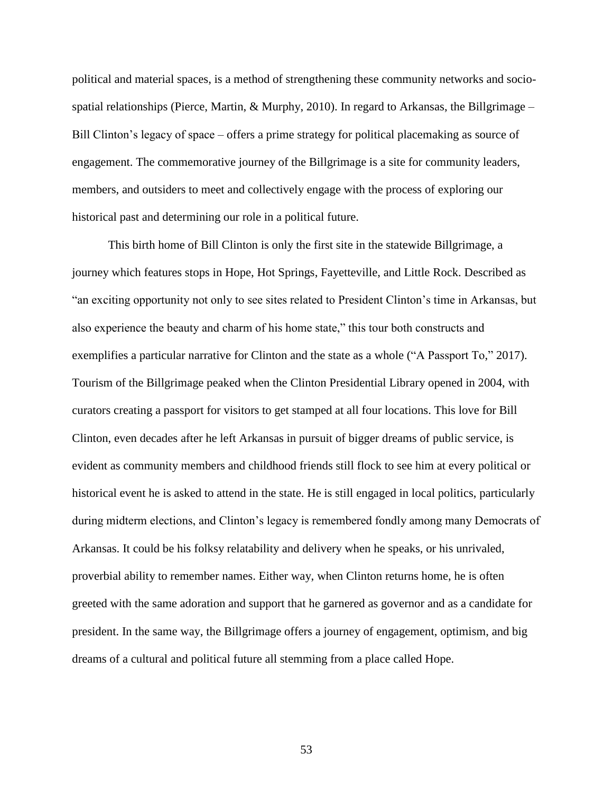political and material spaces, is a method of strengthening these community networks and sociospatial relationships (Pierce, Martin,  $\&$  Murphy, 2010). In regard to Arkansas, the Billgrimage – Bill Clinton's legacy of space – offers a prime strategy for political placemaking as source of engagement. The commemorative journey of the Billgrimage is a site for community leaders, members, and outsiders to meet and collectively engage with the process of exploring our historical past and determining our role in a political future.

This birth home of Bill Clinton is only the first site in the statewide Billgrimage, a journey which features stops in Hope, Hot Springs, Fayetteville, and Little Rock. Described as "an exciting opportunity not only to see sites related to President Clinton's time in Arkansas, but also experience the beauty and charm of his home state," this tour both constructs and exemplifies a particular narrative for Clinton and the state as a whole ("A Passport To," 2017). Tourism of the Billgrimage peaked when the Clinton Presidential Library opened in 2004, with curators creating a passport for visitors to get stamped at all four locations. This love for Bill Clinton, even decades after he left Arkansas in pursuit of bigger dreams of public service, is evident as community members and childhood friends still flock to see him at every political or historical event he is asked to attend in the state. He is still engaged in local politics, particularly during midterm elections, and Clinton's legacy is remembered fondly among many Democrats of Arkansas. It could be his folksy relatability and delivery when he speaks, or his unrivaled, proverbial ability to remember names. Either way, when Clinton returns home, he is often greeted with the same adoration and support that he garnered as governor and as a candidate for president. In the same way, the Billgrimage offers a journey of engagement, optimism, and big dreams of a cultural and political future all stemming from a place called Hope.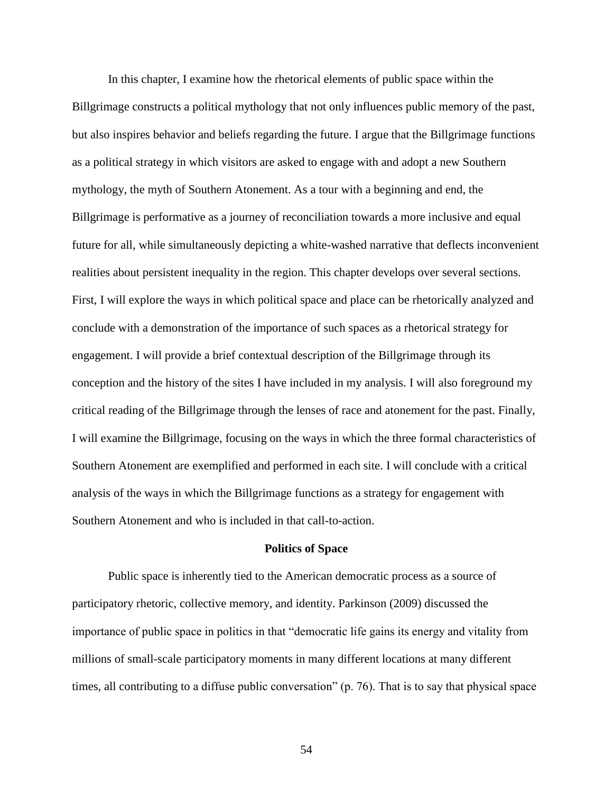In this chapter, I examine how the rhetorical elements of public space within the Billgrimage constructs a political mythology that not only influences public memory of the past, but also inspires behavior and beliefs regarding the future. I argue that the Billgrimage functions as a political strategy in which visitors are asked to engage with and adopt a new Southern mythology, the myth of Southern Atonement. As a tour with a beginning and end, the Billgrimage is performative as a journey of reconciliation towards a more inclusive and equal future for all, while simultaneously depicting a white-washed narrative that deflects inconvenient realities about persistent inequality in the region. This chapter develops over several sections. First, I will explore the ways in which political space and place can be rhetorically analyzed and conclude with a demonstration of the importance of such spaces as a rhetorical strategy for engagement. I will provide a brief contextual description of the Billgrimage through its conception and the history of the sites I have included in my analysis. I will also foreground my critical reading of the Billgrimage through the lenses of race and atonement for the past. Finally, I will examine the Billgrimage, focusing on the ways in which the three formal characteristics of Southern Atonement are exemplified and performed in each site. I will conclude with a critical analysis of the ways in which the Billgrimage functions as a strategy for engagement with Southern Atonement and who is included in that call-to-action.

#### **Politics of Space**

Public space is inherently tied to the American democratic process as a source of participatory rhetoric, collective memory, and identity. Parkinson (2009) discussed the importance of public space in politics in that "democratic life gains its energy and vitality from millions of small-scale participatory moments in many different locations at many different times, all contributing to a diffuse public conversation" (p. 76). That is to say that physical space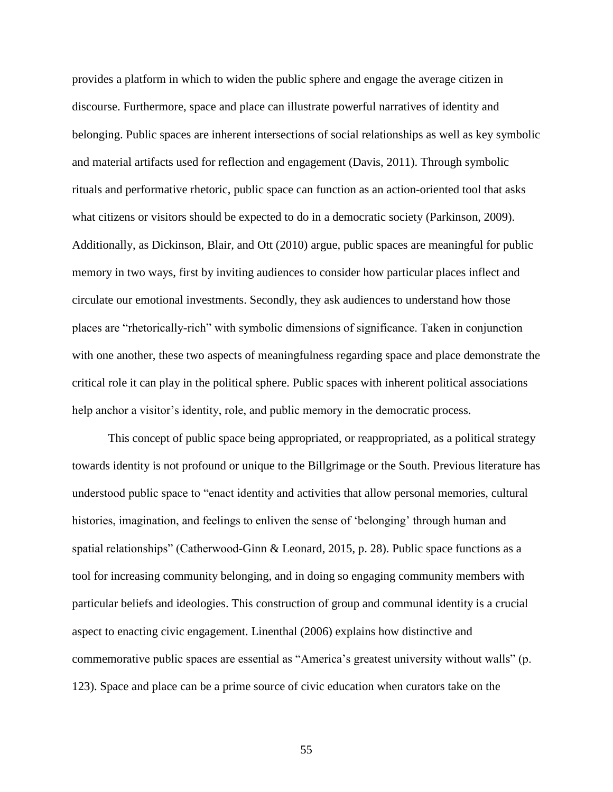provides a platform in which to widen the public sphere and engage the average citizen in discourse. Furthermore, space and place can illustrate powerful narratives of identity and belonging. Public spaces are inherent intersections of social relationships as well as key symbolic and material artifacts used for reflection and engagement (Davis, 2011). Through symbolic rituals and performative rhetoric, public space can function as an action-oriented tool that asks what citizens or visitors should be expected to do in a democratic society (Parkinson, 2009). Additionally, as Dickinson, Blair, and Ott (2010) argue, public spaces are meaningful for public memory in two ways, first by inviting audiences to consider how particular places inflect and circulate our emotional investments. Secondly, they ask audiences to understand how those places are "rhetorically-rich" with symbolic dimensions of significance. Taken in conjunction with one another, these two aspects of meaningfulness regarding space and place demonstrate the critical role it can play in the political sphere. Public spaces with inherent political associations help anchor a visitor's identity, role, and public memory in the democratic process.

This concept of public space being appropriated, or reappropriated, as a political strategy towards identity is not profound or unique to the Billgrimage or the South. Previous literature has understood public space to "enact identity and activities that allow personal memories, cultural histories, imagination, and feelings to enliven the sense of 'belonging' through human and spatial relationships" (Catherwood-Ginn & Leonard, 2015, p. 28). Public space functions as a tool for increasing community belonging, and in doing so engaging community members with particular beliefs and ideologies. This construction of group and communal identity is a crucial aspect to enacting civic engagement. Linenthal (2006) explains how distinctive and commemorative public spaces are essential as "America's greatest university without walls" (p. 123). Space and place can be a prime source of civic education when curators take on the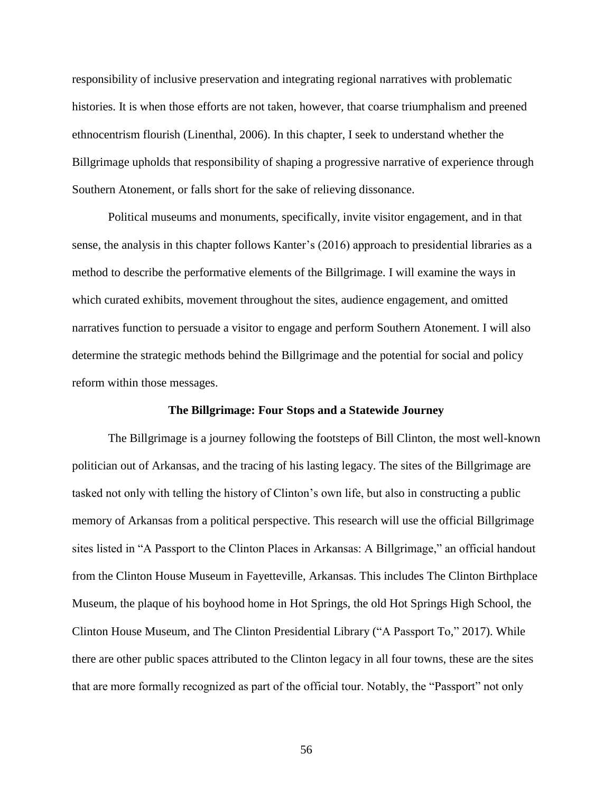responsibility of inclusive preservation and integrating regional narratives with problematic histories. It is when those efforts are not taken, however, that coarse triumphalism and preened ethnocentrism flourish (Linenthal, 2006). In this chapter, I seek to understand whether the Billgrimage upholds that responsibility of shaping a progressive narrative of experience through Southern Atonement, or falls short for the sake of relieving dissonance.

Political museums and monuments, specifically, invite visitor engagement, and in that sense, the analysis in this chapter follows Kanter's (2016) approach to presidential libraries as a method to describe the performative elements of the Billgrimage. I will examine the ways in which curated exhibits, movement throughout the sites, audience engagement, and omitted narratives function to persuade a visitor to engage and perform Southern Atonement. I will also determine the strategic methods behind the Billgrimage and the potential for social and policy reform within those messages.

#### **The Billgrimage: Four Stops and a Statewide Journey**

The Billgrimage is a journey following the footsteps of Bill Clinton, the most well-known politician out of Arkansas, and the tracing of his lasting legacy. The sites of the Billgrimage are tasked not only with telling the history of Clinton's own life, but also in constructing a public memory of Arkansas from a political perspective. This research will use the official Billgrimage sites listed in "A Passport to the Clinton Places in Arkansas: A Billgrimage," an official handout from the Clinton House Museum in Fayetteville, Arkansas. This includes The Clinton Birthplace Museum, the plaque of his boyhood home in Hot Springs, the old Hot Springs High School, the Clinton House Museum, and The Clinton Presidential Library ("A Passport To," 2017). While there are other public spaces attributed to the Clinton legacy in all four towns, these are the sites that are more formally recognized as part of the official tour. Notably, the "Passport" not only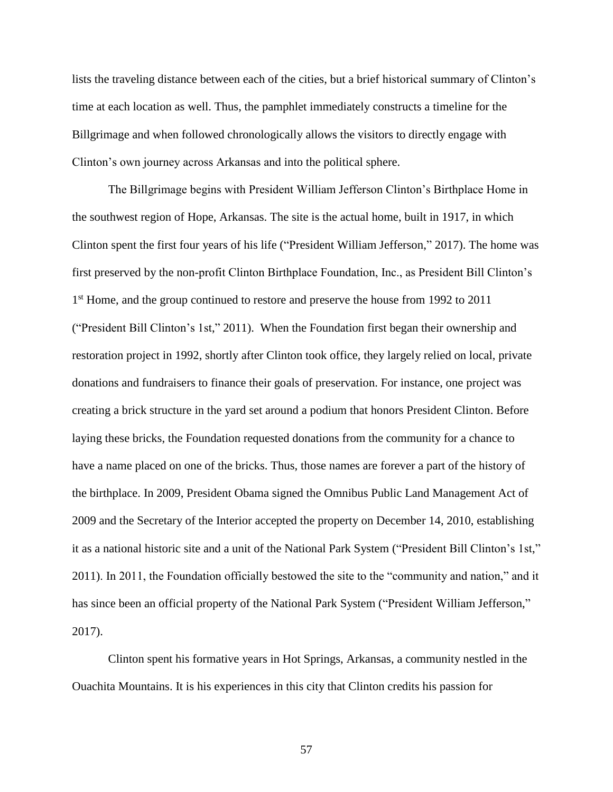lists the traveling distance between each of the cities, but a brief historical summary of Clinton's time at each location as well. Thus, the pamphlet immediately constructs a timeline for the Billgrimage and when followed chronologically allows the visitors to directly engage with Clinton's own journey across Arkansas and into the political sphere.

The Billgrimage begins with President William Jefferson Clinton's Birthplace Home in the southwest region of Hope, Arkansas. The site is the actual home, built in 1917, in which Clinton spent the first four years of his life ("President William Jefferson," 2017). The home was first preserved by the non-profit Clinton Birthplace Foundation, Inc., as President Bill Clinton's 1<sup>st</sup> Home, and the group continued to restore and preserve the house from 1992 to 2011 ("President Bill Clinton's 1st," 2011). When the Foundation first began their ownership and restoration project in 1992, shortly after Clinton took office, they largely relied on local, private donations and fundraisers to finance their goals of preservation. For instance, one project was creating a brick structure in the yard set around a podium that honors President Clinton. Before laying these bricks, the Foundation requested donations from the community for a chance to have a name placed on one of the bricks. Thus, those names are forever a part of the history of the birthplace. In 2009, President Obama signed the Omnibus Public Land Management Act of 2009 and the Secretary of the Interior accepted the property on December 14, 2010, establishing it as a national historic site and a unit of the National Park System ("President Bill Clinton's 1st," 2011). In 2011, the Foundation officially bestowed the site to the "community and nation," and it has since been an official property of the National Park System ("President William Jefferson," 2017).

Clinton spent his formative years in Hot Springs, Arkansas, a community nestled in the Ouachita Mountains. It is his experiences in this city that Clinton credits his passion for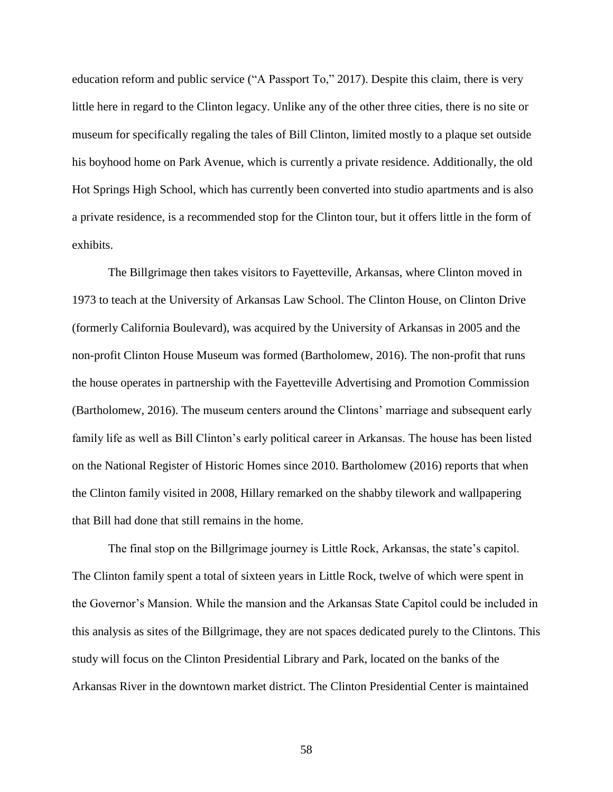education reform and public service ("A Passport To," 2017). Despite this claim, there is very little here in regard to the Clinton legacy. Unlike any of the other three cities, there is no site or museum for specifically regaling the tales of Bill Clinton, limited mostly to a plaque set outside his boyhood home on Park Avenue, which is currently a private residence. Additionally, the old Hot Springs High School, which has currently been converted into studio apartments and is also a private residence, is a recommended stop for the Clinton tour, but it offers little in the form of exhibits.

The Billgrimage then takes visitors to Fayetteville, Arkansas, where Clinton moved in 1973 to teach at the University of Arkansas Law School. The Clinton House, on Clinton Drive (formerly California Boulevard), was acquired by the University of Arkansas in 2005 and the non-profit Clinton House Museum was formed (Bartholomew, 2016). The non-profit that runs the house operates in partnership with the Fayetteville Advertising and Promotion Commission (Bartholomew, 2016). The museum centers around the Clintons' marriage and subsequent early family life as well as Bill Clinton's early political career in Arkansas. The house has been listed on the National Register of Historic Homes since 2010. Bartholomew (2016) reports that when the Clinton family visited in 2008, Hillary remarked on the shabby tilework and wallpapering that Bill had done that still remains in the home.

The final stop on the Billgrimage journey is Little Rock, Arkansas, the state's capitol. The Clinton family spent a total of sixteen years in Little Rock, twelve of which were spent in the Governor's Mansion. While the mansion and the Arkansas State Capitol could be included in this analysis as sites of the Billgrimage, they are not spaces dedicated purely to the Clintons. This study will focus on the Clinton Presidential Library and Park, located on the banks of the Arkansas River in the downtown market district. The Clinton Presidential Center is maintained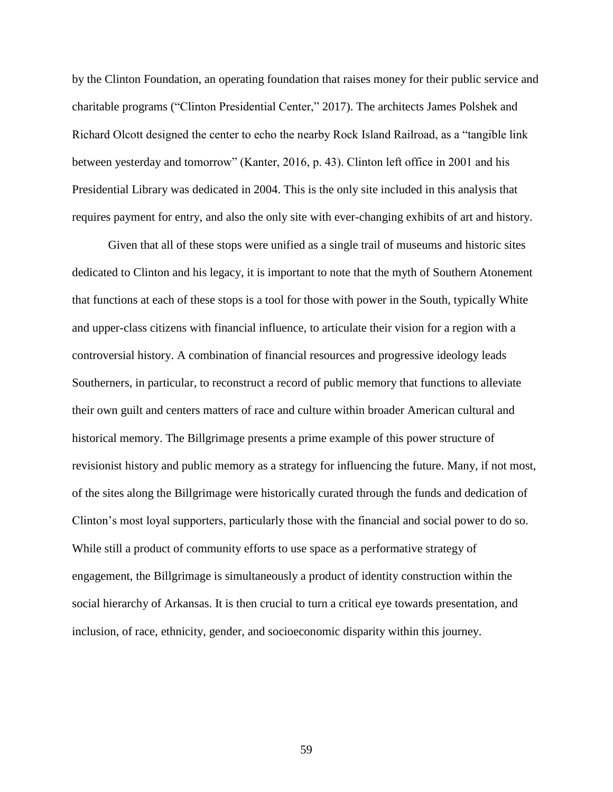by the Clinton Foundation, an operating foundation that raises money for their public service and charitable programs ("Clinton Presidential Center," 2017). The architects James Polshek and Richard Olcott designed the center to echo the nearby Rock Island Railroad, as a "tangible link between yesterday and tomorrow" (Kanter, 2016, p. 43). Clinton left office in 2001 and his Presidential Library was dedicated in 2004. This is the only site included in this analysis that requires payment for entry, and also the only site with ever-changing exhibits of art and history.

Given that all of these stops were unified as a single trail of museums and historic sites dedicated to Clinton and his legacy, it is important to note that the myth of Southern Atonement that functions at each of these stops is a tool for those with power in the South, typically White and upper-class citizens with financial influence, to articulate their vision for a region with a controversial history. A combination of financial resources and progressive ideology leads Southerners, in particular, to reconstruct a record of public memory that functions to alleviate their own guilt and centers matters of race and culture within broader American cultural and historical memory. The Billgrimage presents a prime example of this power structure of revisionist history and public memory as a strategy for influencing the future. Many, if not most, of the sites along the Billgrimage were historically curated through the funds and dedication of Clinton's most loyal supporters, particularly those with the financial and social power to do so. While still a product of community efforts to use space as a performative strategy of engagement, the Billgrimage is simultaneously a product of identity construction within the social hierarchy of Arkansas. It is then crucial to turn a critical eye towards presentation, and inclusion, of race, ethnicity, gender, and socioeconomic disparity within this journey.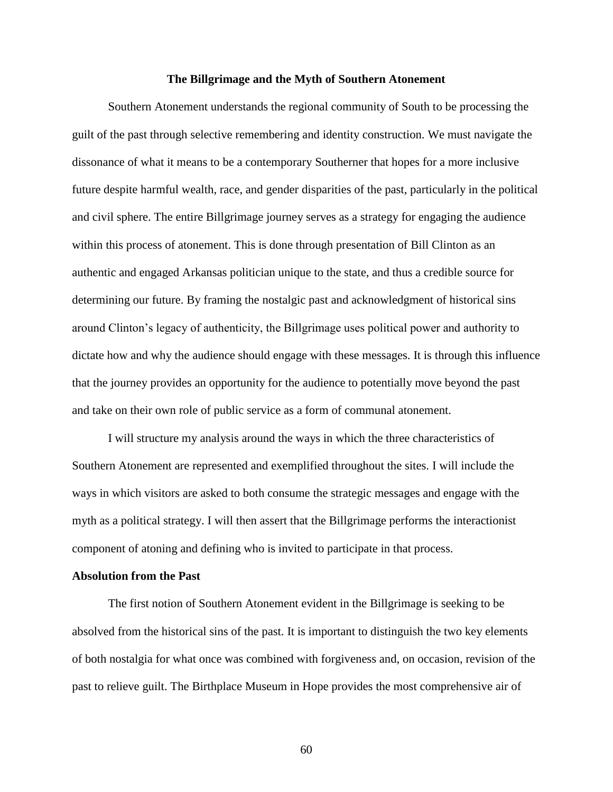#### **The Billgrimage and the Myth of Southern Atonement**

Southern Atonement understands the regional community of South to be processing the guilt of the past through selective remembering and identity construction. We must navigate the dissonance of what it means to be a contemporary Southerner that hopes for a more inclusive future despite harmful wealth, race, and gender disparities of the past, particularly in the political and civil sphere. The entire Billgrimage journey serves as a strategy for engaging the audience within this process of atonement. This is done through presentation of Bill Clinton as an authentic and engaged Arkansas politician unique to the state, and thus a credible source for determining our future. By framing the nostalgic past and acknowledgment of historical sins around Clinton's legacy of authenticity, the Billgrimage uses political power and authority to dictate how and why the audience should engage with these messages. It is through this influence that the journey provides an opportunity for the audience to potentially move beyond the past and take on their own role of public service as a form of communal atonement.

I will structure my analysis around the ways in which the three characteristics of Southern Atonement are represented and exemplified throughout the sites. I will include the ways in which visitors are asked to both consume the strategic messages and engage with the myth as a political strategy. I will then assert that the Billgrimage performs the interactionist component of atoning and defining who is invited to participate in that process.

### **Absolution from the Past**

The first notion of Southern Atonement evident in the Billgrimage is seeking to be absolved from the historical sins of the past. It is important to distinguish the two key elements of both nostalgia for what once was combined with forgiveness and, on occasion, revision of the past to relieve guilt. The Birthplace Museum in Hope provides the most comprehensive air of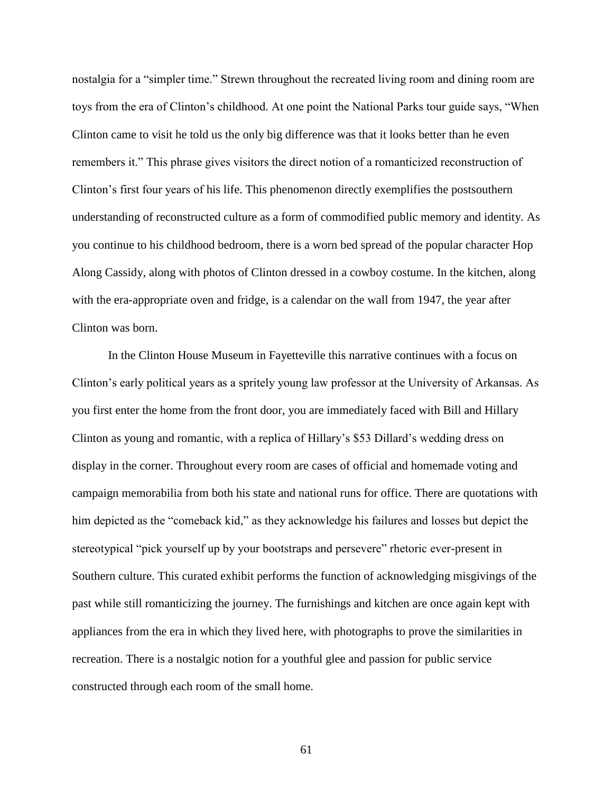nostalgia for a "simpler time." Strewn throughout the recreated living room and dining room are toys from the era of Clinton's childhood. At one point the National Parks tour guide says, "When Clinton came to visit he told us the only big difference was that it looks better than he even remembers it." This phrase gives visitors the direct notion of a romanticized reconstruction of Clinton's first four years of his life. This phenomenon directly exemplifies the postsouthern understanding of reconstructed culture as a form of commodified public memory and identity. As you continue to his childhood bedroom, there is a worn bed spread of the popular character Hop Along Cassidy, along with photos of Clinton dressed in a cowboy costume. In the kitchen, along with the era-appropriate oven and fridge, is a calendar on the wall from 1947, the year after Clinton was born.

In the Clinton House Museum in Fayetteville this narrative continues with a focus on Clinton's early political years as a spritely young law professor at the University of Arkansas. As you first enter the home from the front door, you are immediately faced with Bill and Hillary Clinton as young and romantic, with a replica of Hillary's \$53 Dillard's wedding dress on display in the corner. Throughout every room are cases of official and homemade voting and campaign memorabilia from both his state and national runs for office. There are quotations with him depicted as the "comeback kid," as they acknowledge his failures and losses but depict the stereotypical "pick yourself up by your bootstraps and persevere" rhetoric ever-present in Southern culture. This curated exhibit performs the function of acknowledging misgivings of the past while still romanticizing the journey. The furnishings and kitchen are once again kept with appliances from the era in which they lived here, with photographs to prove the similarities in recreation. There is a nostalgic notion for a youthful glee and passion for public service constructed through each room of the small home.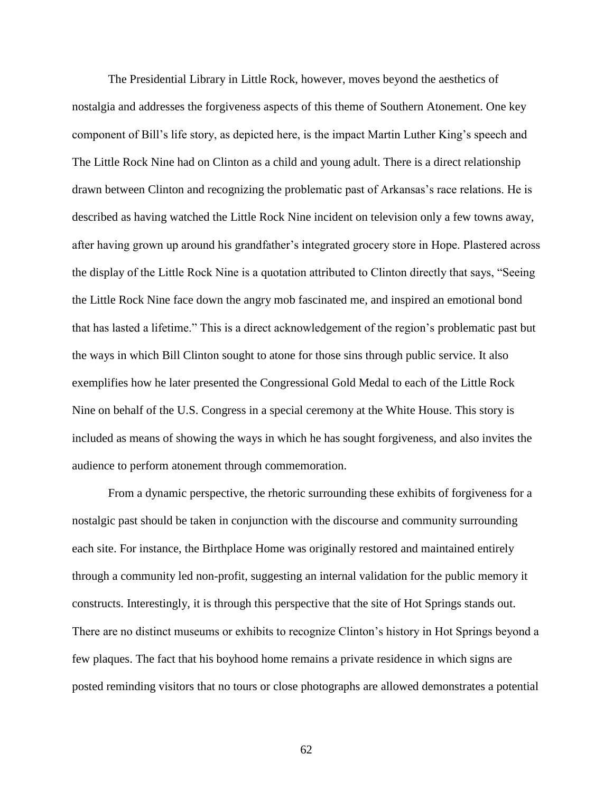The Presidential Library in Little Rock, however, moves beyond the aesthetics of nostalgia and addresses the forgiveness aspects of this theme of Southern Atonement. One key component of Bill's life story, as depicted here, is the impact Martin Luther King's speech and The Little Rock Nine had on Clinton as a child and young adult. There is a direct relationship drawn between Clinton and recognizing the problematic past of Arkansas's race relations. He is described as having watched the Little Rock Nine incident on television only a few towns away, after having grown up around his grandfather's integrated grocery store in Hope. Plastered across the display of the Little Rock Nine is a quotation attributed to Clinton directly that says, "Seeing the Little Rock Nine face down the angry mob fascinated me, and inspired an emotional bond that has lasted a lifetime." This is a direct acknowledgement of the region's problematic past but the ways in which Bill Clinton sought to atone for those sins through public service. It also exemplifies how he later presented the Congressional Gold Medal to each of the Little Rock Nine on behalf of the U.S. Congress in a special ceremony at the White House. This story is included as means of showing the ways in which he has sought forgiveness, and also invites the audience to perform atonement through commemoration.

From a dynamic perspective, the rhetoric surrounding these exhibits of forgiveness for a nostalgic past should be taken in conjunction with the discourse and community surrounding each site. For instance, the Birthplace Home was originally restored and maintained entirely through a community led non-profit, suggesting an internal validation for the public memory it constructs. Interestingly, it is through this perspective that the site of Hot Springs stands out. There are no distinct museums or exhibits to recognize Clinton's history in Hot Springs beyond a few plaques. The fact that his boyhood home remains a private residence in which signs are posted reminding visitors that no tours or close photographs are allowed demonstrates a potential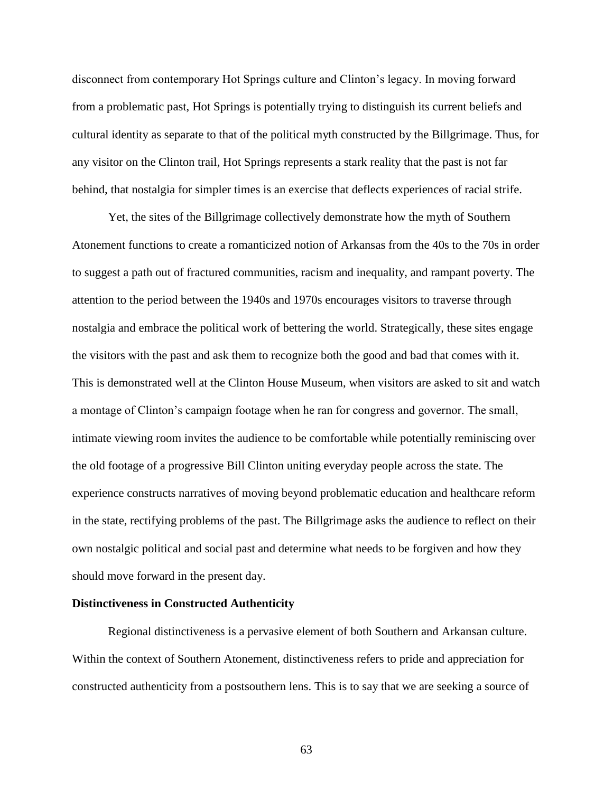disconnect from contemporary Hot Springs culture and Clinton's legacy. In moving forward from a problematic past, Hot Springs is potentially trying to distinguish its current beliefs and cultural identity as separate to that of the political myth constructed by the Billgrimage. Thus, for any visitor on the Clinton trail, Hot Springs represents a stark reality that the past is not far behind, that nostalgia for simpler times is an exercise that deflects experiences of racial strife.

Yet, the sites of the Billgrimage collectively demonstrate how the myth of Southern Atonement functions to create a romanticized notion of Arkansas from the 40s to the 70s in order to suggest a path out of fractured communities, racism and inequality, and rampant poverty. The attention to the period between the 1940s and 1970s encourages visitors to traverse through nostalgia and embrace the political work of bettering the world. Strategically, these sites engage the visitors with the past and ask them to recognize both the good and bad that comes with it. This is demonstrated well at the Clinton House Museum, when visitors are asked to sit and watch a montage of Clinton's campaign footage when he ran for congress and governor. The small, intimate viewing room invites the audience to be comfortable while potentially reminiscing over the old footage of a progressive Bill Clinton uniting everyday people across the state. The experience constructs narratives of moving beyond problematic education and healthcare reform in the state, rectifying problems of the past. The Billgrimage asks the audience to reflect on their own nostalgic political and social past and determine what needs to be forgiven and how they should move forward in the present day.

### **Distinctiveness in Constructed Authenticity**

Regional distinctiveness is a pervasive element of both Southern and Arkansan culture. Within the context of Southern Atonement, distinctiveness refers to pride and appreciation for constructed authenticity from a postsouthern lens. This is to say that we are seeking a source of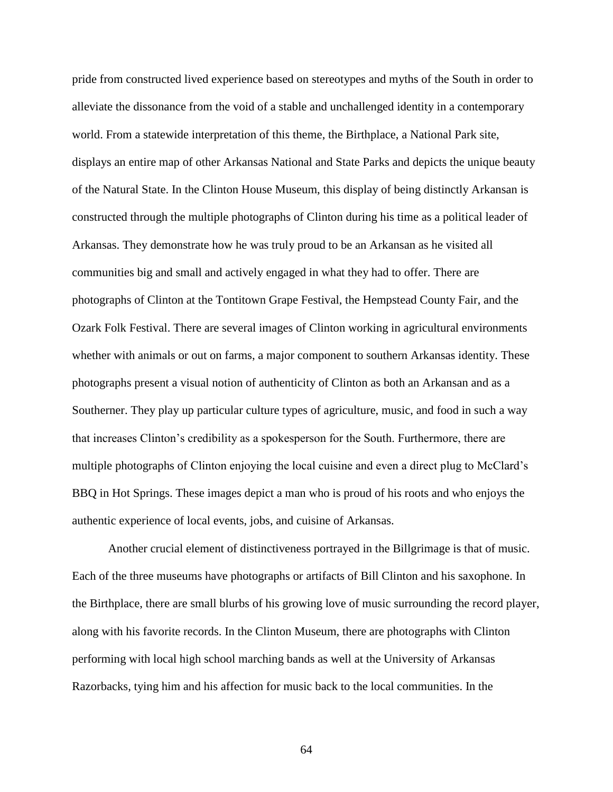pride from constructed lived experience based on stereotypes and myths of the South in order to alleviate the dissonance from the void of a stable and unchallenged identity in a contemporary world. From a statewide interpretation of this theme, the Birthplace, a National Park site, displays an entire map of other Arkansas National and State Parks and depicts the unique beauty of the Natural State. In the Clinton House Museum, this display of being distinctly Arkansan is constructed through the multiple photographs of Clinton during his time as a political leader of Arkansas. They demonstrate how he was truly proud to be an Arkansan as he visited all communities big and small and actively engaged in what they had to offer. There are photographs of Clinton at the Tontitown Grape Festival, the Hempstead County Fair, and the Ozark Folk Festival. There are several images of Clinton working in agricultural environments whether with animals or out on farms, a major component to southern Arkansas identity. These photographs present a visual notion of authenticity of Clinton as both an Arkansan and as a Southerner. They play up particular culture types of agriculture, music, and food in such a way that increases Clinton's credibility as a spokesperson for the South. Furthermore, there are multiple photographs of Clinton enjoying the local cuisine and even a direct plug to McClard's BBQ in Hot Springs. These images depict a man who is proud of his roots and who enjoys the authentic experience of local events, jobs, and cuisine of Arkansas.

Another crucial element of distinctiveness portrayed in the Billgrimage is that of music. Each of the three museums have photographs or artifacts of Bill Clinton and his saxophone. In the Birthplace, there are small blurbs of his growing love of music surrounding the record player, along with his favorite records. In the Clinton Museum, there are photographs with Clinton performing with local high school marching bands as well at the University of Arkansas Razorbacks, tying him and his affection for music back to the local communities. In the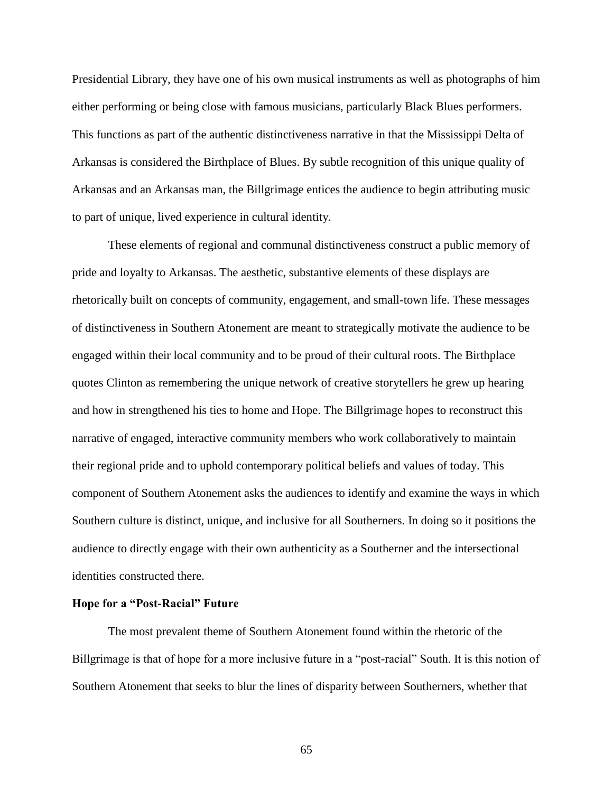Presidential Library, they have one of his own musical instruments as well as photographs of him either performing or being close with famous musicians, particularly Black Blues performers. This functions as part of the authentic distinctiveness narrative in that the Mississippi Delta of Arkansas is considered the Birthplace of Blues. By subtle recognition of this unique quality of Arkansas and an Arkansas man, the Billgrimage entices the audience to begin attributing music to part of unique, lived experience in cultural identity.

These elements of regional and communal distinctiveness construct a public memory of pride and loyalty to Arkansas. The aesthetic, substantive elements of these displays are rhetorically built on concepts of community, engagement, and small-town life. These messages of distinctiveness in Southern Atonement are meant to strategically motivate the audience to be engaged within their local community and to be proud of their cultural roots. The Birthplace quotes Clinton as remembering the unique network of creative storytellers he grew up hearing and how in strengthened his ties to home and Hope. The Billgrimage hopes to reconstruct this narrative of engaged, interactive community members who work collaboratively to maintain their regional pride and to uphold contemporary political beliefs and values of today. This component of Southern Atonement asks the audiences to identify and examine the ways in which Southern culture is distinct, unique, and inclusive for all Southerners. In doing so it positions the audience to directly engage with their own authenticity as a Southerner and the intersectional identities constructed there.

### **Hope for a "Post-Racial" Future**

The most prevalent theme of Southern Atonement found within the rhetoric of the Billgrimage is that of hope for a more inclusive future in a "post-racial" South. It is this notion of Southern Atonement that seeks to blur the lines of disparity between Southerners, whether that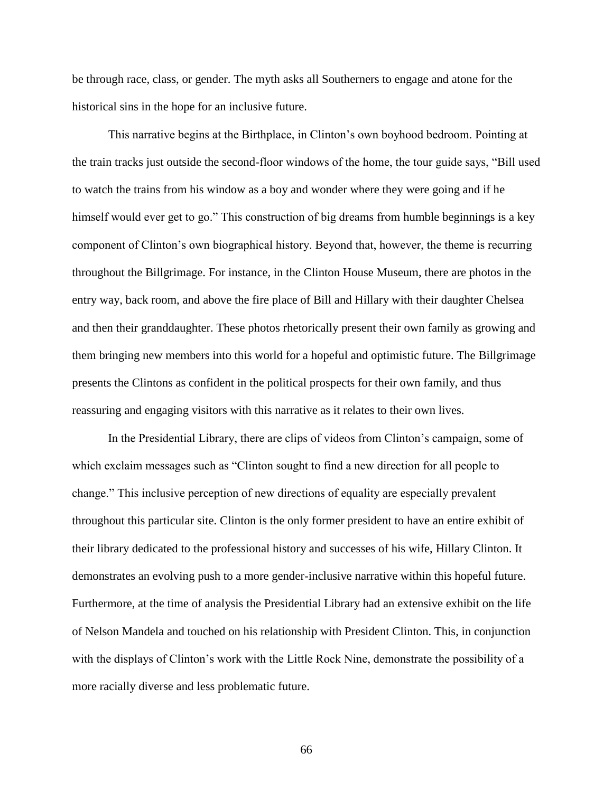be through race, class, or gender. The myth asks all Southerners to engage and atone for the historical sins in the hope for an inclusive future.

This narrative begins at the Birthplace, in Clinton's own boyhood bedroom. Pointing at the train tracks just outside the second-floor windows of the home, the tour guide says, "Bill used to watch the trains from his window as a boy and wonder where they were going and if he himself would ever get to go." This construction of big dreams from humble beginnings is a key component of Clinton's own biographical history. Beyond that, however, the theme is recurring throughout the Billgrimage. For instance, in the Clinton House Museum, there are photos in the entry way, back room, and above the fire place of Bill and Hillary with their daughter Chelsea and then their granddaughter. These photos rhetorically present their own family as growing and them bringing new members into this world for a hopeful and optimistic future. The Billgrimage presents the Clintons as confident in the political prospects for their own family, and thus reassuring and engaging visitors with this narrative as it relates to their own lives.

In the Presidential Library, there are clips of videos from Clinton's campaign, some of which exclaim messages such as "Clinton sought to find a new direction for all people to change." This inclusive perception of new directions of equality are especially prevalent throughout this particular site. Clinton is the only former president to have an entire exhibit of their library dedicated to the professional history and successes of his wife, Hillary Clinton. It demonstrates an evolving push to a more gender-inclusive narrative within this hopeful future. Furthermore, at the time of analysis the Presidential Library had an extensive exhibit on the life of Nelson Mandela and touched on his relationship with President Clinton. This, in conjunction with the displays of Clinton's work with the Little Rock Nine, demonstrate the possibility of a more racially diverse and less problematic future.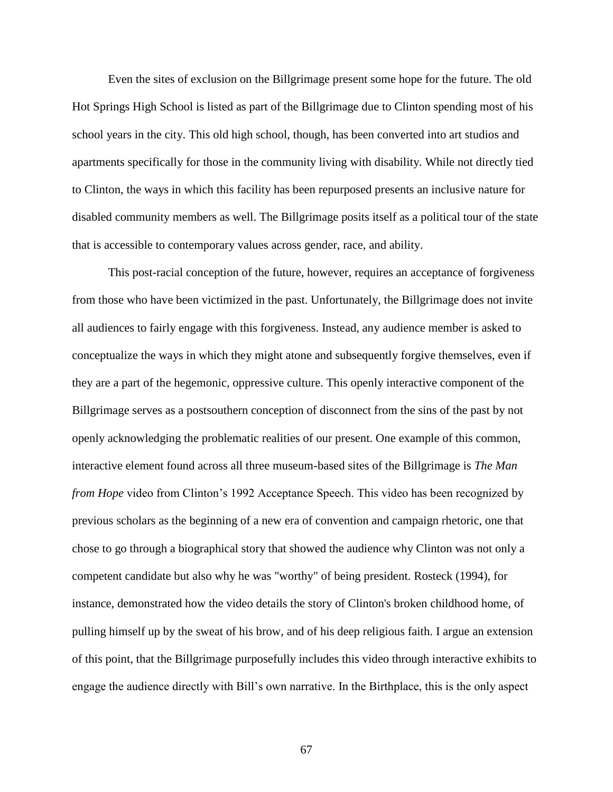Even the sites of exclusion on the Billgrimage present some hope for the future. The old Hot Springs High School is listed as part of the Billgrimage due to Clinton spending most of his school years in the city. This old high school, though, has been converted into art studios and apartments specifically for those in the community living with disability. While not directly tied to Clinton, the ways in which this facility has been repurposed presents an inclusive nature for disabled community members as well. The Billgrimage posits itself as a political tour of the state that is accessible to contemporary values across gender, race, and ability.

This post-racial conception of the future, however, requires an acceptance of forgiveness from those who have been victimized in the past. Unfortunately, the Billgrimage does not invite all audiences to fairly engage with this forgiveness. Instead, any audience member is asked to conceptualize the ways in which they might atone and subsequently forgive themselves, even if they are a part of the hegemonic, oppressive culture. This openly interactive component of the Billgrimage serves as a postsouthern conception of disconnect from the sins of the past by not openly acknowledging the problematic realities of our present. One example of this common, interactive element found across all three museum-based sites of the Billgrimage is *The Man from Hope* video from Clinton's 1992 Acceptance Speech. This video has been recognized by previous scholars as the beginning of a new era of convention and campaign rhetoric, one that chose to go through a biographical story that showed the audience why Clinton was not only a competent candidate but also why he was "worthy" of being president. Rosteck (1994), for instance, demonstrated how the video details the story of Clinton's broken childhood home, of pulling himself up by the sweat of his brow, and of his deep religious faith. I argue an extension of this point, that the Billgrimage purposefully includes this video through interactive exhibits to engage the audience directly with Bill's own narrative. In the Birthplace, this is the only aspect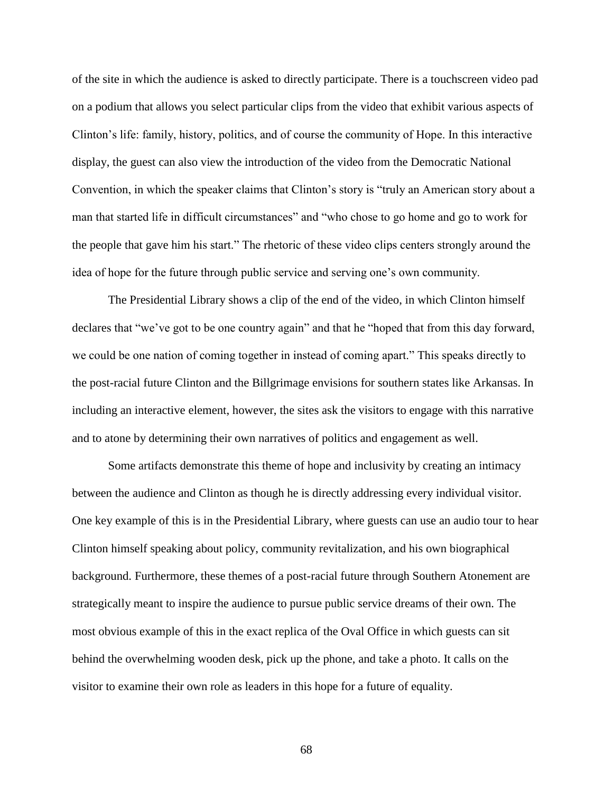of the site in which the audience is asked to directly participate. There is a touchscreen video pad on a podium that allows you select particular clips from the video that exhibit various aspects of Clinton's life: family, history, politics, and of course the community of Hope. In this interactive display, the guest can also view the introduction of the video from the Democratic National Convention, in which the speaker claims that Clinton's story is "truly an American story about a man that started life in difficult circumstances" and "who chose to go home and go to work for the people that gave him his start." The rhetoric of these video clips centers strongly around the idea of hope for the future through public service and serving one's own community.

The Presidential Library shows a clip of the end of the video, in which Clinton himself declares that "we've got to be one country again" and that he "hoped that from this day forward, we could be one nation of coming together in instead of coming apart." This speaks directly to the post-racial future Clinton and the Billgrimage envisions for southern states like Arkansas. In including an interactive element, however, the sites ask the visitors to engage with this narrative and to atone by determining their own narratives of politics and engagement as well.

Some artifacts demonstrate this theme of hope and inclusivity by creating an intimacy between the audience and Clinton as though he is directly addressing every individual visitor. One key example of this is in the Presidential Library, where guests can use an audio tour to hear Clinton himself speaking about policy, community revitalization, and his own biographical background. Furthermore, these themes of a post-racial future through Southern Atonement are strategically meant to inspire the audience to pursue public service dreams of their own. The most obvious example of this in the exact replica of the Oval Office in which guests can sit behind the overwhelming wooden desk, pick up the phone, and take a photo. It calls on the visitor to examine their own role as leaders in this hope for a future of equality.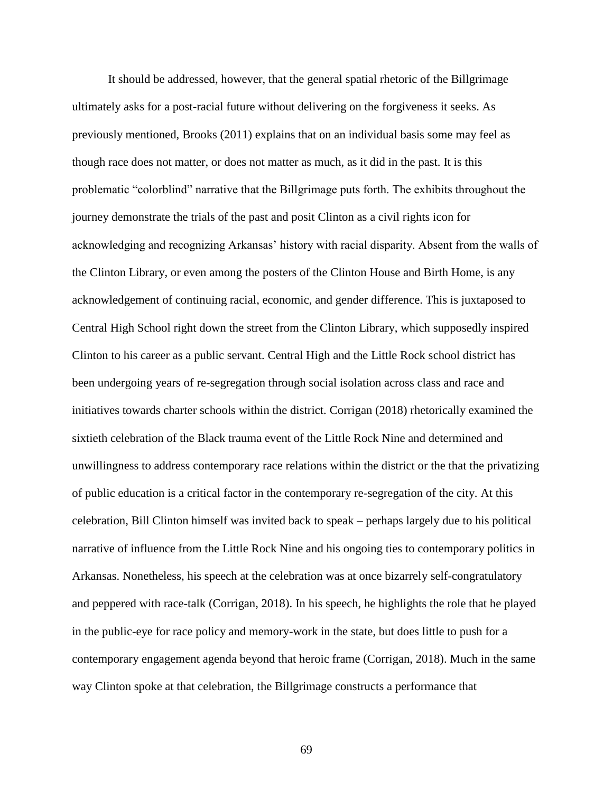It should be addressed, however, that the general spatial rhetoric of the Billgrimage ultimately asks for a post-racial future without delivering on the forgiveness it seeks. As previously mentioned, Brooks (2011) explains that on an individual basis some may feel as though race does not matter, or does not matter as much, as it did in the past. It is this problematic "colorblind" narrative that the Billgrimage puts forth. The exhibits throughout the journey demonstrate the trials of the past and posit Clinton as a civil rights icon for acknowledging and recognizing Arkansas' history with racial disparity. Absent from the walls of the Clinton Library, or even among the posters of the Clinton House and Birth Home, is any acknowledgement of continuing racial, economic, and gender difference. This is juxtaposed to Central High School right down the street from the Clinton Library, which supposedly inspired Clinton to his career as a public servant. Central High and the Little Rock school district has been undergoing years of re-segregation through social isolation across class and race and initiatives towards charter schools within the district. Corrigan (2018) rhetorically examined the sixtieth celebration of the Black trauma event of the Little Rock Nine and determined and unwillingness to address contemporary race relations within the district or the that the privatizing of public education is a critical factor in the contemporary re-segregation of the city. At this celebration, Bill Clinton himself was invited back to speak – perhaps largely due to his political narrative of influence from the Little Rock Nine and his ongoing ties to contemporary politics in Arkansas. Nonetheless, his speech at the celebration was at once bizarrely self-congratulatory and peppered with race-talk (Corrigan, 2018). In his speech, he highlights the role that he played in the public-eye for race policy and memory-work in the state, but does little to push for a contemporary engagement agenda beyond that heroic frame (Corrigan, 2018). Much in the same way Clinton spoke at that celebration, the Billgrimage constructs a performance that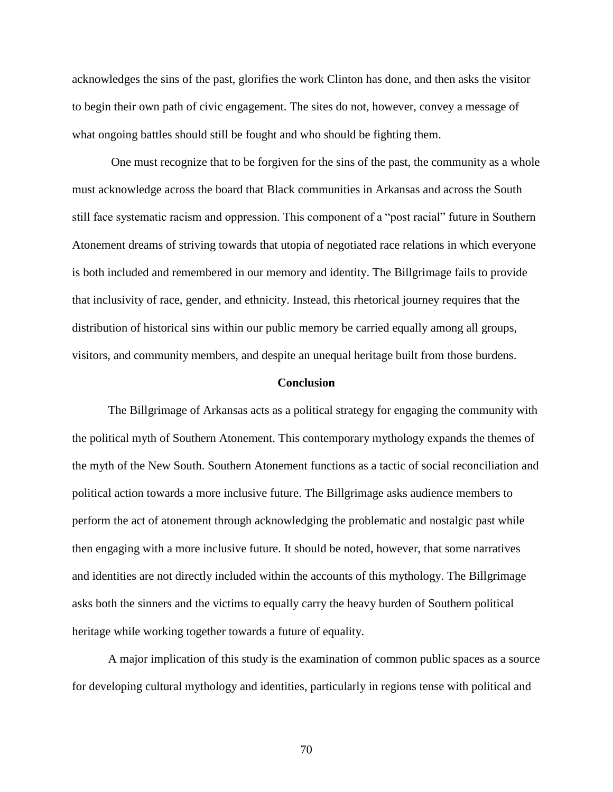acknowledges the sins of the past, glorifies the work Clinton has done, and then asks the visitor to begin their own path of civic engagement. The sites do not, however, convey a message of what ongoing battles should still be fought and who should be fighting them.

One must recognize that to be forgiven for the sins of the past, the community as a whole must acknowledge across the board that Black communities in Arkansas and across the South still face systematic racism and oppression. This component of a "post racial" future in Southern Atonement dreams of striving towards that utopia of negotiated race relations in which everyone is both included and remembered in our memory and identity. The Billgrimage fails to provide that inclusivity of race, gender, and ethnicity. Instead, this rhetorical journey requires that the distribution of historical sins within our public memory be carried equally among all groups, visitors, and community members, and despite an unequal heritage built from those burdens.

### **Conclusion**

The Billgrimage of Arkansas acts as a political strategy for engaging the community with the political myth of Southern Atonement. This contemporary mythology expands the themes of the myth of the New South. Southern Atonement functions as a tactic of social reconciliation and political action towards a more inclusive future. The Billgrimage asks audience members to perform the act of atonement through acknowledging the problematic and nostalgic past while then engaging with a more inclusive future. It should be noted, however, that some narratives and identities are not directly included within the accounts of this mythology. The Billgrimage asks both the sinners and the victims to equally carry the heavy burden of Southern political heritage while working together towards a future of equality.

A major implication of this study is the examination of common public spaces as a source for developing cultural mythology and identities, particularly in regions tense with political and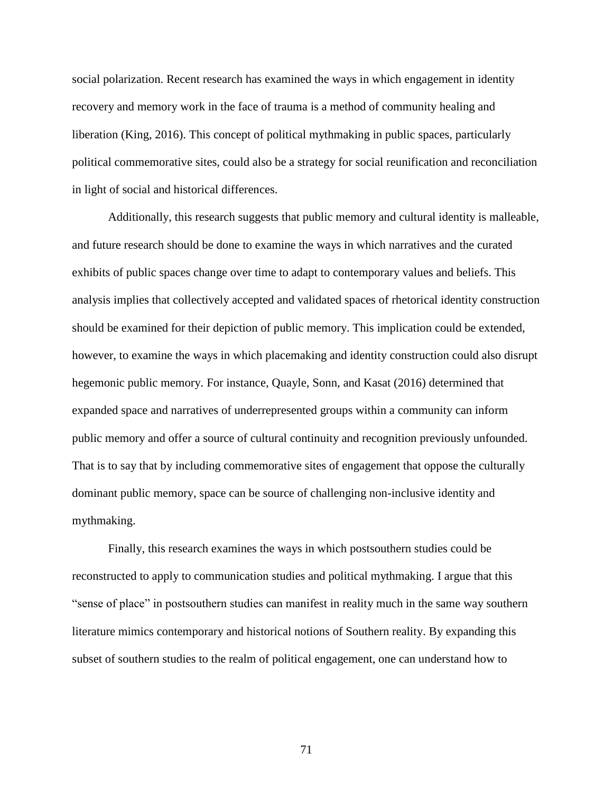social polarization. Recent research has examined the ways in which engagement in identity recovery and memory work in the face of trauma is a method of community healing and liberation (King, 2016). This concept of political mythmaking in public spaces, particularly political commemorative sites, could also be a strategy for social reunification and reconciliation in light of social and historical differences.

Additionally, this research suggests that public memory and cultural identity is malleable, and future research should be done to examine the ways in which narratives and the curated exhibits of public spaces change over time to adapt to contemporary values and beliefs. This analysis implies that collectively accepted and validated spaces of rhetorical identity construction should be examined for their depiction of public memory. This implication could be extended, however, to examine the ways in which placemaking and identity construction could also disrupt hegemonic public memory. For instance, Quayle, Sonn, and Kasat (2016) determined that expanded space and narratives of underrepresented groups within a community can inform public memory and offer a source of cultural continuity and recognition previously unfounded. That is to say that by including commemorative sites of engagement that oppose the culturally dominant public memory, space can be source of challenging non-inclusive identity and mythmaking.

Finally, this research examines the ways in which postsouthern studies could be reconstructed to apply to communication studies and political mythmaking. I argue that this "sense of place" in postsouthern studies can manifest in reality much in the same way southern literature mimics contemporary and historical notions of Southern reality. By expanding this subset of southern studies to the realm of political engagement, one can understand how to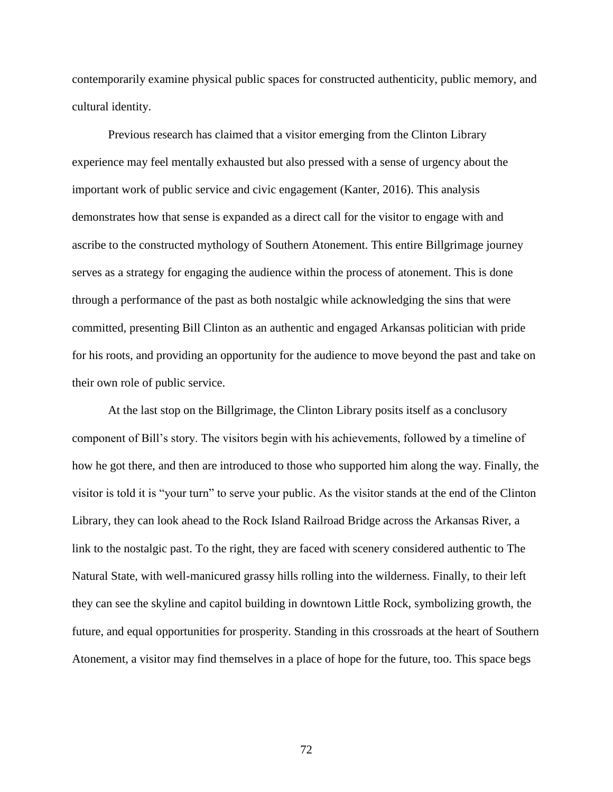contemporarily examine physical public spaces for constructed authenticity, public memory, and cultural identity.

Previous research has claimed that a visitor emerging from the Clinton Library experience may feel mentally exhausted but also pressed with a sense of urgency about the important work of public service and civic engagement (Kanter, 2016). This analysis demonstrates how that sense is expanded as a direct call for the visitor to engage with and ascribe to the constructed mythology of Southern Atonement. This entire Billgrimage journey serves as a strategy for engaging the audience within the process of atonement. This is done through a performance of the past as both nostalgic while acknowledging the sins that were committed, presenting Bill Clinton as an authentic and engaged Arkansas politician with pride for his roots, and providing an opportunity for the audience to move beyond the past and take on their own role of public service.

At the last stop on the Billgrimage, the Clinton Library posits itself as a conclusory component of Bill's story. The visitors begin with his achievements, followed by a timeline of how he got there, and then are introduced to those who supported him along the way. Finally, the visitor is told it is "your turn" to serve your public. As the visitor stands at the end of the Clinton Library, they can look ahead to the Rock Island Railroad Bridge across the Arkansas River, a link to the nostalgic past. To the right, they are faced with scenery considered authentic to The Natural State, with well-manicured grassy hills rolling into the wilderness. Finally, to their left they can see the skyline and capitol building in downtown Little Rock, symbolizing growth, the future, and equal opportunities for prosperity. Standing in this crossroads at the heart of Southern Atonement, a visitor may find themselves in a place of hope for the future, too. This space begs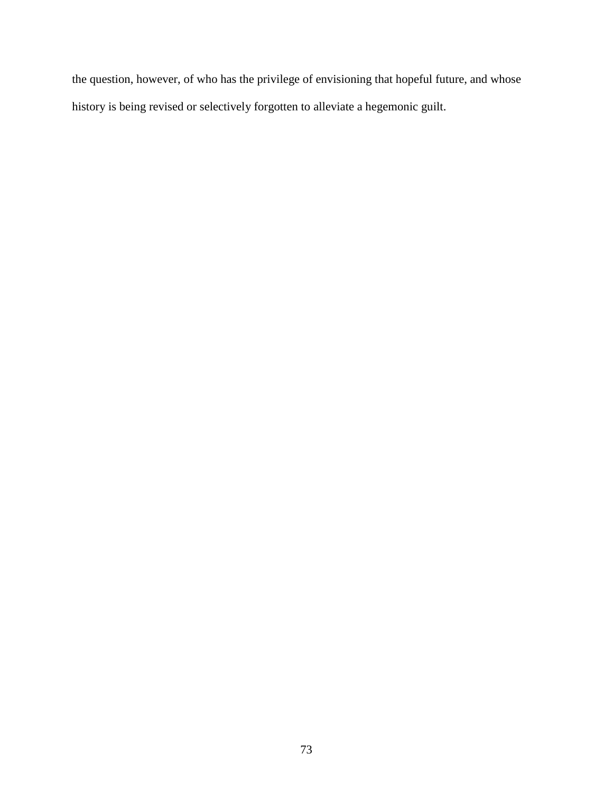the question, however, of who has the privilege of envisioning that hopeful future, and whose history is being revised or selectively forgotten to alleviate a hegemonic guilt.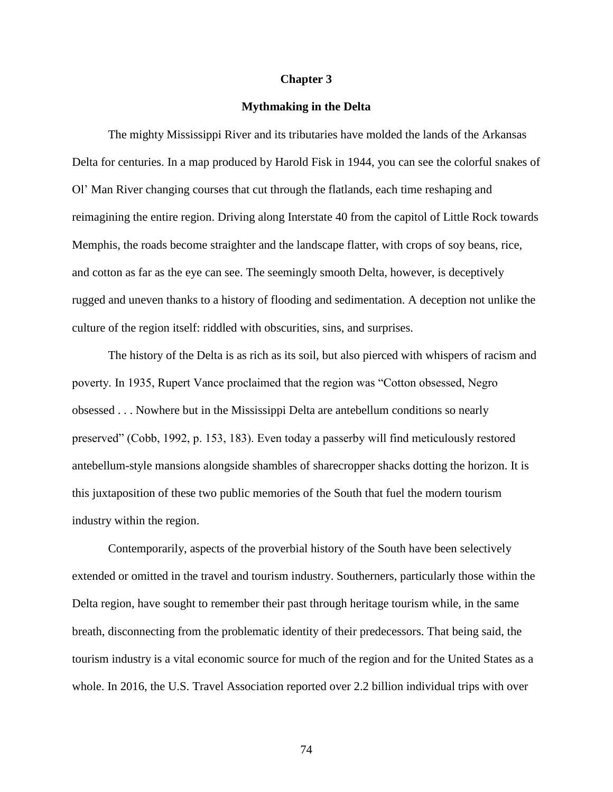### **Chapter 3**

# **Mythmaking in the Delta**

The mighty Mississippi River and its tributaries have molded the lands of the Arkansas Delta for centuries. In a map produced by Harold Fisk in 1944, you can see the colorful snakes of Ol' Man River changing courses that cut through the flatlands, each time reshaping and reimagining the entire region. Driving along Interstate 40 from the capitol of Little Rock towards Memphis, the roads become straighter and the landscape flatter, with crops of soy beans, rice, and cotton as far as the eye can see. The seemingly smooth Delta, however, is deceptively rugged and uneven thanks to a history of flooding and sedimentation. A deception not unlike the culture of the region itself: riddled with obscurities, sins, and surprises.

The history of the Delta is as rich as its soil, but also pierced with whispers of racism and poverty. In 1935, Rupert Vance proclaimed that the region was "Cotton obsessed, Negro obsessed . . . Nowhere but in the Mississippi Delta are antebellum conditions so nearly preserved" (Cobb, 1992, p. 153, 183). Even today a passerby will find meticulously restored antebellum-style mansions alongside shambles of sharecropper shacks dotting the horizon. It is this juxtaposition of these two public memories of the South that fuel the modern tourism industry within the region.

Contemporarily, aspects of the proverbial history of the South have been selectively extended or omitted in the travel and tourism industry. Southerners, particularly those within the Delta region, have sought to remember their past through heritage tourism while, in the same breath, disconnecting from the problematic identity of their predecessors. That being said, the tourism industry is a vital economic source for much of the region and for the United States as a whole. In 2016, the U.S. Travel Association reported over 2.2 billion individual trips with over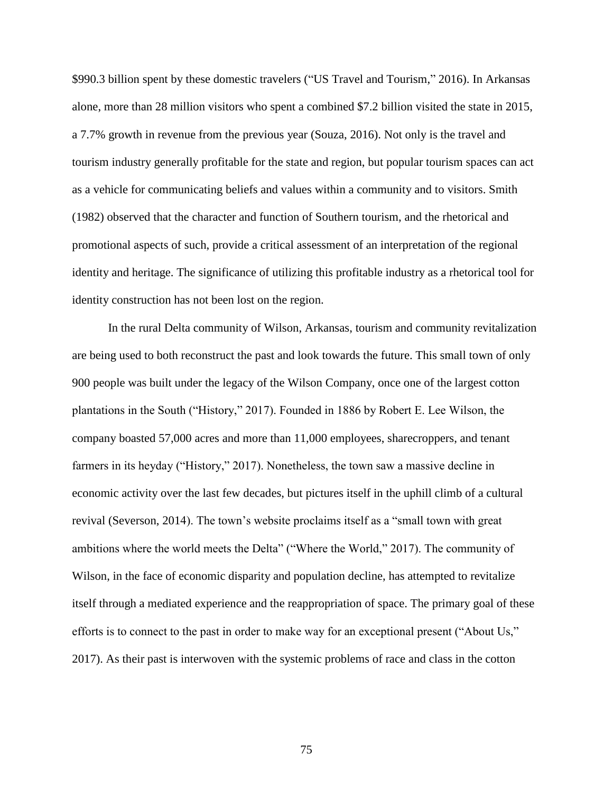\$990.3 billion spent by these domestic travelers ("US Travel and Tourism," 2016). In Arkansas alone, more than 28 million visitors who spent a combined \$7.2 billion visited the state in 2015, a 7.7% growth in revenue from the previous year (Souza, 2016). Not only is the travel and tourism industry generally profitable for the state and region, but popular tourism spaces can act as a vehicle for communicating beliefs and values within a community and to visitors. Smith (1982) observed that the character and function of Southern tourism, and the rhetorical and promotional aspects of such, provide a critical assessment of an interpretation of the regional identity and heritage. The significance of utilizing this profitable industry as a rhetorical tool for identity construction has not been lost on the region.

In the rural Delta community of Wilson, Arkansas, tourism and community revitalization are being used to both reconstruct the past and look towards the future. This small town of only 900 people was built under the legacy of the Wilson Company, once one of the largest cotton plantations in the South ("History," 2017). Founded in 1886 by Robert E. Lee Wilson, the company boasted 57,000 acres and more than 11,000 employees, sharecroppers, and tenant farmers in its heyday ("History," 2017). Nonetheless, the town saw a massive decline in economic activity over the last few decades, but pictures itself in the uphill climb of a cultural revival (Severson, 2014). The town's website proclaims itself as a "small town with great ambitions where the world meets the Delta" ("Where the World," 2017). The community of Wilson, in the face of economic disparity and population decline, has attempted to revitalize itself through a mediated experience and the reappropriation of space. The primary goal of these efforts is to connect to the past in order to make way for an exceptional present ("About Us," 2017). As their past is interwoven with the systemic problems of race and class in the cotton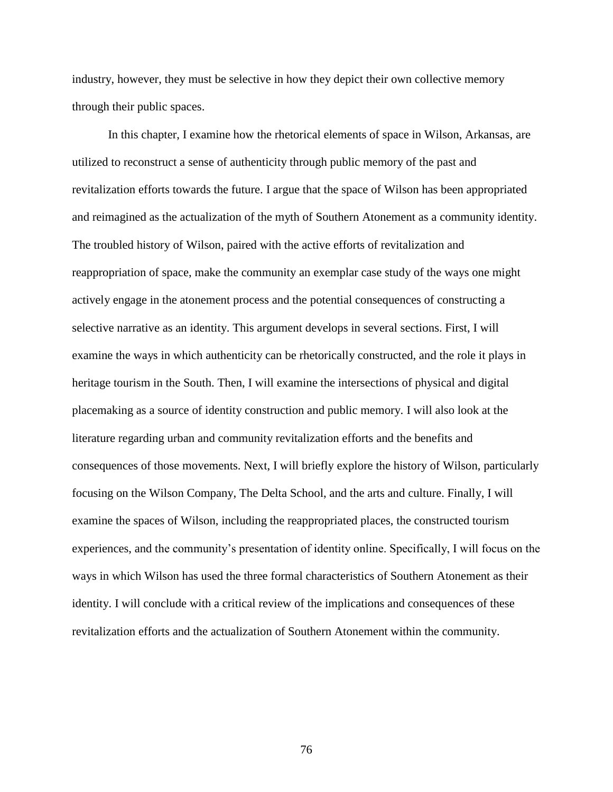industry, however, they must be selective in how they depict their own collective memory through their public spaces.

In this chapter, I examine how the rhetorical elements of space in Wilson, Arkansas, are utilized to reconstruct a sense of authenticity through public memory of the past and revitalization efforts towards the future. I argue that the space of Wilson has been appropriated and reimagined as the actualization of the myth of Southern Atonement as a community identity. The troubled history of Wilson, paired with the active efforts of revitalization and reappropriation of space, make the community an exemplar case study of the ways one might actively engage in the atonement process and the potential consequences of constructing a selective narrative as an identity. This argument develops in several sections. First, I will examine the ways in which authenticity can be rhetorically constructed, and the role it plays in heritage tourism in the South. Then, I will examine the intersections of physical and digital placemaking as a source of identity construction and public memory. I will also look at the literature regarding urban and community revitalization efforts and the benefits and consequences of those movements. Next, I will briefly explore the history of Wilson, particularly focusing on the Wilson Company, The Delta School, and the arts and culture. Finally, I will examine the spaces of Wilson, including the reappropriated places, the constructed tourism experiences, and the community's presentation of identity online. Specifically, I will focus on the ways in which Wilson has used the three formal characteristics of Southern Atonement as their identity. I will conclude with a critical review of the implications and consequences of these revitalization efforts and the actualization of Southern Atonement within the community.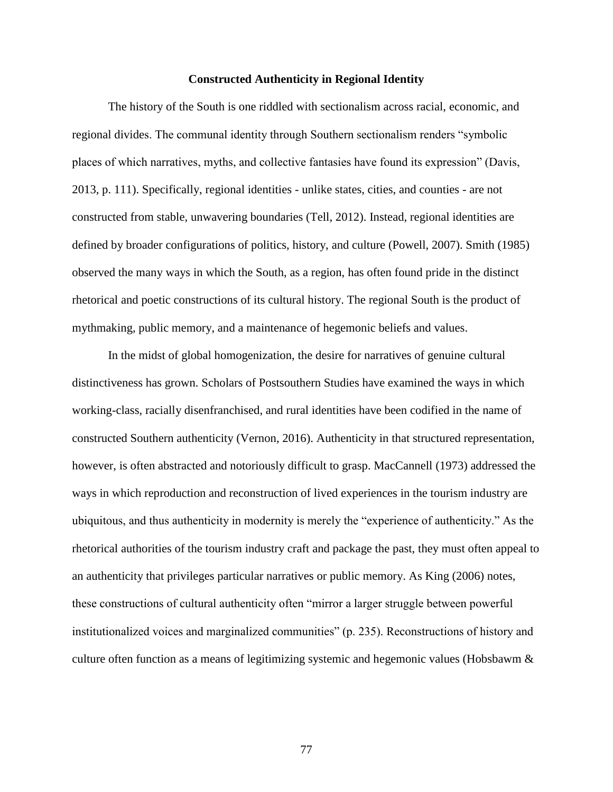#### **Constructed Authenticity in Regional Identity**

The history of the South is one riddled with sectionalism across racial, economic, and regional divides. The communal identity through Southern sectionalism renders "symbolic places of which narratives, myths, and collective fantasies have found its expression" (Davis, 2013, p. 111). Specifically, regional identities - unlike states, cities, and counties - are not constructed from stable, unwavering boundaries (Tell, 2012). Instead, regional identities are defined by broader configurations of politics, history, and culture (Powell, 2007). Smith (1985) observed the many ways in which the South, as a region, has often found pride in the distinct rhetorical and poetic constructions of its cultural history. The regional South is the product of mythmaking, public memory, and a maintenance of hegemonic beliefs and values.

In the midst of global homogenization, the desire for narratives of genuine cultural distinctiveness has grown. Scholars of Postsouthern Studies have examined the ways in which working-class, racially disenfranchised, and rural identities have been codified in the name of constructed Southern authenticity (Vernon, 2016). Authenticity in that structured representation, however, is often abstracted and notoriously difficult to grasp. MacCannell (1973) addressed the ways in which reproduction and reconstruction of lived experiences in the tourism industry are ubiquitous, and thus authenticity in modernity is merely the "experience of authenticity." As the rhetorical authorities of the tourism industry craft and package the past, they must often appeal to an authenticity that privileges particular narratives or public memory. As King (2006) notes, these constructions of cultural authenticity often "mirror a larger struggle between powerful institutionalized voices and marginalized communities" (p. 235). Reconstructions of history and culture often function as a means of legitimizing systemic and hegemonic values (Hobsbawm &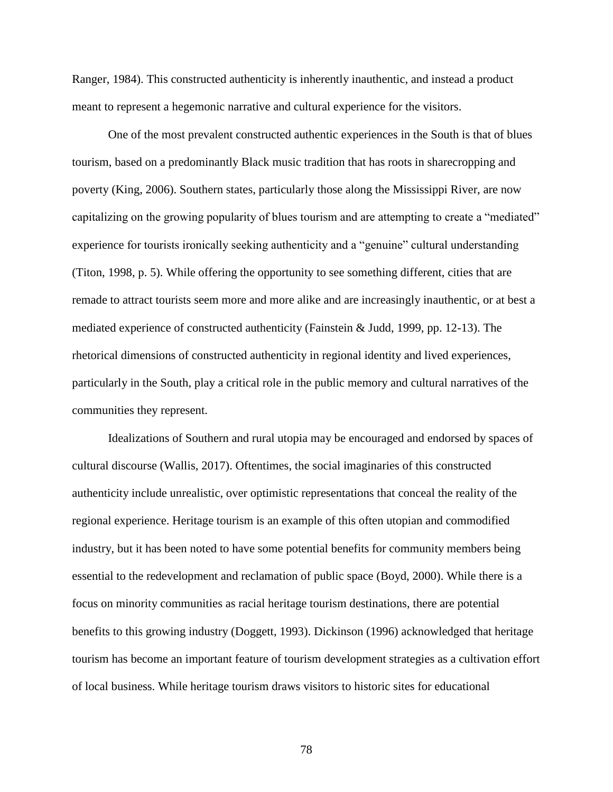Ranger, 1984). This constructed authenticity is inherently inauthentic, and instead a product meant to represent a hegemonic narrative and cultural experience for the visitors.

One of the most prevalent constructed authentic experiences in the South is that of blues tourism, based on a predominantly Black music tradition that has roots in sharecropping and poverty (King, 2006). Southern states, particularly those along the Mississippi River, are now capitalizing on the growing popularity of blues tourism and are attempting to create a "mediated" experience for tourists ironically seeking authenticity and a "genuine" cultural understanding (Titon, 1998, p. 5). While offering the opportunity to see something different, cities that are remade to attract tourists seem more and more alike and are increasingly inauthentic, or at best a mediated experience of constructed authenticity (Fainstein & Judd, 1999, pp. 12-13). The rhetorical dimensions of constructed authenticity in regional identity and lived experiences, particularly in the South, play a critical role in the public memory and cultural narratives of the communities they represent.

Idealizations of Southern and rural utopia may be encouraged and endorsed by spaces of cultural discourse (Wallis, 2017). Oftentimes, the social imaginaries of this constructed authenticity include unrealistic, over optimistic representations that conceal the reality of the regional experience. Heritage tourism is an example of this often utopian and commodified industry, but it has been noted to have some potential benefits for community members being essential to the redevelopment and reclamation of public space (Boyd, 2000). While there is a focus on minority communities as racial heritage tourism destinations, there are potential benefits to this growing industry (Doggett, 1993). Dickinson (1996) acknowledged that heritage tourism has become an important feature of tourism development strategies as a cultivation effort of local business. While heritage tourism draws visitors to historic sites for educational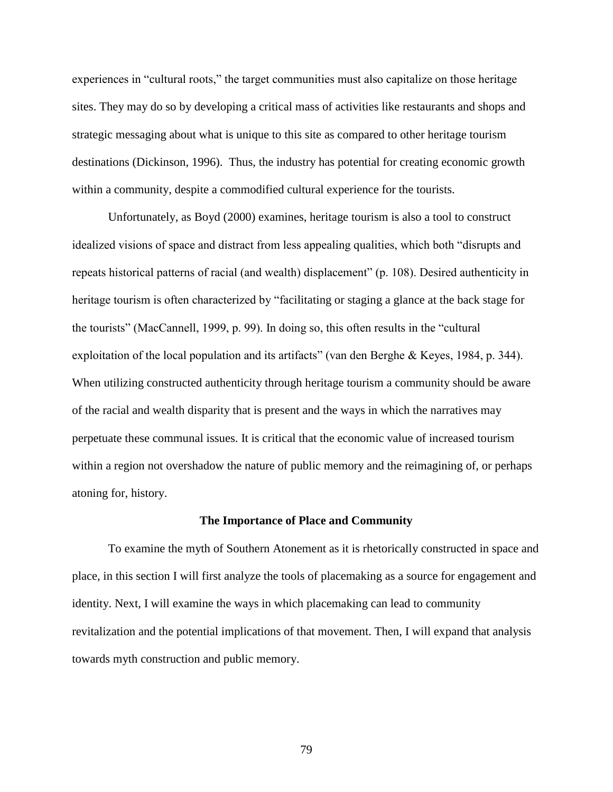experiences in "cultural roots," the target communities must also capitalize on those heritage sites. They may do so by developing a critical mass of activities like restaurants and shops and strategic messaging about what is unique to this site as compared to other heritage tourism destinations (Dickinson, 1996). Thus, the industry has potential for creating economic growth within a community, despite a commodified cultural experience for the tourists.

Unfortunately, as Boyd (2000) examines, heritage tourism is also a tool to construct idealized visions of space and distract from less appealing qualities, which both "disrupts and repeats historical patterns of racial (and wealth) displacement" (p. 108). Desired authenticity in heritage tourism is often characterized by "facilitating or staging a glance at the back stage for the tourists" (MacCannell, 1999, p. 99). In doing so, this often results in the "cultural exploitation of the local population and its artifacts" (van den Berghe & Keyes, 1984, p. 344). When utilizing constructed authenticity through heritage tourism a community should be aware of the racial and wealth disparity that is present and the ways in which the narratives may perpetuate these communal issues. It is critical that the economic value of increased tourism within a region not overshadow the nature of public memory and the reimagining of, or perhaps atoning for, history.

### **The Importance of Place and Community**

To examine the myth of Southern Atonement as it is rhetorically constructed in space and place, in this section I will first analyze the tools of placemaking as a source for engagement and identity. Next, I will examine the ways in which placemaking can lead to community revitalization and the potential implications of that movement. Then, I will expand that analysis towards myth construction and public memory.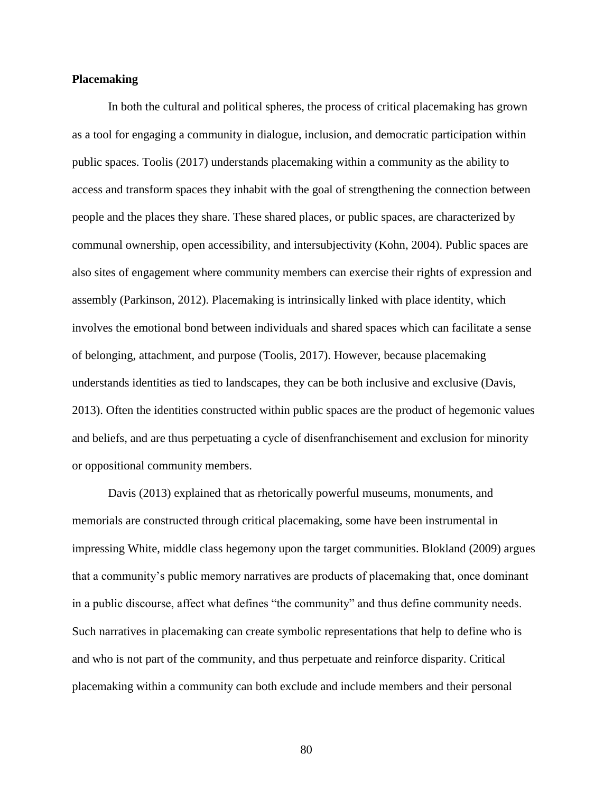# **Placemaking**

In both the cultural and political spheres, the process of critical placemaking has grown as a tool for engaging a community in dialogue, inclusion, and democratic participation within public spaces. Toolis (2017) understands placemaking within a community as the ability to access and transform spaces they inhabit with the goal of strengthening the connection between people and the places they share. These shared places, or public spaces, are characterized by communal ownership, open accessibility, and intersubjectivity (Kohn, 2004). Public spaces are also sites of engagement where community members can exercise their rights of expression and assembly (Parkinson, 2012). Placemaking is intrinsically linked with place identity, which involves the emotional bond between individuals and shared spaces which can facilitate a sense of belonging, attachment, and purpose (Toolis, 2017). However, because placemaking understands identities as tied to landscapes, they can be both inclusive and exclusive (Davis, 2013). Often the identities constructed within public spaces are the product of hegemonic values and beliefs, and are thus perpetuating a cycle of disenfranchisement and exclusion for minority or oppositional community members.

Davis (2013) explained that as rhetorically powerful museums, monuments, and memorials are constructed through critical placemaking, some have been instrumental in impressing White, middle class hegemony upon the target communities. Blokland (2009) argues that a community's public memory narratives are products of placemaking that, once dominant in a public discourse, affect what defines "the community" and thus define community needs. Such narratives in placemaking can create symbolic representations that help to define who is and who is not part of the community, and thus perpetuate and reinforce disparity. Critical placemaking within a community can both exclude and include members and their personal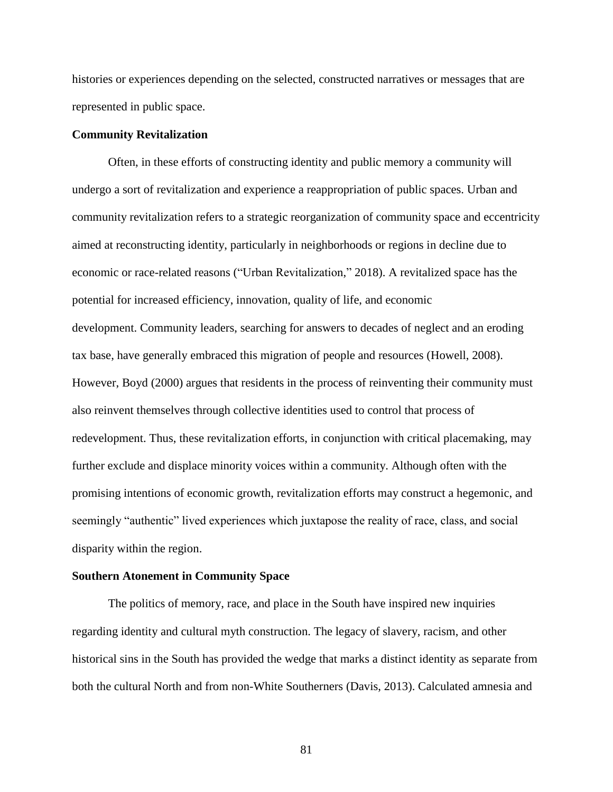histories or experiences depending on the selected, constructed narratives or messages that are represented in public space.

# **Community Revitalization**

Often, in these efforts of constructing identity and public memory a community will undergo a sort of revitalization and experience a reappropriation of public spaces. Urban and community revitalization refers to a strategic reorganization of community space and eccentricity aimed at reconstructing identity, particularly in neighborhoods or regions in decline due to economic or race-related reasons ("Urban Revitalization," 2018). A revitalized space has the potential for increased efficiency, innovation, quality of life, and economic development. Community leaders, searching for answers to decades of neglect and an eroding tax base, have generally embraced this migration of people and resources (Howell, 2008). However, Boyd (2000) argues that residents in the process of reinventing their community must also reinvent themselves through collective identities used to control that process of redevelopment. Thus, these revitalization efforts, in conjunction with critical placemaking, may further exclude and displace minority voices within a community. Although often with the promising intentions of economic growth, revitalization efforts may construct a hegemonic, and seemingly "authentic" lived experiences which juxtapose the reality of race, class, and social disparity within the region.

### **Southern Atonement in Community Space**

The politics of memory, race, and place in the South have inspired new inquiries regarding identity and cultural myth construction. The legacy of slavery, racism, and other historical sins in the South has provided the wedge that marks a distinct identity as separate from both the cultural North and from non-White Southerners (Davis, 2013). Calculated amnesia and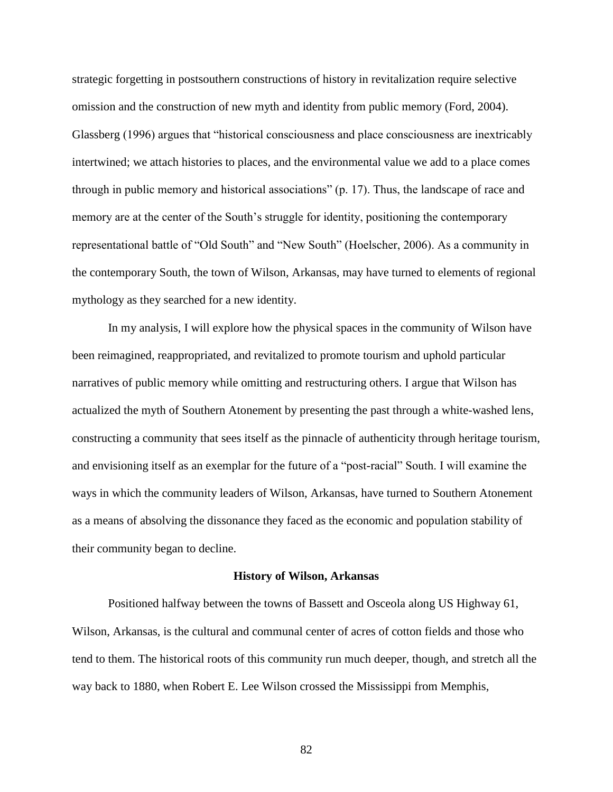strategic forgetting in postsouthern constructions of history in revitalization require selective omission and the construction of new myth and identity from public memory (Ford, 2004). Glassberg (1996) argues that "historical consciousness and place consciousness are inextricably intertwined; we attach histories to places, and the environmental value we add to a place comes through in public memory and historical associations" (p. 17). Thus, the landscape of race and memory are at the center of the South's struggle for identity, positioning the contemporary representational battle of "Old South" and "New South" (Hoelscher, 2006). As a community in the contemporary South, the town of Wilson, Arkansas, may have turned to elements of regional mythology as they searched for a new identity.

In my analysis, I will explore how the physical spaces in the community of Wilson have been reimagined, reappropriated, and revitalized to promote tourism and uphold particular narratives of public memory while omitting and restructuring others. I argue that Wilson has actualized the myth of Southern Atonement by presenting the past through a white-washed lens, constructing a community that sees itself as the pinnacle of authenticity through heritage tourism, and envisioning itself as an exemplar for the future of a "post-racial" South. I will examine the ways in which the community leaders of Wilson, Arkansas, have turned to Southern Atonement as a means of absolving the dissonance they faced as the economic and population stability of their community began to decline.

#### **History of Wilson, Arkansas**

Positioned halfway between the towns of Bassett and Osceola along US Highway 61, Wilson, Arkansas, is the cultural and communal center of acres of cotton fields and those who tend to them. The historical roots of this community run much deeper, though, and stretch all the way back to 1880, when Robert E. Lee Wilson crossed the Mississippi from Memphis,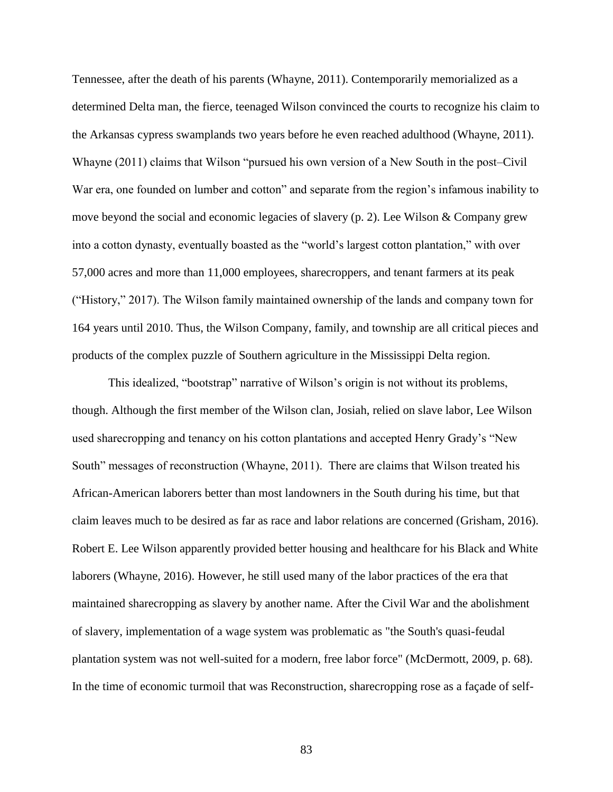Tennessee, after the death of his parents (Whayne, 2011). Contemporarily memorialized as a determined Delta man, the fierce, teenaged Wilson convinced the courts to recognize his claim to the Arkansas cypress swamplands two years before he even reached adulthood (Whayne, 2011). Whayne (2011) claims that Wilson "pursued his own version of a New South in the post–Civil War era, one founded on lumber and cotton" and separate from the region's infamous inability to move beyond the social and economic legacies of slavery (p. 2). Lee Wilson & Company grew into a cotton dynasty, eventually boasted as the "world's largest cotton plantation," with over 57,000 acres and more than 11,000 employees, sharecroppers, and tenant farmers at its peak ("History," 2017). The Wilson family maintained ownership of the lands and company town for 164 years until 2010. Thus, the Wilson Company, family, and township are all critical pieces and products of the complex puzzle of Southern agriculture in the Mississippi Delta region.

This idealized, "bootstrap" narrative of Wilson's origin is not without its problems, though. Although the first member of the Wilson clan, Josiah, relied on slave labor, Lee Wilson used sharecropping and tenancy on his cotton plantations and accepted Henry Grady's "New South" messages of reconstruction (Whayne, 2011). There are claims that Wilson treated his African-American laborers better than most landowners in the South during his time, but that claim leaves much to be desired as far as race and labor relations are concerned (Grisham, 2016). Robert E. Lee Wilson apparently provided better housing and healthcare for his Black and White laborers (Whayne, 2016). However, he still used many of the labor practices of the era that maintained sharecropping as slavery by another name. After the Civil War and the abolishment of slavery, implementation of a wage system was problematic as "the South's quasi-feudal plantation system was not well-suited for a modern, free labor force" (McDermott, 2009, p. 68). In the time of economic turmoil that was Reconstruction, sharecropping rose as a façade of self-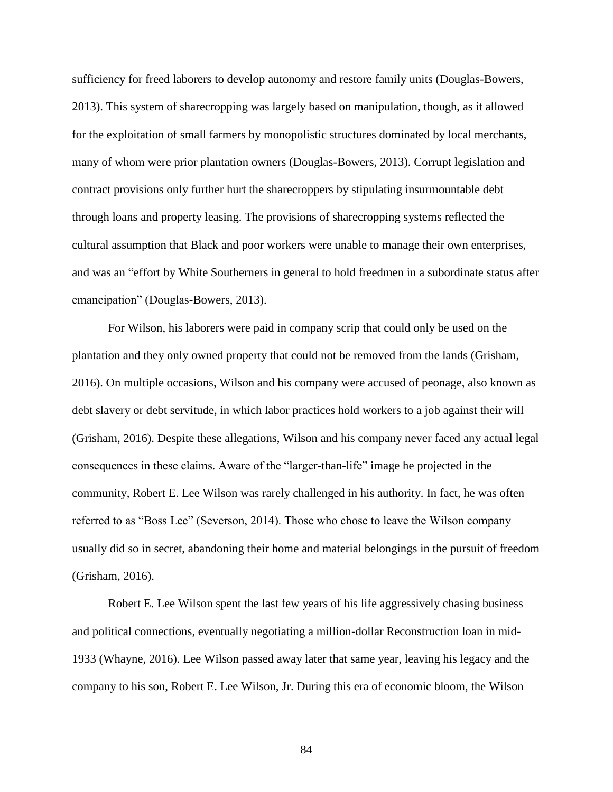sufficiency for freed laborers to develop autonomy and restore family units (Douglas-Bowers, 2013). This system of sharecropping was largely based on manipulation, though, as it allowed for the exploitation of small farmers by monopolistic structures dominated by local merchants, many of whom were prior plantation owners (Douglas-Bowers, 2013). Corrupt legislation and contract provisions only further hurt the sharecroppers by stipulating insurmountable debt through loans and property leasing. The provisions of sharecropping systems reflected the cultural assumption that Black and poor workers were unable to manage their own enterprises, and was an "effort by White Southerners in general to hold freedmen in a subordinate status after emancipation" (Douglas-Bowers, 2013).

For Wilson, his laborers were paid in company scrip that could only be used on the plantation and they only owned property that could not be removed from the lands (Grisham, 2016). On multiple occasions, Wilson and his company were accused of peonage, also known as debt slavery or debt servitude, in which labor practices hold workers to a job against their will (Grisham, 2016). Despite these allegations, Wilson and his company never faced any actual legal consequences in these claims. Aware of the "larger-than-life" image he projected in the community, Robert E. Lee Wilson was rarely challenged in his authority. In fact, he was often referred to as "Boss Lee" (Severson, 2014). Those who chose to leave the Wilson company usually did so in secret, abandoning their home and material belongings in the pursuit of freedom (Grisham, 2016).

Robert E. Lee Wilson spent the last few years of his life aggressively chasing business and political connections, eventually negotiating a million-dollar Reconstruction loan in mid-1933 (Whayne, 2016). Lee Wilson passed away later that same year, leaving his legacy and the company to his son, Robert E. Lee Wilson, Jr. During this era of economic bloom, the Wilson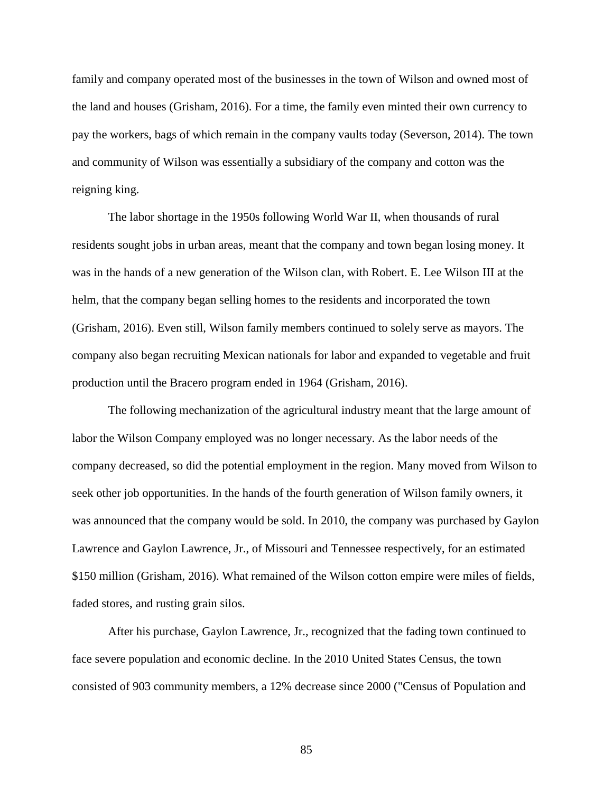family and company operated most of the businesses in the town of Wilson and owned most of the land and houses (Grisham, 2016). For a time, the family even minted their own currency to pay the workers, bags of which remain in the company vaults today (Severson, 2014). The town and community of Wilson was essentially a subsidiary of the company and cotton was the reigning king.

The labor shortage in the 1950s following World War II, when thousands of rural residents sought jobs in urban areas, meant that the company and town began losing money. It was in the hands of a new generation of the Wilson clan, with Robert. E. Lee Wilson III at the helm, that the company began selling homes to the residents and incorporated the town (Grisham, 2016). Even still, Wilson family members continued to solely serve as mayors. The company also began recruiting Mexican nationals for labor and expanded to vegetable and fruit production until the Bracero program ended in 1964 (Grisham, 2016).

The following mechanization of the agricultural industry meant that the large amount of labor the Wilson Company employed was no longer necessary. As the labor needs of the company decreased, so did the potential employment in the region. Many moved from Wilson to seek other job opportunities. In the hands of the fourth generation of Wilson family owners, it was announced that the company would be sold. In 2010, the company was purchased by Gaylon Lawrence and Gaylon Lawrence, Jr., of Missouri and Tennessee respectively, for an estimated \$150 million (Grisham, 2016). What remained of the Wilson cotton empire were miles of fields, faded stores, and rusting grain silos.

After his purchase, Gaylon Lawrence, Jr., recognized that the fading town continued to face severe population and economic decline. In the 2010 United States Census, the town consisted of 903 community members, a 12% decrease since 2000 ("Census of Population and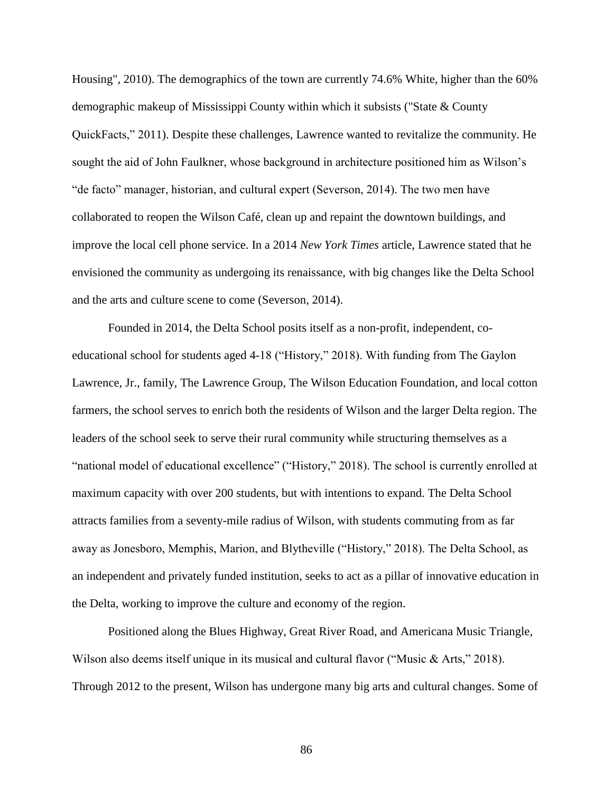Housing", 2010). The demographics of the town are currently 74.6% White, higher than the 60% demographic makeup of Mississippi County within which it subsists ("State & County QuickFacts," 2011). Despite these challenges, Lawrence wanted to revitalize the community. He sought the aid of John Faulkner, whose background in architecture positioned him as Wilson's "de facto" manager, historian, and cultural expert (Severson, 2014). The two men have collaborated to reopen the Wilson Café, clean up and repaint the downtown buildings, and improve the local cell phone service. In a 2014 *New York Times* article, Lawrence stated that he envisioned the community as undergoing its renaissance, with big changes like the Delta School and the arts and culture scene to come (Severson, 2014).

Founded in 2014, the Delta School posits itself as a non-profit, independent, coeducational school for students aged 4-18 ("History," 2018). With funding from The Gaylon Lawrence, Jr., family, The Lawrence Group, The Wilson Education Foundation, and local cotton farmers, the school serves to enrich both the residents of Wilson and the larger Delta region. The leaders of the school seek to serve their rural community while structuring themselves as a "national model of educational excellence" ("History," 2018). The school is currently enrolled at maximum capacity with over 200 students, but with intentions to expand. The Delta School attracts families from a seventy-mile radius of Wilson, with students commuting from as far away as Jonesboro, Memphis, Marion, and Blytheville ("History," 2018). The Delta School, as an independent and privately funded institution, seeks to act as a pillar of innovative education in the Delta, working to improve the culture and economy of the region.

Positioned along the Blues Highway, Great River Road, and Americana Music Triangle, Wilson also deems itself unique in its musical and cultural flavor ("Music & Arts," 2018). Through 2012 to the present, Wilson has undergone many big arts and cultural changes. Some of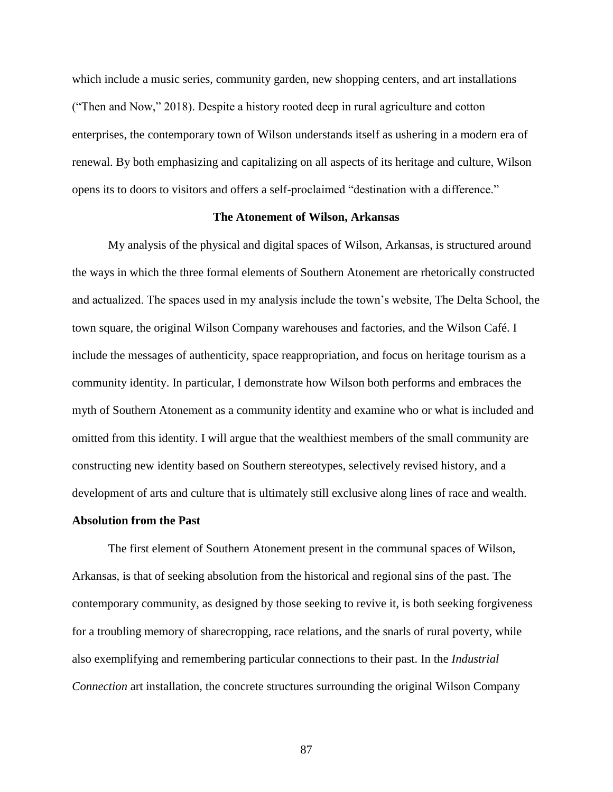which include a music series, community garden, new shopping centers, and art installations ("Then and Now," 2018). Despite a history rooted deep in rural agriculture and cotton enterprises, the contemporary town of Wilson understands itself as ushering in a modern era of renewal. By both emphasizing and capitalizing on all aspects of its heritage and culture, Wilson opens its to doors to visitors and offers a self-proclaimed "destination with a difference."

# **The Atonement of Wilson, Arkansas**

My analysis of the physical and digital spaces of Wilson, Arkansas, is structured around the ways in which the three formal elements of Southern Atonement are rhetorically constructed and actualized. The spaces used in my analysis include the town's website, The Delta School, the town square, the original Wilson Company warehouses and factories, and the Wilson Café. I include the messages of authenticity, space reappropriation, and focus on heritage tourism as a community identity. In particular, I demonstrate how Wilson both performs and embraces the myth of Southern Atonement as a community identity and examine who or what is included and omitted from this identity. I will argue that the wealthiest members of the small community are constructing new identity based on Southern stereotypes, selectively revised history, and a development of arts and culture that is ultimately still exclusive along lines of race and wealth.

## **Absolution from the Past**

The first element of Southern Atonement present in the communal spaces of Wilson, Arkansas, is that of seeking absolution from the historical and regional sins of the past. The contemporary community, as designed by those seeking to revive it, is both seeking forgiveness for a troubling memory of sharecropping, race relations, and the snarls of rural poverty, while also exemplifying and remembering particular connections to their past. In the *Industrial Connection* art installation, the concrete structures surrounding the original Wilson Company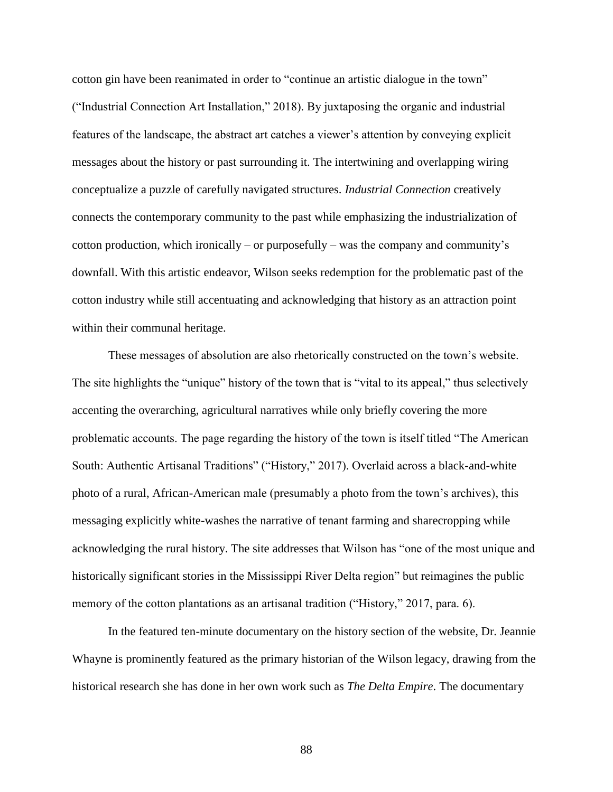cotton gin have been reanimated in order to "continue an artistic dialogue in the town" ("Industrial Connection Art Installation," 2018). By juxtaposing the organic and industrial features of the landscape, the abstract art catches a viewer's attention by conveying explicit messages about the history or past surrounding it. The intertwining and overlapping wiring conceptualize a puzzle of carefully navigated structures. *Industrial Connection* creatively connects the contemporary community to the past while emphasizing the industrialization of cotton production, which ironically – or purposefully – was the company and community's downfall. With this artistic endeavor, Wilson seeks redemption for the problematic past of the cotton industry while still accentuating and acknowledging that history as an attraction point within their communal heritage.

These messages of absolution are also rhetorically constructed on the town's website. The site highlights the "unique" history of the town that is "vital to its appeal," thus selectively accenting the overarching, agricultural narratives while only briefly covering the more problematic accounts. The page regarding the history of the town is itself titled "The American South: Authentic Artisanal Traditions" ("History," 2017). Overlaid across a black-and-white photo of a rural, African-American male (presumably a photo from the town's archives), this messaging explicitly white-washes the narrative of tenant farming and sharecropping while acknowledging the rural history. The site addresses that Wilson has "one of the most unique and historically significant stories in the Mississippi River Delta region" but reimagines the public memory of the cotton plantations as an artisanal tradition ("History," 2017, para. 6).

In the featured ten-minute documentary on the history section of the website, Dr. Jeannie Whayne is prominently featured as the primary historian of the Wilson legacy, drawing from the historical research she has done in her own work such as *The Delta Empire*. The documentary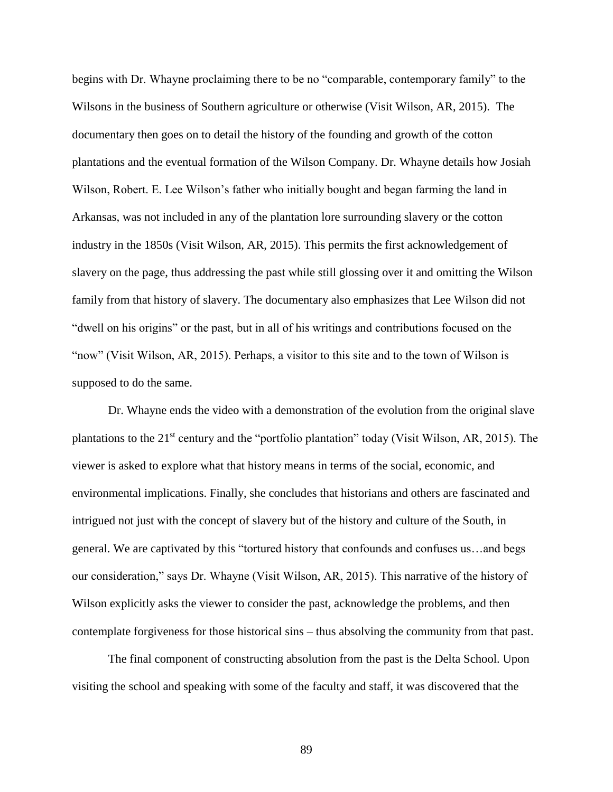begins with Dr. Whayne proclaiming there to be no "comparable, contemporary family" to the Wilsons in the business of Southern agriculture or otherwise (Visit Wilson, AR, 2015). The documentary then goes on to detail the history of the founding and growth of the cotton plantations and the eventual formation of the Wilson Company. Dr. Whayne details how Josiah Wilson, Robert. E. Lee Wilson's father who initially bought and began farming the land in Arkansas, was not included in any of the plantation lore surrounding slavery or the cotton industry in the 1850s (Visit Wilson, AR, 2015). This permits the first acknowledgement of slavery on the page, thus addressing the past while still glossing over it and omitting the Wilson family from that history of slavery. The documentary also emphasizes that Lee Wilson did not "dwell on his origins" or the past, but in all of his writings and contributions focused on the "now" (Visit Wilson, AR, 2015). Perhaps, a visitor to this site and to the town of Wilson is supposed to do the same.

Dr. Whayne ends the video with a demonstration of the evolution from the original slave plantations to the 21st century and the "portfolio plantation" today (Visit Wilson, AR, 2015). The viewer is asked to explore what that history means in terms of the social, economic, and environmental implications. Finally, she concludes that historians and others are fascinated and intrigued not just with the concept of slavery but of the history and culture of the South, in general. We are captivated by this "tortured history that confounds and confuses us…and begs our consideration," says Dr. Whayne (Visit Wilson, AR, 2015). This narrative of the history of Wilson explicitly asks the viewer to consider the past, acknowledge the problems, and then contemplate forgiveness for those historical sins – thus absolving the community from that past.

The final component of constructing absolution from the past is the Delta School. Upon visiting the school and speaking with some of the faculty and staff, it was discovered that the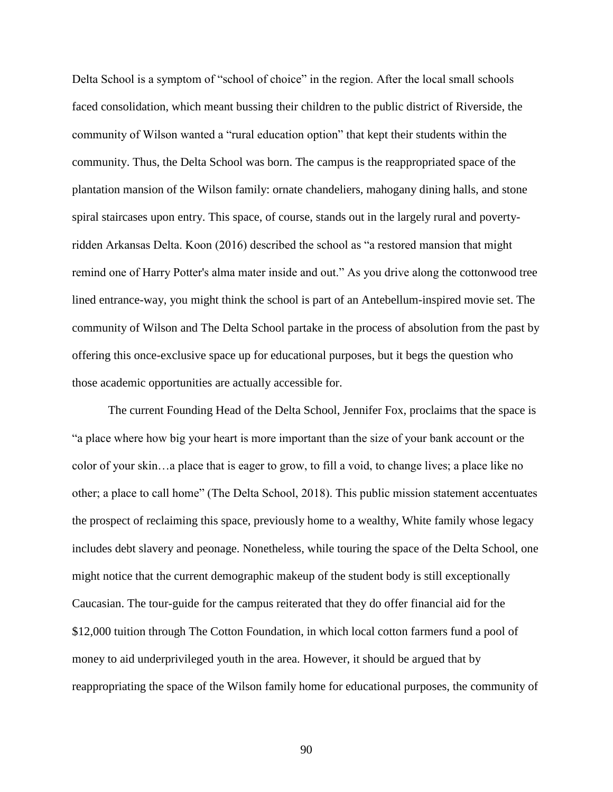Delta School is a symptom of "school of choice" in the region. After the local small schools faced consolidation, which meant bussing their children to the public district of Riverside, the community of Wilson wanted a "rural education option" that kept their students within the community. Thus, the Delta School was born. The campus is the reappropriated space of the plantation mansion of the Wilson family: ornate chandeliers, mahogany dining halls, and stone spiral staircases upon entry. This space, of course, stands out in the largely rural and povertyridden Arkansas Delta. Koon (2016) described the school as "a restored mansion that might remind one of Harry Potter's alma mater inside and out." As you drive along the cottonwood tree lined entrance-way, you might think the school is part of an Antebellum-inspired movie set. The community of Wilson and The Delta School partake in the process of absolution from the past by offering this once-exclusive space up for educational purposes, but it begs the question who those academic opportunities are actually accessible for.

The current Founding Head of the Delta School, Jennifer Fox, proclaims that the space is "a place where how big your heart is more important than the size of your bank account or the color of your skin…a place that is eager to grow, to fill a void, to change lives; a place like no other; a place to call home" (The Delta School, 2018). This public mission statement accentuates the prospect of reclaiming this space, previously home to a wealthy, White family whose legacy includes debt slavery and peonage. Nonetheless, while touring the space of the Delta School, one might notice that the current demographic makeup of the student body is still exceptionally Caucasian. The tour-guide for the campus reiterated that they do offer financial aid for the \$12,000 tuition through The Cotton Foundation, in which local cotton farmers fund a pool of money to aid underprivileged youth in the area. However, it should be argued that by reappropriating the space of the Wilson family home for educational purposes, the community of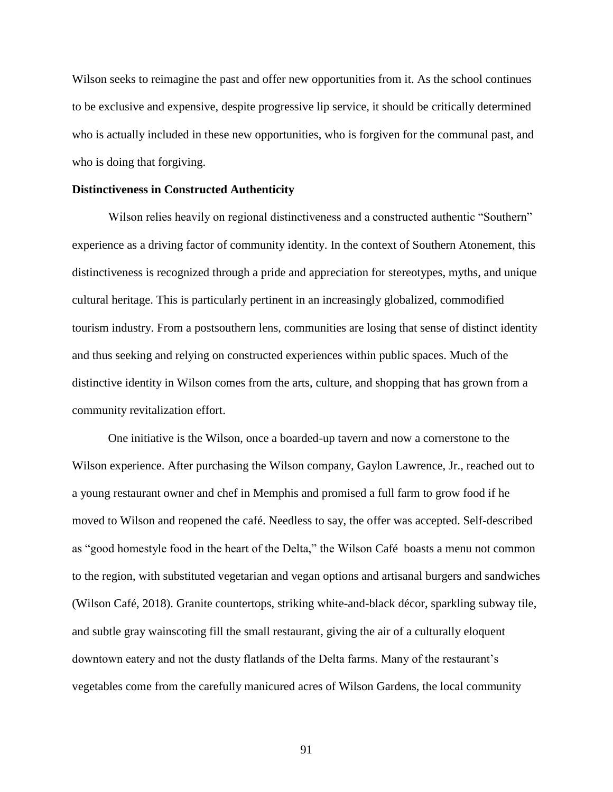Wilson seeks to reimagine the past and offer new opportunities from it. As the school continues to be exclusive and expensive, despite progressive lip service, it should be critically determined who is actually included in these new opportunities, who is forgiven for the communal past, and who is doing that forgiving.

#### **Distinctiveness in Constructed Authenticity**

Wilson relies heavily on regional distinctiveness and a constructed authentic "Southern" experience as a driving factor of community identity. In the context of Southern Atonement, this distinctiveness is recognized through a pride and appreciation for stereotypes, myths, and unique cultural heritage. This is particularly pertinent in an increasingly globalized, commodified tourism industry. From a postsouthern lens, communities are losing that sense of distinct identity and thus seeking and relying on constructed experiences within public spaces. Much of the distinctive identity in Wilson comes from the arts, culture, and shopping that has grown from a community revitalization effort.

One initiative is the Wilson, once a boarded-up tavern and now a cornerstone to the Wilson experience. After purchasing the Wilson company, Gaylon Lawrence, Jr., reached out to a young restaurant owner and chef in Memphis and promised a full farm to grow food if he moved to Wilson and reopened the café. Needless to say, the offer was accepted. Self-described as "good homestyle food in the heart of the Delta," the Wilson Café boasts a menu not common to the region, with substituted vegetarian and vegan options and artisanal burgers and sandwiches (Wilson Café, 2018). Granite countertops, striking white-and-black décor, sparkling subway tile, and subtle gray wainscoting fill the small restaurant, giving the air of a culturally eloquent downtown eatery and not the dusty flatlands of the Delta farms. Many of the restaurant's vegetables come from the carefully manicured acres of Wilson Gardens, the local community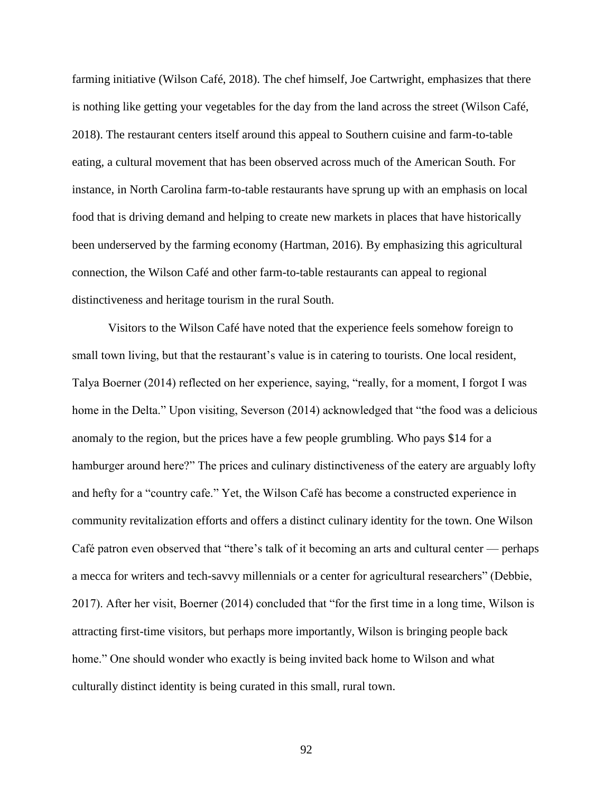farming initiative (Wilson Café, 2018). The chef himself, Joe Cartwright, emphasizes that there is nothing like getting your vegetables for the day from the land across the street (Wilson Café, 2018). The restaurant centers itself around this appeal to Southern cuisine and farm-to-table eating, a cultural movement that has been observed across much of the American South. For instance, in North Carolina farm-to-table restaurants have sprung up with an emphasis on local food that is driving demand and helping to create new markets in places that have historically been underserved by the farming economy (Hartman, 2016). By emphasizing this agricultural connection, the Wilson Café and other farm-to-table restaurants can appeal to regional distinctiveness and heritage tourism in the rural South.

Visitors to the Wilson Café have noted that the experience feels somehow foreign to small town living, but that the restaurant's value is in catering to tourists. One local resident, Talya Boerner (2014) reflected on her experience, saying, "really, for a moment, I forgot I was home in the Delta." Upon visiting, Severson (2014) acknowledged that "the food was a delicious anomaly to the region, but the prices have a few people grumbling. Who pays \$14 for a hamburger around here?" The prices and culinary distinctiveness of the eatery are arguably lofty and hefty for a "country cafe." Yet, the Wilson Café has become a constructed experience in community revitalization efforts and offers a distinct culinary identity for the town. One Wilson Café patron even observed that "there's talk of it becoming an arts and cultural center — perhaps a mecca for writers and tech-savvy millennials or a center for agricultural researchers" (Debbie, 2017). After her visit, Boerner (2014) concluded that "for the first time in a long time, Wilson is attracting first-time visitors, but perhaps more importantly, Wilson is bringing people back home." One should wonder who exactly is being invited back home to Wilson and what culturally distinct identity is being curated in this small, rural town.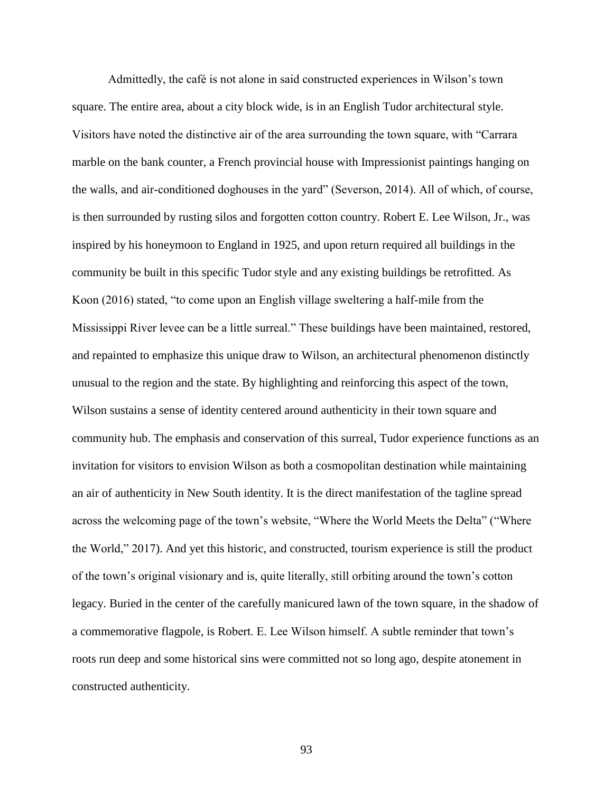Admittedly, the café is not alone in said constructed experiences in Wilson's town square. The entire area, about a city block wide, is in an English Tudor architectural style. Visitors have noted the distinctive air of the area surrounding the town square, with "Carrara marble on the bank counter, a French provincial house with Impressionist paintings hanging on the walls, and air-conditioned doghouses in the yard" (Severson, 2014). All of which, of course, is then surrounded by rusting silos and forgotten cotton country. Robert E. Lee Wilson, Jr., was inspired by his honeymoon to England in 1925, and upon return required all buildings in the community be built in this specific Tudor style and any existing buildings be retrofitted. As Koon (2016) stated, "to come upon an English village sweltering a half-mile from the Mississippi River levee can be a little surreal." These buildings have been maintained, restored, and repainted to emphasize this unique draw to Wilson, an architectural phenomenon distinctly unusual to the region and the state. By highlighting and reinforcing this aspect of the town, Wilson sustains a sense of identity centered around authenticity in their town square and community hub. The emphasis and conservation of this surreal, Tudor experience functions as an invitation for visitors to envision Wilson as both a cosmopolitan destination while maintaining an air of authenticity in New South identity. It is the direct manifestation of the tagline spread across the welcoming page of the town's website, "Where the World Meets the Delta" ("Where the World," 2017). And yet this historic, and constructed, tourism experience is still the product of the town's original visionary and is, quite literally, still orbiting around the town's cotton legacy. Buried in the center of the carefully manicured lawn of the town square, in the shadow of a commemorative flagpole, is Robert. E. Lee Wilson himself. A subtle reminder that town's roots run deep and some historical sins were committed not so long ago, despite atonement in constructed authenticity.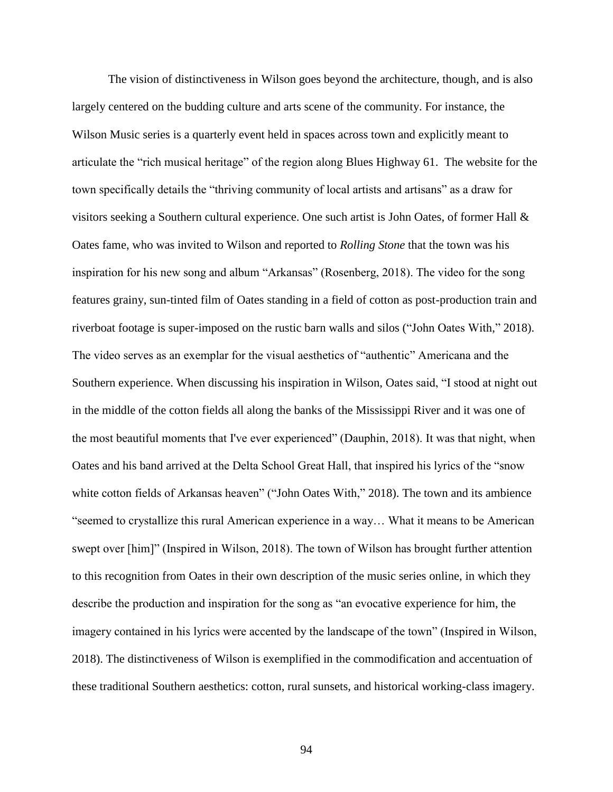The vision of distinctiveness in Wilson goes beyond the architecture, though, and is also largely centered on the budding culture and arts scene of the community. For instance, the Wilson Music series is a quarterly event held in spaces across town and explicitly meant to articulate the "rich musical heritage" of the region along Blues Highway 61. The website for the town specifically details the "thriving community of local artists and artisans" as a draw for visitors seeking a Southern cultural experience. One such artist is John Oates, of former Hall & Oates fame, who was invited to Wilson and reported to *Rolling Stone* that the town was his inspiration for his new song and album "Arkansas" (Rosenberg, 2018). The video for the song features grainy, sun-tinted film of Oates standing in a field of cotton as post-production train and riverboat footage is super-imposed on the rustic barn walls and silos ("John Oates With," 2018). The video serves as an exemplar for the visual aesthetics of "authentic" Americana and the Southern experience. When discussing his inspiration in Wilson, Oates said, "I stood at night out in the middle of the cotton fields all along the banks of the Mississippi River and it was one of the most beautiful moments that I've ever experienced" (Dauphin, 2018). It was that night, when Oates and his band arrived at the Delta School Great Hall, that inspired his lyrics of the "snow white cotton fields of Arkansas heaven" ("John Oates With," 2018). The town and its ambience "seemed to crystallize this rural American experience in a way… What it means to be American swept over [him]" (Inspired in Wilson, 2018). The town of Wilson has brought further attention to this recognition from Oates in their own description of the music series online, in which they describe the production and inspiration for the song as "an evocative experience for him, the imagery contained in his lyrics were accented by the landscape of the town" (Inspired in Wilson, 2018). The distinctiveness of Wilson is exemplified in the commodification and accentuation of these traditional Southern aesthetics: cotton, rural sunsets, and historical working-class imagery.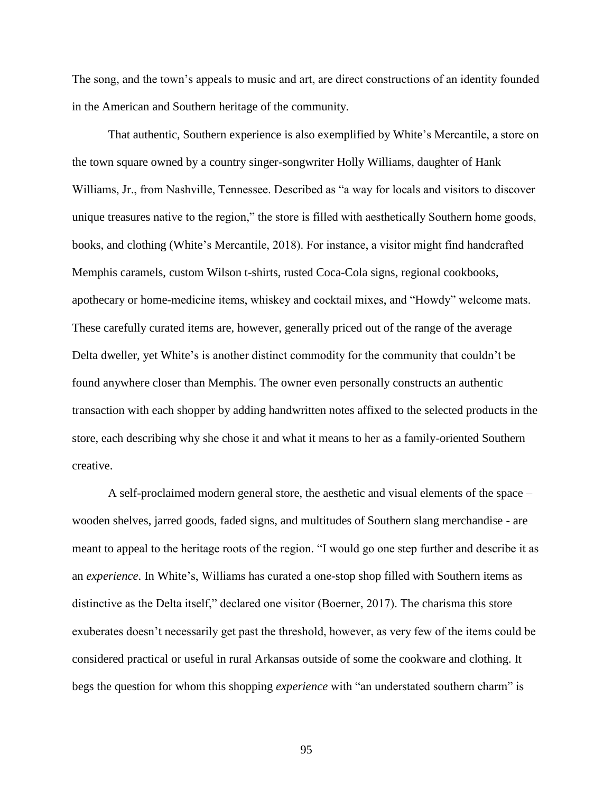The song, and the town's appeals to music and art, are direct constructions of an identity founded in the American and Southern heritage of the community.

That authentic, Southern experience is also exemplified by White's Mercantile, a store on the town square owned by a country singer-songwriter Holly Williams, daughter of Hank Williams, Jr., from Nashville, Tennessee. Described as "a way for locals and visitors to discover unique treasures native to the region," the store is filled with aesthetically Southern home goods, books, and clothing (White's Mercantile, 2018). For instance, a visitor might find handcrafted Memphis caramels, custom Wilson t-shirts, rusted Coca-Cola signs, regional cookbooks, apothecary or home-medicine items, whiskey and cocktail mixes, and "Howdy" welcome mats. These carefully curated items are, however, generally priced out of the range of the average Delta dweller, yet White's is another distinct commodity for the community that couldn't be found anywhere closer than Memphis. The owner even personally constructs an authentic transaction with each shopper by adding handwritten notes affixed to the selected products in the store, each describing why she chose it and what it means to her as a family-oriented Southern creative.

A self-proclaimed modern general store, the aesthetic and visual elements of the space – wooden shelves, jarred goods, faded signs, and multitudes of Southern slang merchandise - are meant to appeal to the heritage roots of the region. "I would go one step further and describe it as an *experience*. In White's, Williams has curated a one-stop shop filled with Southern items as distinctive as the Delta itself," declared one visitor (Boerner, 2017). The charisma this store exuberates doesn't necessarily get past the threshold, however, as very few of the items could be considered practical or useful in rural Arkansas outside of some the cookware and clothing. It begs the question for whom this shopping *experience* with "an understated southern charm" is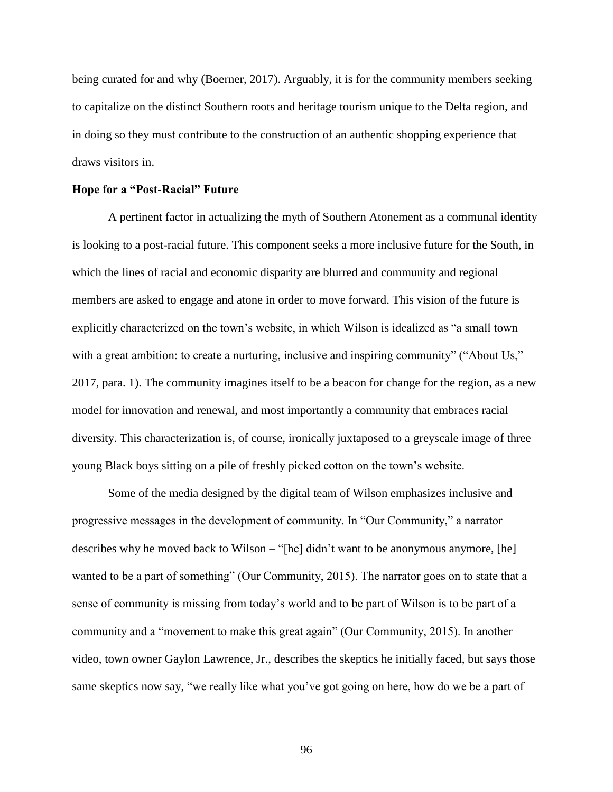being curated for and why (Boerner, 2017). Arguably, it is for the community members seeking to capitalize on the distinct Southern roots and heritage tourism unique to the Delta region, and in doing so they must contribute to the construction of an authentic shopping experience that draws visitors in.

# **Hope for a "Post-Racial" Future**

A pertinent factor in actualizing the myth of Southern Atonement as a communal identity is looking to a post-racial future. This component seeks a more inclusive future for the South, in which the lines of racial and economic disparity are blurred and community and regional members are asked to engage and atone in order to move forward. This vision of the future is explicitly characterized on the town's website, in which Wilson is idealized as "a small town with a great ambition: to create a nurturing, inclusive and inspiring community" ("About Us," 2017, para. 1). The community imagines itself to be a beacon for change for the region, as a new model for innovation and renewal, and most importantly a community that embraces racial diversity. This characterization is, of course, ironically juxtaposed to a greyscale image of three young Black boys sitting on a pile of freshly picked cotton on the town's website.

Some of the media designed by the digital team of Wilson emphasizes inclusive and progressive messages in the development of community. In "Our Community," a narrator describes why he moved back to Wilson – "[he] didn't want to be anonymous anymore, [he] wanted to be a part of something" (Our Community, 2015). The narrator goes on to state that a sense of community is missing from today's world and to be part of Wilson is to be part of a community and a "movement to make this great again" (Our Community, 2015). In another video, town owner Gaylon Lawrence, Jr., describes the skeptics he initially faced, but says those same skeptics now say, "we really like what you've got going on here, how do we be a part of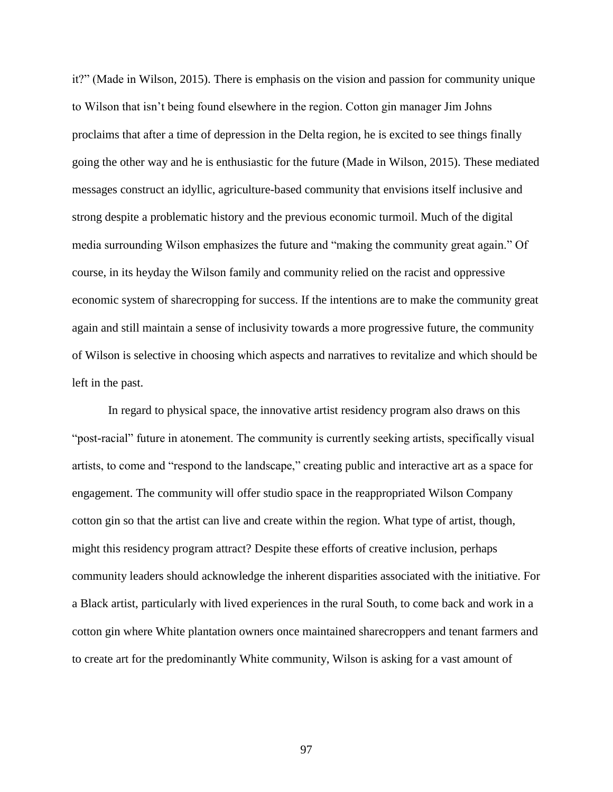it?" (Made in Wilson, 2015). There is emphasis on the vision and passion for community unique to Wilson that isn't being found elsewhere in the region. Cotton gin manager Jim Johns proclaims that after a time of depression in the Delta region, he is excited to see things finally going the other way and he is enthusiastic for the future (Made in Wilson, 2015). These mediated messages construct an idyllic, agriculture-based community that envisions itself inclusive and strong despite a problematic history and the previous economic turmoil. Much of the digital media surrounding Wilson emphasizes the future and "making the community great again." Of course, in its heyday the Wilson family and community relied on the racist and oppressive economic system of sharecropping for success. If the intentions are to make the community great again and still maintain a sense of inclusivity towards a more progressive future, the community of Wilson is selective in choosing which aspects and narratives to revitalize and which should be left in the past.

In regard to physical space, the innovative artist residency program also draws on this "post-racial" future in atonement. The community is currently seeking artists, specifically visual artists, to come and "respond to the landscape," creating public and interactive art as a space for engagement. The community will offer studio space in the reappropriated Wilson Company cotton gin so that the artist can live and create within the region. What type of artist, though, might this residency program attract? Despite these efforts of creative inclusion, perhaps community leaders should acknowledge the inherent disparities associated with the initiative. For a Black artist, particularly with lived experiences in the rural South, to come back and work in a cotton gin where White plantation owners once maintained sharecroppers and tenant farmers and to create art for the predominantly White community, Wilson is asking for a vast amount of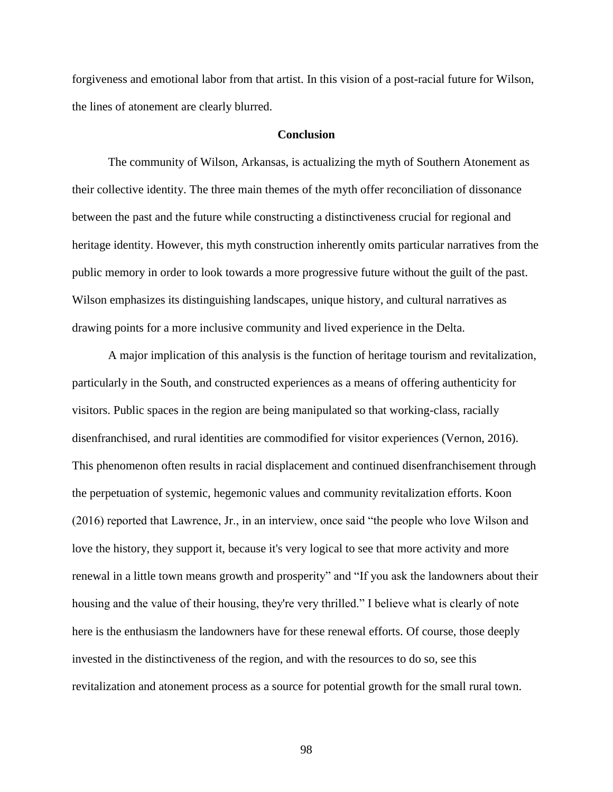forgiveness and emotional labor from that artist. In this vision of a post-racial future for Wilson, the lines of atonement are clearly blurred.

# **Conclusion**

The community of Wilson, Arkansas, is actualizing the myth of Southern Atonement as their collective identity. The three main themes of the myth offer reconciliation of dissonance between the past and the future while constructing a distinctiveness crucial for regional and heritage identity. However, this myth construction inherently omits particular narratives from the public memory in order to look towards a more progressive future without the guilt of the past. Wilson emphasizes its distinguishing landscapes, unique history, and cultural narratives as drawing points for a more inclusive community and lived experience in the Delta.

A major implication of this analysis is the function of heritage tourism and revitalization, particularly in the South, and constructed experiences as a means of offering authenticity for visitors. Public spaces in the region are being manipulated so that working-class, racially disenfranchised, and rural identities are commodified for visitor experiences (Vernon, 2016). This phenomenon often results in racial displacement and continued disenfranchisement through the perpetuation of systemic, hegemonic values and community revitalization efforts. Koon (2016) reported that Lawrence, Jr., in an interview, once said "the people who love Wilson and love the history, they support it, because it's very logical to see that more activity and more renewal in a little town means growth and prosperity" and "If you ask the landowners about their housing and the value of their housing, they're very thrilled." I believe what is clearly of note here is the enthusiasm the landowners have for these renewal efforts. Of course, those deeply invested in the distinctiveness of the region, and with the resources to do so, see this revitalization and atonement process as a source for potential growth for the small rural town.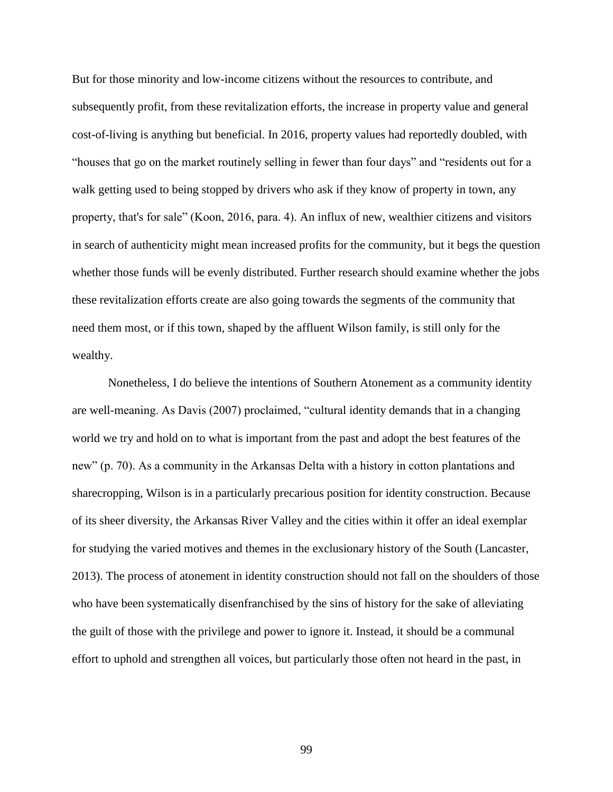But for those minority and low-income citizens without the resources to contribute, and subsequently profit, from these revitalization efforts, the increase in property value and general cost-of-living is anything but beneficial. In 2016, property values had reportedly doubled, with "houses that go on the market routinely selling in fewer than four days" and "residents out for a walk getting used to being stopped by drivers who ask if they know of property in town, any property, that's for sale" (Koon, 2016, para. 4). An influx of new, wealthier citizens and visitors in search of authenticity might mean increased profits for the community, but it begs the question whether those funds will be evenly distributed. Further research should examine whether the jobs these revitalization efforts create are also going towards the segments of the community that need them most, or if this town, shaped by the affluent Wilson family, is still only for the wealthy.

Nonetheless, I do believe the intentions of Southern Atonement as a community identity are well-meaning. As Davis (2007) proclaimed, "cultural identity demands that in a changing world we try and hold on to what is important from the past and adopt the best features of the new" (p. 70). As a community in the Arkansas Delta with a history in cotton plantations and sharecropping, Wilson is in a particularly precarious position for identity construction. Because of its sheer diversity, the Arkansas River Valley and the cities within it offer an ideal exemplar for studying the varied motives and themes in the exclusionary history of the South (Lancaster, 2013). The process of atonement in identity construction should not fall on the shoulders of those who have been systematically disenfranchised by the sins of history for the sake of alleviating the guilt of those with the privilege and power to ignore it. Instead, it should be a communal effort to uphold and strengthen all voices, but particularly those often not heard in the past, in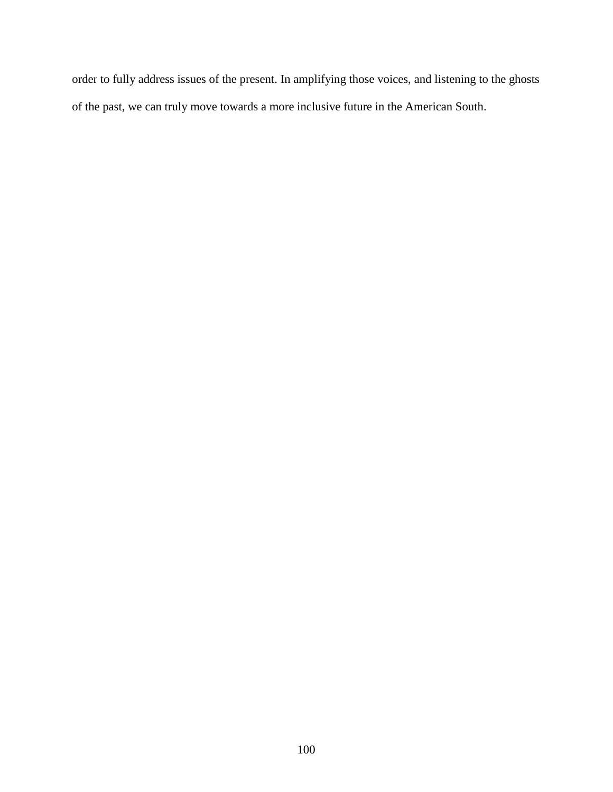order to fully address issues of the present. In amplifying those voices, and listening to the ghosts of the past, we can truly move towards a more inclusive future in the American South.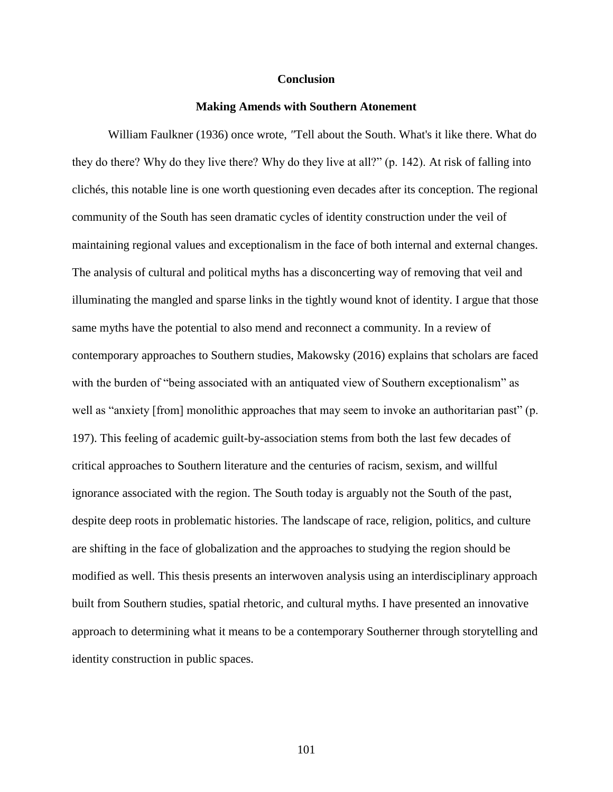### **Conclusion**

### **Making Amends with Southern Atonement**

William Faulkner (1936) once wrote, *"*Tell about the South. What's it like there. What do they do there? Why do they live there? Why do they live at all?" (p. 142). At risk of falling into clichés, this notable line is one worth questioning even decades after its conception. The regional community of the South has seen dramatic cycles of identity construction under the veil of maintaining regional values and exceptionalism in the face of both internal and external changes. The analysis of cultural and political myths has a disconcerting way of removing that veil and illuminating the mangled and sparse links in the tightly wound knot of identity. I argue that those same myths have the potential to also mend and reconnect a community. In a review of contemporary approaches to Southern studies, Makowsky (2016) explains that scholars are faced with the burden of "being associated with an antiquated view of Southern exceptionalism" as well as "anxiety [from] monolithic approaches that may seem to invoke an authoritarian past" (p. 197). This feeling of academic guilt-by-association stems from both the last few decades of critical approaches to Southern literature and the centuries of racism, sexism, and willful ignorance associated with the region. The South today is arguably not the South of the past, despite deep roots in problematic histories. The landscape of race, religion, politics, and culture are shifting in the face of globalization and the approaches to studying the region should be modified as well. This thesis presents an interwoven analysis using an interdisciplinary approach built from Southern studies, spatial rhetoric, and cultural myths. I have presented an innovative approach to determining what it means to be a contemporary Southerner through storytelling and identity construction in public spaces.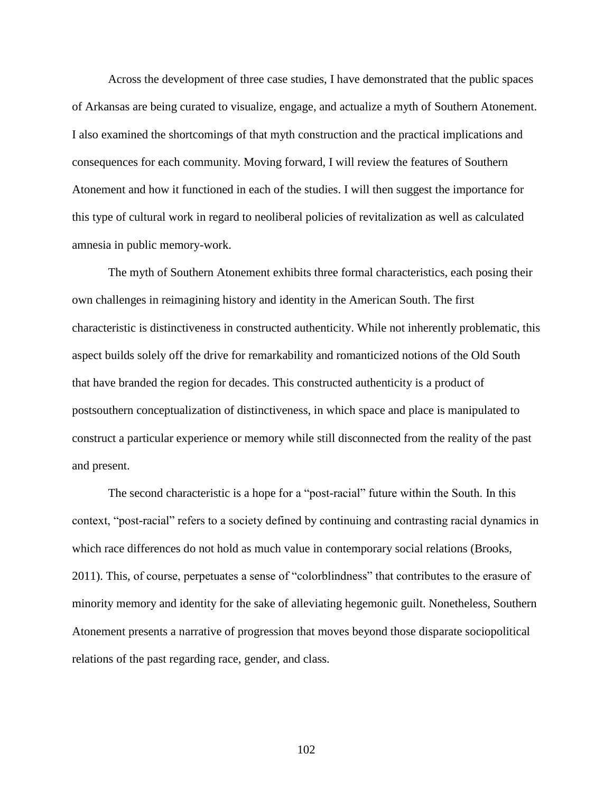Across the development of three case studies, I have demonstrated that the public spaces of Arkansas are being curated to visualize, engage, and actualize a myth of Southern Atonement. I also examined the shortcomings of that myth construction and the practical implications and consequences for each community. Moving forward, I will review the features of Southern Atonement and how it functioned in each of the studies. I will then suggest the importance for this type of cultural work in regard to neoliberal policies of revitalization as well as calculated amnesia in public memory-work.

The myth of Southern Atonement exhibits three formal characteristics, each posing their own challenges in reimagining history and identity in the American South. The first characteristic is distinctiveness in constructed authenticity. While not inherently problematic, this aspect builds solely off the drive for remarkability and romanticized notions of the Old South that have branded the region for decades. This constructed authenticity is a product of postsouthern conceptualization of distinctiveness, in which space and place is manipulated to construct a particular experience or memory while still disconnected from the reality of the past and present.

The second characteristic is a hope for a "post-racial" future within the South. In this context, "post-racial" refers to a society defined by continuing and contrasting racial dynamics in which race differences do not hold as much value in contemporary social relations (Brooks, 2011). This, of course, perpetuates a sense of "colorblindness" that contributes to the erasure of minority memory and identity for the sake of alleviating hegemonic guilt. Nonetheless, Southern Atonement presents a narrative of progression that moves beyond those disparate sociopolitical relations of the past regarding race, gender, and class.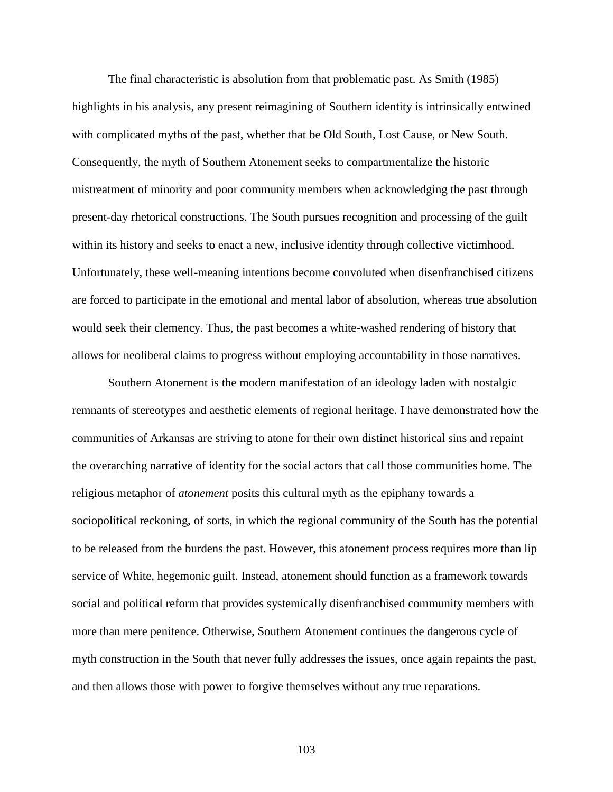The final characteristic is absolution from that problematic past. As Smith (1985) highlights in his analysis, any present reimagining of Southern identity is intrinsically entwined with complicated myths of the past, whether that be Old South, Lost Cause, or New South. Consequently, the myth of Southern Atonement seeks to compartmentalize the historic mistreatment of minority and poor community members when acknowledging the past through present-day rhetorical constructions. The South pursues recognition and processing of the guilt within its history and seeks to enact a new, inclusive identity through collective victimhood. Unfortunately, these well-meaning intentions become convoluted when disenfranchised citizens are forced to participate in the emotional and mental labor of absolution, whereas true absolution would seek their clemency. Thus, the past becomes a white-washed rendering of history that allows for neoliberal claims to progress without employing accountability in those narratives.

Southern Atonement is the modern manifestation of an ideology laden with nostalgic remnants of stereotypes and aesthetic elements of regional heritage. I have demonstrated how the communities of Arkansas are striving to atone for their own distinct historical sins and repaint the overarching narrative of identity for the social actors that call those communities home. The religious metaphor of *atonement* posits this cultural myth as the epiphany towards a sociopolitical reckoning, of sorts, in which the regional community of the South has the potential to be released from the burdens the past. However, this atonement process requires more than lip service of White, hegemonic guilt. Instead, atonement should function as a framework towards social and political reform that provides systemically disenfranchised community members with more than mere penitence. Otherwise, Southern Atonement continues the dangerous cycle of myth construction in the South that never fully addresses the issues, once again repaints the past, and then allows those with power to forgive themselves without any true reparations.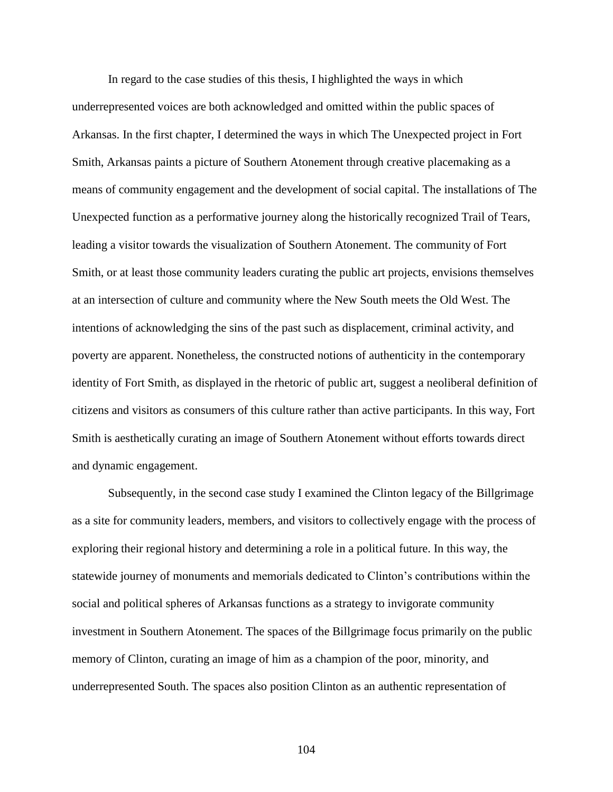In regard to the case studies of this thesis, I highlighted the ways in which underrepresented voices are both acknowledged and omitted within the public spaces of Arkansas. In the first chapter, I determined the ways in which The Unexpected project in Fort Smith, Arkansas paints a picture of Southern Atonement through creative placemaking as a means of community engagement and the development of social capital. The installations of The Unexpected function as a performative journey along the historically recognized Trail of Tears, leading a visitor towards the visualization of Southern Atonement. The community of Fort Smith, or at least those community leaders curating the public art projects, envisions themselves at an intersection of culture and community where the New South meets the Old West. The intentions of acknowledging the sins of the past such as displacement, criminal activity, and poverty are apparent. Nonetheless, the constructed notions of authenticity in the contemporary identity of Fort Smith, as displayed in the rhetoric of public art, suggest a neoliberal definition of citizens and visitors as consumers of this culture rather than active participants. In this way, Fort Smith is aesthetically curating an image of Southern Atonement without efforts towards direct and dynamic engagement.

Subsequently, in the second case study I examined the Clinton legacy of the Billgrimage as a site for community leaders, members, and visitors to collectively engage with the process of exploring their regional history and determining a role in a political future. In this way, the statewide journey of monuments and memorials dedicated to Clinton's contributions within the social and political spheres of Arkansas functions as a strategy to invigorate community investment in Southern Atonement. The spaces of the Billgrimage focus primarily on the public memory of Clinton, curating an image of him as a champion of the poor, minority, and underrepresented South. The spaces also position Clinton as an authentic representation of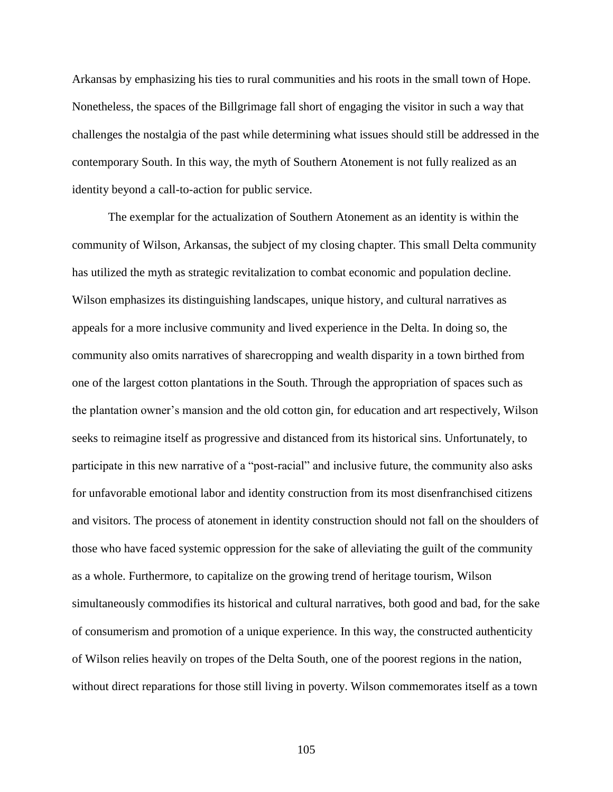Arkansas by emphasizing his ties to rural communities and his roots in the small town of Hope. Nonetheless, the spaces of the Billgrimage fall short of engaging the visitor in such a way that challenges the nostalgia of the past while determining what issues should still be addressed in the contemporary South. In this way, the myth of Southern Atonement is not fully realized as an identity beyond a call-to-action for public service.

The exemplar for the actualization of Southern Atonement as an identity is within the community of Wilson, Arkansas, the subject of my closing chapter. This small Delta community has utilized the myth as strategic revitalization to combat economic and population decline. Wilson emphasizes its distinguishing landscapes, unique history, and cultural narratives as appeals for a more inclusive community and lived experience in the Delta. In doing so, the community also omits narratives of sharecropping and wealth disparity in a town birthed from one of the largest cotton plantations in the South. Through the appropriation of spaces such as the plantation owner's mansion and the old cotton gin, for education and art respectively, Wilson seeks to reimagine itself as progressive and distanced from its historical sins. Unfortunately, to participate in this new narrative of a "post-racial" and inclusive future, the community also asks for unfavorable emotional labor and identity construction from its most disenfranchised citizens and visitors. The process of atonement in identity construction should not fall on the shoulders of those who have faced systemic oppression for the sake of alleviating the guilt of the community as a whole. Furthermore, to capitalize on the growing trend of heritage tourism, Wilson simultaneously commodifies its historical and cultural narratives, both good and bad, for the sake of consumerism and promotion of a unique experience. In this way, the constructed authenticity of Wilson relies heavily on tropes of the Delta South, one of the poorest regions in the nation, without direct reparations for those still living in poverty. Wilson commemorates itself as a town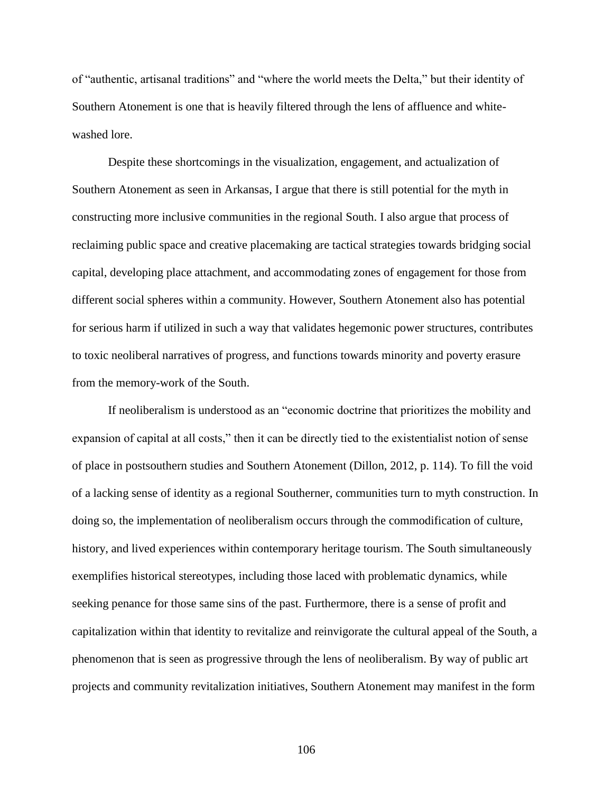of "authentic, artisanal traditions" and "where the world meets the Delta," but their identity of Southern Atonement is one that is heavily filtered through the lens of affluence and whitewashed lore.

Despite these shortcomings in the visualization, engagement, and actualization of Southern Atonement as seen in Arkansas, I argue that there is still potential for the myth in constructing more inclusive communities in the regional South. I also argue that process of reclaiming public space and creative placemaking are tactical strategies towards bridging social capital, developing place attachment, and accommodating zones of engagement for those from different social spheres within a community. However, Southern Atonement also has potential for serious harm if utilized in such a way that validates hegemonic power structures, contributes to toxic neoliberal narratives of progress, and functions towards minority and poverty erasure from the memory-work of the South.

If neoliberalism is understood as an "economic doctrine that prioritizes the mobility and expansion of capital at all costs," then it can be directly tied to the existentialist notion of sense of place in postsouthern studies and Southern Atonement (Dillon, 2012, p. 114). To fill the void of a lacking sense of identity as a regional Southerner, communities turn to myth construction. In doing so, the implementation of neoliberalism occurs through the commodification of culture, history, and lived experiences within contemporary heritage tourism. The South simultaneously exemplifies historical stereotypes, including those laced with problematic dynamics, while seeking penance for those same sins of the past. Furthermore, there is a sense of profit and capitalization within that identity to revitalize and reinvigorate the cultural appeal of the South, a phenomenon that is seen as progressive through the lens of neoliberalism. By way of public art projects and community revitalization initiatives, Southern Atonement may manifest in the form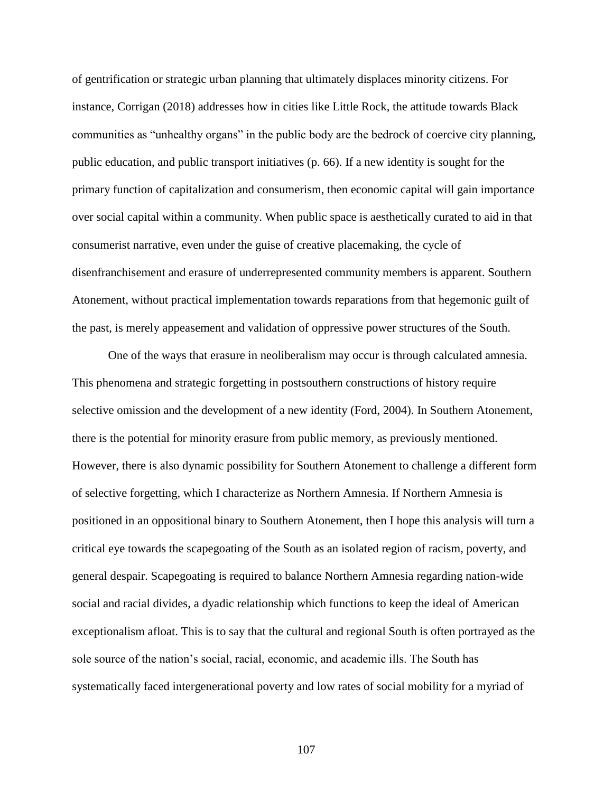of gentrification or strategic urban planning that ultimately displaces minority citizens. For instance, Corrigan (2018) addresses how in cities like Little Rock, the attitude towards Black communities as "unhealthy organs" in the public body are the bedrock of coercive city planning, public education, and public transport initiatives (p. 66). If a new identity is sought for the primary function of capitalization and consumerism, then economic capital will gain importance over social capital within a community. When public space is aesthetically curated to aid in that consumerist narrative, even under the guise of creative placemaking, the cycle of disenfranchisement and erasure of underrepresented community members is apparent. Southern Atonement, without practical implementation towards reparations from that hegemonic guilt of the past, is merely appeasement and validation of oppressive power structures of the South.

One of the ways that erasure in neoliberalism may occur is through calculated amnesia. This phenomena and strategic forgetting in postsouthern constructions of history require selective omission and the development of a new identity (Ford, 2004). In Southern Atonement, there is the potential for minority erasure from public memory, as previously mentioned. However, there is also dynamic possibility for Southern Atonement to challenge a different form of selective forgetting, which I characterize as Northern Amnesia. If Northern Amnesia is positioned in an oppositional binary to Southern Atonement, then I hope this analysis will turn a critical eye towards the scapegoating of the South as an isolated region of racism, poverty, and general despair. Scapegoating is required to balance Northern Amnesia regarding nation-wide social and racial divides, a dyadic relationship which functions to keep the ideal of American exceptionalism afloat. This is to say that the cultural and regional South is often portrayed as the sole source of the nation's social, racial, economic, and academic ills. The South has systematically faced intergenerational poverty and low rates of social mobility for a myriad of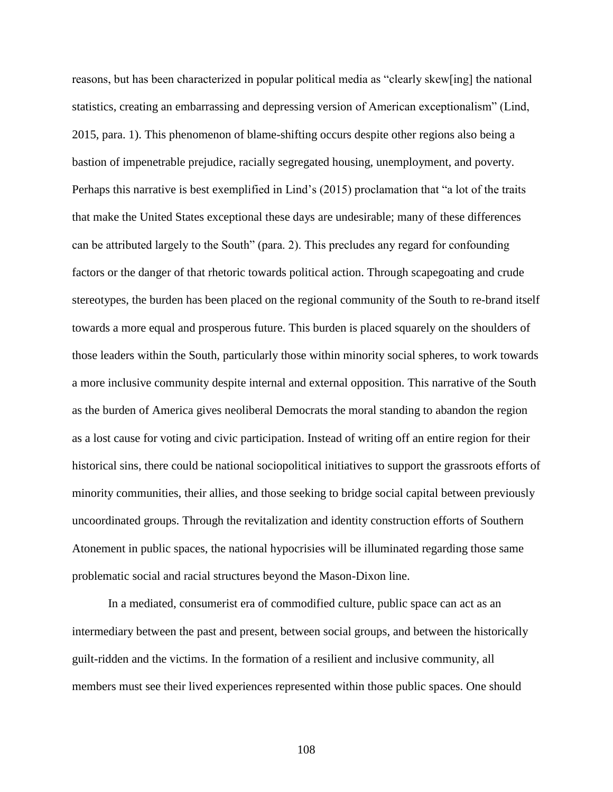reasons, but has been characterized in popular political media as "clearly skew[ing] the national statistics, creating an embarrassing and depressing version of American exceptionalism" (Lind, 2015, para. 1). This phenomenon of blame-shifting occurs despite other regions also being a bastion of impenetrable prejudice, racially segregated housing, unemployment, and poverty. Perhaps this narrative is best exemplified in Lind's (2015) proclamation that "a lot of the traits that make the United States exceptional these days are undesirable; many of these differences can be attributed largely to the South" (para. 2). This precludes any regard for confounding factors or the danger of that rhetoric towards political action. Through scapegoating and crude stereotypes, the burden has been placed on the regional community of the South to re-brand itself towards a more equal and prosperous future. This burden is placed squarely on the shoulders of those leaders within the South, particularly those within minority social spheres, to work towards a more inclusive community despite internal and external opposition. This narrative of the South as the burden of America gives neoliberal Democrats the moral standing to abandon the region as a lost cause for voting and civic participation. Instead of writing off an entire region for their historical sins, there could be national sociopolitical initiatives to support the grassroots efforts of minority communities, their allies, and those seeking to bridge social capital between previously uncoordinated groups. Through the revitalization and identity construction efforts of Southern Atonement in public spaces, the national hypocrisies will be illuminated regarding those same problematic social and racial structures beyond the Mason-Dixon line.

In a mediated, consumerist era of commodified culture, public space can act as an intermediary between the past and present, between social groups, and between the historically guilt-ridden and the victims. In the formation of a resilient and inclusive community, all members must see their lived experiences represented within those public spaces. One should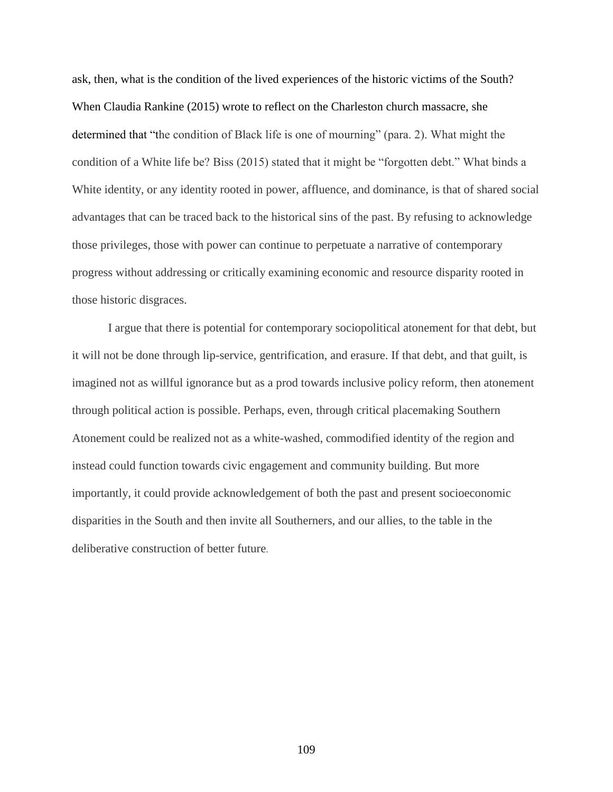ask, then, what is the condition of the lived experiences of the historic victims of the South? When Claudia Rankine (2015) wrote to reflect on the Charleston church massacre, she determined that "the condition of Black life is one of mourning" (para. 2). What might the condition of a White life be? Biss (2015) stated that it might be "forgotten debt." What binds a White identity, or any identity rooted in power, affluence, and dominance, is that of shared social advantages that can be traced back to the historical sins of the past. By refusing to acknowledge those privileges, those with power can continue to perpetuate a narrative of contemporary progress without addressing or critically examining economic and resource disparity rooted in those historic disgraces.

I argue that there is potential for contemporary sociopolitical atonement for that debt, but it will not be done through lip-service, gentrification, and erasure. If that debt, and that guilt, is imagined not as willful ignorance but as a prod towards inclusive policy reform, then atonement through political action is possible. Perhaps, even, through critical placemaking Southern Atonement could be realized not as a white-washed, commodified identity of the region and instead could function towards civic engagement and community building. But more importantly, it could provide acknowledgement of both the past and present socioeconomic disparities in the South and then invite all Southerners, and our allies, to the table in the deliberative construction of better future.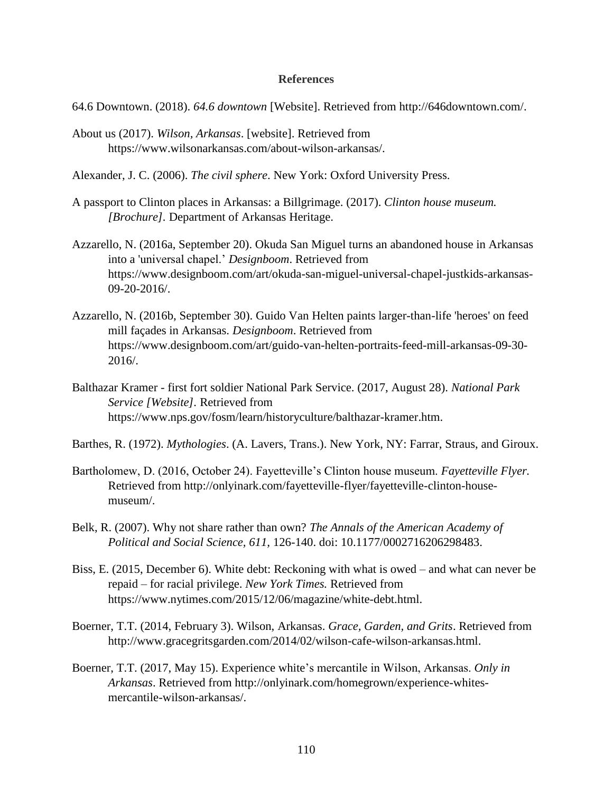## **References**

- 64.6 Downtown. (2018). *64.6 downtown* [Website]. Retrieved from http://646downtown.com/.
- About us (2017). *Wilson, Arkansas*. [website]. Retrieved from https://www.wilsonarkansas.com/about-wilson-arkansas/.
- Alexander, J. C. (2006). *The civil sphere*. New York: Oxford University Press.
- A passport to Clinton places in Arkansas: a Billgrimage. (2017). *Clinton house museum. [Brochure].* Department of Arkansas Heritage.
- Azzarello, N. (2016a, September 20). Okuda San Miguel turns an abandoned house in Arkansas into a 'universal chapel.' *Designboom*. Retrieved from https://www.designboom.com/art/okuda-san-miguel-universal-chapel-justkids-arkansas-09-20-2016/.
- Azzarello, N. (2016b, September 30). Guido Van Helten paints larger-than-life 'heroes' on feed mill façades in Arkansas. *Designboom*. Retrieved from https://www.designboom.com/art/guido-van-helten-portraits-feed-mill-arkansas-09-30- 2016/.
- Balthazar Kramer first fort soldier National Park Service. (2017, August 28). *National Park Service [Website].* Retrieved from https://www.nps.gov/fosm/learn/historyculture/balthazar-kramer.htm.
- Barthes, R. (1972). *Mythologies*. (A. Lavers, Trans.). New York, NY: Farrar, Straus, and Giroux.
- Bartholomew, D. (2016, October 24). Fayetteville's Clinton house museum. *Fayetteville Flyer.* Retrieved from http://onlyinark.com/fayetteville-flyer/fayetteville-clinton-housemuseum/.
- Belk, R. (2007). Why not share rather than own? *The Annals of the American Academy of Political and Social Science, 611,* 126-140. doi: 10.1177/0002716206298483.
- Biss, E. (2015, December 6). White debt: Reckoning with what is owed and what can never be repaid – for racial privilege. *New York Times.* Retrieved from https://www.nytimes.com/2015/12/06/magazine/white-debt.html.
- Boerner, T.T. (2014, February 3). Wilson, Arkansas. *Grace, Garden, and Grits*. Retrieved from http://www.gracegritsgarden.com/2014/02/wilson-cafe-wilson-arkansas.html.
- Boerner, T.T. (2017, May 15). Experience white's mercantile in Wilson, Arkansas. *Only in Arkansas*. Retrieved from http://onlyinark.com/homegrown/experience-whitesmercantile-wilson-arkansas/.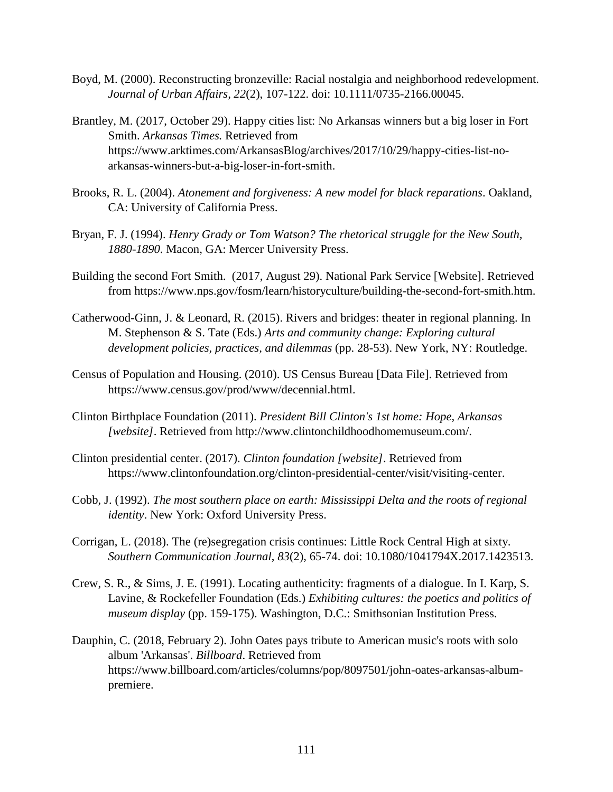- Boyd, M. (2000). Reconstructing bronzeville: Racial nostalgia and neighborhood redevelopment. *Journal of Urban Affairs, 22*(2), 107-122. doi: 10.1111/0735-2166.00045.
- Brantley, M. (2017, October 29). Happy cities list: No Arkansas winners but a big loser in Fort Smith. *Arkansas Times.* Retrieved from https://www.arktimes.com/ArkansasBlog/archives/2017/10/29/happy-cities-list-noarkansas-winners-but-a-big-loser-in-fort-smith.
- Brooks, R. L. (2004). *Atonement and forgiveness: A new model for black reparations*. Oakland, CA: University of California Press.
- Bryan, F. J. (1994). *Henry Grady or Tom Watson? The rhetorical struggle for the New South, 1880-1890*. Macon, GA: Mercer University Press.
- Building the second Fort Smith. (2017, August 29). National Park Service [Website]. Retrieved from https://www.nps.gov/fosm/learn/historyculture/building-the-second-fort-smith.htm.
- Catherwood-Ginn, J. & Leonard, R. (2015). Rivers and bridges: theater in regional planning. In M. Stephenson & S. Tate (Eds.) *Arts and community change: Exploring cultural development policies, practices, and dilemmas* (pp. 28-53). New York, NY: Routledge.
- Census of Population and Housing. (2010). US Census Bureau [Data File]. Retrieved from https://www.census.gov/prod/www/decennial.html.
- Clinton Birthplace Foundation (2011). *President Bill Clinton's 1st home: Hope, Arkansas [website]*. Retrieved from http://www.clintonchildhoodhomemuseum.com/.
- Clinton presidential center. (2017). *Clinton foundation [website]*. Retrieved from https://www.clintonfoundation.org/clinton-presidential-center/visit/visiting-center.
- Cobb, J. (1992). *The most southern place on earth: Mississippi Delta and the roots of regional identity*. New York: Oxford University Press.
- Corrigan, L. (2018). The (re)segregation crisis continues: Little Rock Central High at sixty. *Southern Communication Journal*, *83*(2), 65-74. doi: 10.1080/1041794X.2017.1423513.
- Crew, S. R., & Sims, J. E. (1991). Locating authenticity: fragments of a dialogue. In I. Karp, S. Lavine, & Rockefeller Foundation (Eds.) *Exhibiting cultures: the poetics and politics of museum display* (pp. 159-175). Washington, D.C.: Smithsonian Institution Press.
- Dauphin, C. (2018, February 2). John Oates pays tribute to American music's roots with solo album 'Arkansas'. *Billboard*. Retrieved from https://www.billboard.com/articles/columns/pop/8097501/john-oates-arkansas-albumpremiere.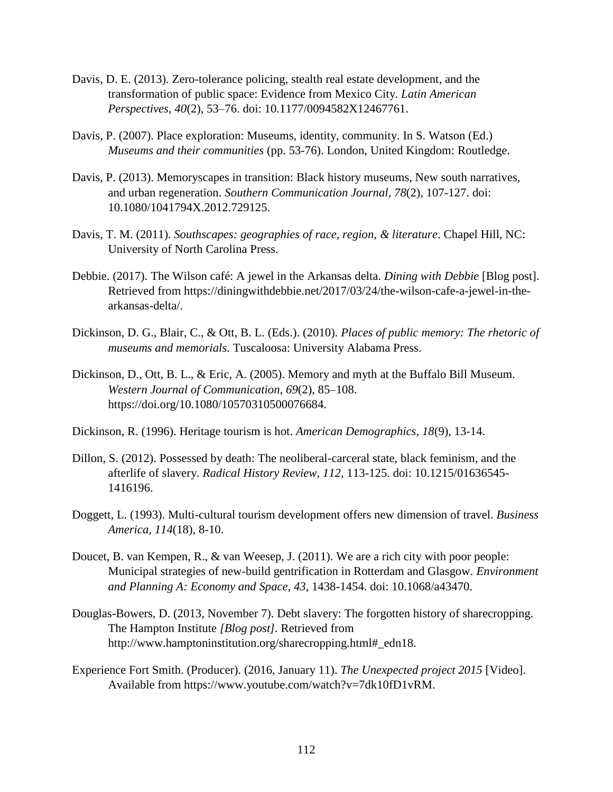- Davis, D. E. (2013). Zero-tolerance policing, stealth real estate development, and the transformation of public space: Evidence from Mexico City. *Latin American Perspectives*, *40*(2), 53–76. doi: 10.1177/0094582X12467761.
- Davis, P. (2007). Place exploration: Museums, identity, community. In S. Watson (Ed.) *Museums and their communities* (pp. 53-76). London, United Kingdom: Routledge.
- Davis, P. (2013). Memoryscapes in transition: Black history museums, New south narratives, and urban regeneration. *Southern Communication Journal, 78*(2), 107-127. doi: 10.1080/1041794X.2012.729125.
- Davis, T. M. (2011). *Southscapes: geographies of race, region, & literature*. Chapel Hill, NC: University of North Carolina Press.
- Debbie. (2017). The Wilson café: A jewel in the Arkansas delta. *Dining with Debbie* [Blog post]. Retrieved from https://diningwithdebbie.net/2017/03/24/the-wilson-cafe-a-jewel-in-thearkansas-delta/.
- Dickinson, D. G., Blair, C., & Ott, B. L. (Eds.). (2010). *Places of public memory: The rhetoric of museums and memorials*. Tuscaloosa: University Alabama Press.
- Dickinson, D., Ott, B. L., & Eric, A. (2005). Memory and myth at the Buffalo Bill Museum. *Western Journal of Communication*, *69*(2), 85–108. https://doi.org/10.1080/10570310500076684.
- Dickinson, R. (1996). Heritage tourism is hot. *American Demographics, 18*(9), 13-14.
- Dillon, S. (2012). Possessed by death: The neoliberal-carceral state, black feminism, and the afterlife of slavery. *Radical History Review, 112*, 113-125. doi: 10.1215/01636545- 1416196.
- Doggett, L. (1993). Multi-cultural tourism development offers new dimension of travel. *Business America, 114*(18), 8-10.
- Doucet, B. van Kempen, R., & van Weesep, J. (2011). We are a rich city with poor people: Municipal strategies of new-build gentrification in Rotterdam and Glasgow. *Environment and Planning A: Economy and Space, 43,* 1438-1454. doi: 10.1068/a43470.
- Douglas-Bowers, D. (2013, November 7). Debt slavery: The forgotten history of sharecropping. The Hampton Institute *[Blog post].* Retrieved from http://www.hamptoninstitution.org/sharecropping.html#\_edn18.
- Experience Fort Smith. (Producer). (2016, January 11). *The Unexpected project 2015* [Video]. Available from https://www.youtube.com/watch?v=7dk10fD1vRM.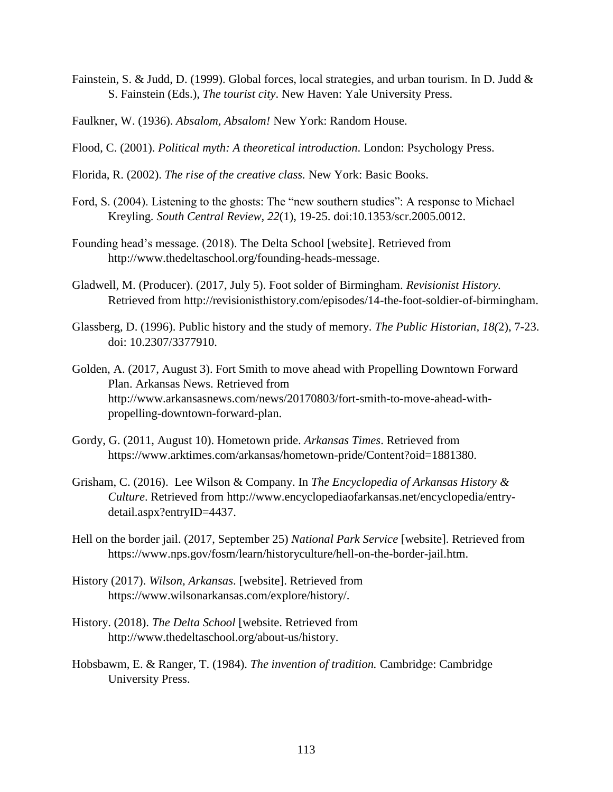- Fainstein, S. & Judd, D. (1999). Global forces, local strategies, and urban tourism. In D. Judd & S. Fainstein (Eds.), *The tourist city*. New Haven: Yale University Press.
- Faulkner, W. (1936). *Absalom, Absalom!* New York: Random House.
- Flood, C. (2001). *Political myth: A theoretical introduction*. London: Psychology Press.
- Florida, R. (2002). *The rise of the creative class.* New York: Basic Books.
- Ford, S. (2004). Listening to the ghosts: The "new southern studies": A response to Michael Kreyling. *South Central Review, 22*(1), 19-25. doi:10.1353/scr.2005.0012.
- Founding head's message. (2018). The Delta School [website]. Retrieved from http://www.thedeltaschool.org/founding-heads-message.
- Gladwell, M. (Producer). (2017, July 5). Foot solder of Birmingham. *Revisionist History.* Retrieved from http://revisionisthistory.com/episodes/14-the-foot-soldier-of-birmingham.
- Glassberg, D. (1996). Public history and the study of memory. *The Public Historian, 18(*2), 7-23. doi: 10.2307/3377910.
- Golden, A. (2017, August 3). Fort Smith to move ahead with Propelling Downtown Forward Plan. Arkansas News. Retrieved from http://www.arkansasnews.com/news/20170803/fort-smith-to-move-ahead-withpropelling-downtown-forward-plan.
- Gordy, G. (2011, August 10). Hometown pride. *Arkansas Times*. Retrieved from https://www.arktimes.com/arkansas/hometown-pride/Content?oid=1881380.
- Grisham, C. (2016). Lee Wilson & Company. In *The Encyclopedia of Arkansas History & Culture*. Retrieved from http://www.encyclopediaofarkansas.net/encyclopedia/entrydetail.aspx?entryID=4437.
- Hell on the border jail. (2017, September 25) *National Park Service* [website]. Retrieved from https://www.nps.gov/fosm/learn/historyculture/hell-on-the-border-jail.htm.
- History (2017). *Wilson, Arkansas*. [website]. Retrieved from https://www.wilsonarkansas.com/explore/history/.
- History. (2018). *The Delta School* [website. Retrieved from http://www.thedeltaschool.org/about-us/history.
- Hobsbawm, E. & Ranger, T. (1984). *The invention of tradition.* Cambridge: Cambridge University Press.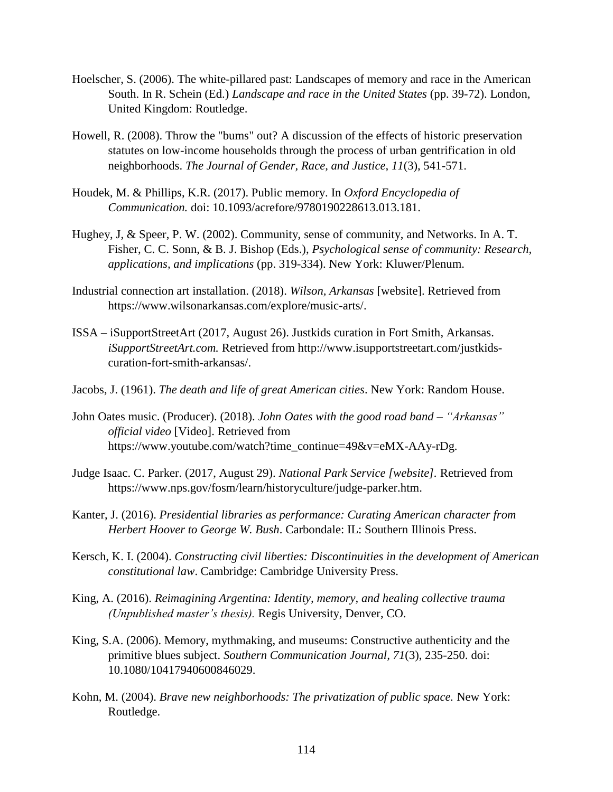- Hoelscher, S. (2006). The white-pillared past: Landscapes of memory and race in the American South. In R. Schein (Ed.) *Landscape and race in the United States* (pp. 39-72). London, United Kingdom: Routledge.
- Howell, R. (2008). Throw the "bums" out? A discussion of the effects of historic preservation statutes on low-income households through the process of urban gentrification in old neighborhoods. *The Journal of Gender, Race, and Justice, 11*(3), 541-571.
- Houdek, M. & Phillips, K.R. (2017). Public memory. In *Oxford Encyclopedia of Communication.* doi: 10.1093/acrefore/9780190228613.013.181.
- Hughey, J, & Speer, P. W. (2002). Community, sense of community, and Networks. In A. T. Fisher, C. C. Sonn, & B. J. Bishop (Eds.), *Psychological sense of community: Research, applications, and implications* (pp. 319-334). New York: Kluwer/Plenum.
- Industrial connection art installation. (2018). *Wilson, Arkansas* [website]. Retrieved from https://www.wilsonarkansas.com/explore/music-arts/.
- ISSA iSupportStreetArt (2017, August 26). Justkids curation in Fort Smith, Arkansas. *iSupportStreetArt.com.* Retrieved from http://www.isupportstreetart.com/justkidscuration-fort-smith-arkansas/.
- Jacobs, J. (1961). *The death and life of great American cities*. New York: Random House.
- John Oates music. (Producer). (2018). *John Oates with the good road band – "Arkansas" official video* [Video]. Retrieved from https://www.youtube.com/watch?time\_continue=49&v=eMX-AAy-rDg.
- Judge Isaac. C. Parker. (2017, August 29). *National Park Service [website].* Retrieved from https://www.nps.gov/fosm/learn/historyculture/judge-parker.htm.
- Kanter, J. (2016). *Presidential libraries as performance: Curating American character from Herbert Hoover to George W. Bush*. Carbondale: IL: Southern Illinois Press.
- Kersch, K. I. (2004). *Constructing civil liberties: Discontinuities in the development of American constitutional law*. Cambridge: Cambridge University Press.
- King, A. (2016). *Reimagining Argentina: Identity, memory, and healing collective trauma (Unpublished master's thesis).* Regis University, Denver, CO.
- King, S.A. (2006). Memory, mythmaking, and museums: Constructive authenticity and the primitive blues subject. *Southern Communication Journal, 71*(3), 235-250. doi: 10.1080/10417940600846029.
- Kohn, M. (2004). *Brave new neighborhoods: The privatization of public space.* New York: Routledge.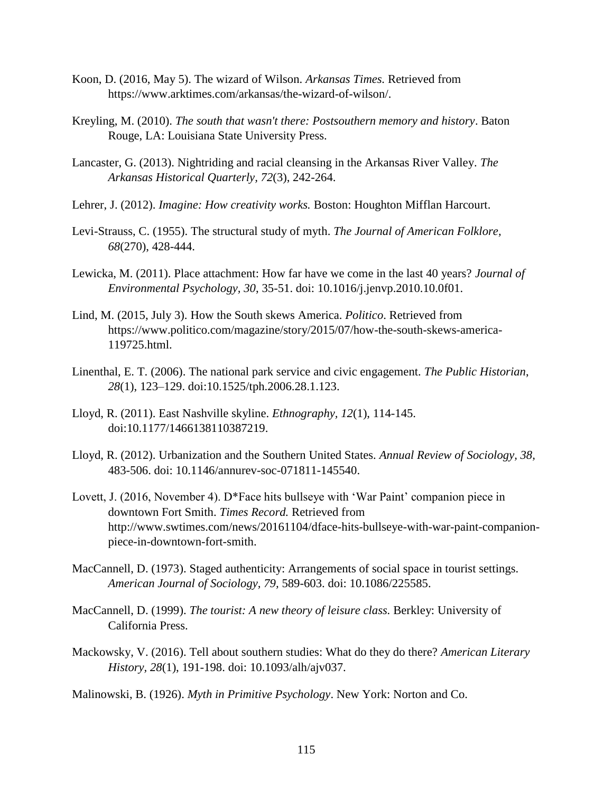- Koon, D. (2016, May 5). The wizard of Wilson. *Arkansas Times.* Retrieved from https://www.arktimes.com/arkansas/the-wizard-of-wilson/.
- Kreyling, M. (2010). *The south that wasn't there: Postsouthern memory and history*. Baton Rouge, LA: Louisiana State University Press.
- Lancaster, G. (2013). Nightriding and racial cleansing in the Arkansas River Valley. *The Arkansas Historical Quarterly, 72*(3), 242-264.
- Lehrer, J. (2012). *Imagine: How creativity works.* Boston: Houghton Mifflan Harcourt.
- Levi-Strauss, C. (1955). The structural study of myth. *The Journal of American Folklore, 68*(270), 428-444.
- Lewicka, M. (2011). Place attachment: How far have we come in the last 40 years? *Journal of Environmental Psychology, 30*, 35-51. doi: 10.1016/j.jenvp.2010.10.0f01.
- Lind, M. (2015, July 3). How the South skews America. *Politico*. Retrieved from https://www.politico.com/magazine/story/2015/07/how-the-south-skews-america-119725.html.
- Linenthal, E. T. (2006). The national park service and civic engagement. *The Public Historian*, *28*(1), 123–129. doi:10.1525/tph.2006.28.1.123.
- Lloyd, R. (2011). East Nashville skyline. *Ethnography, 12*(1), 114-145. doi:10.1177/1466138110387219.
- Lloyd, R. (2012). Urbanization and the Southern United States. *Annual Review of Sociology, 38,* 483-506. doi: 10.1146/annurev-soc-071811-145540.
- Lovett, J. (2016, November 4). D<sup>\*</sup>Face hits bullseye with 'War Paint' companion piece in downtown Fort Smith. *Times Record.* Retrieved from http://www.swtimes.com/news/20161104/dface-hits-bullseye-with-war-paint-companionpiece-in-downtown-fort-smith.
- MacCannell, D. (1973). Staged authenticity: Arrangements of social space in tourist settings. *American Journal of Sociology, 79,* 589-603. doi: 10.1086/225585.
- MacCannell, D. (1999). *The tourist: A new theory of leisure class.* Berkley: University of California Press.
- Mackowsky, V. (2016). Tell about southern studies: What do they do there? *American Literary History, 28*(1), 191-198. doi: 10.1093/alh/ajv037.
- Malinowski, B. (1926). *Myth in Primitive Psychology*. New York: Norton and Co.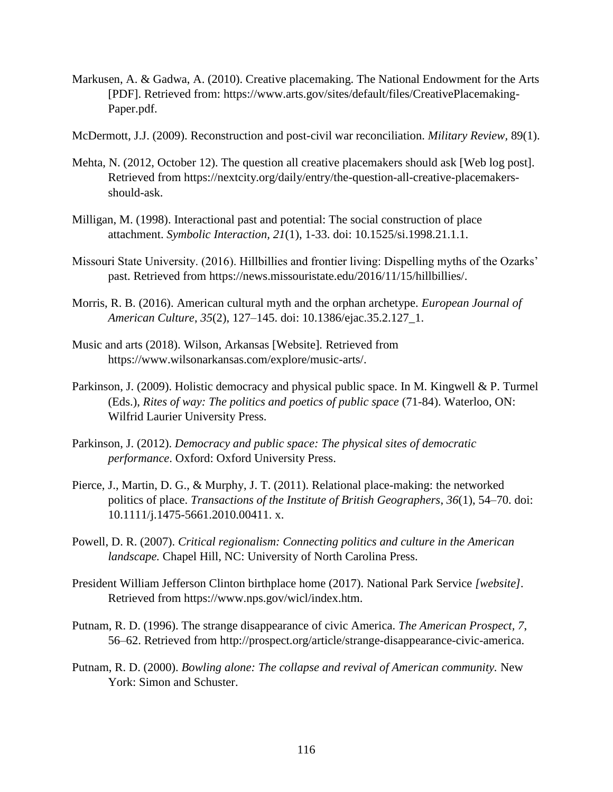- Markusen, A. & Gadwa, A. (2010). Creative placemaking. The National Endowment for the Arts [PDF]. Retrieved from: https://www.arts.gov/sites/default/files/CreativePlacemaking-Paper.pdf.
- McDermott, J.J. (2009). Reconstruction and post-civil war reconciliation. *Military Review,* 89(1).
- Mehta, N. (2012, October 12). The question all creative placemakers should ask [Web log post]. Retrieved from https://nextcity.org/daily/entry/the-question-all-creative-placemakersshould-ask.
- Milligan, M. (1998). Interactional past and potential: The social construction of place attachment. *Symbolic Interaction, 21*(1), 1-33. doi: 10.1525/si.1998.21.1.1.
- Missouri State University. (2016). Hillbillies and frontier living: Dispelling myths of the Ozarks' past. Retrieved from https://news.missouristate.edu/2016/11/15/hillbillies/.
- Morris, R. B. (2016). American cultural myth and the orphan archetype. *European Journal of American Culture*, *35*(2), 127–145. doi: 10.1386/ejac.35.2.127\_1.
- Music and arts (2018). Wilson, Arkansas [Website]*.* Retrieved from https://www.wilsonarkansas.com/explore/music-arts/.
- Parkinson, J. (2009). Holistic democracy and physical public space. In M. Kingwell & P. Turmel (Eds.), *Rites of way: The politics and poetics of public space* (71-84). Waterloo, ON: Wilfrid Laurier University Press.
- Parkinson, J. (2012). *Democracy and public space: The physical sites of democratic performance*. Oxford: Oxford University Press.
- Pierce, J., Martin, D. G., & Murphy, J. T. (2011). Relational place-making: the networked politics of place. *Transactions of the Institute of British Geographers*, *36*(1), 54–70. doi: 10.1111/j.1475-5661.2010.00411. x.
- Powell, D. R. (2007). *Critical regionalism: Connecting politics and culture in the American landscape.* Chapel Hill, NC: University of North Carolina Press.
- President William Jefferson Clinton birthplace home (2017). National Park Service *[website].* Retrieved from https://www.nps.gov/wicl/index.htm.
- Putnam, R. D. (1996). The strange disappearance of civic America. *The American Prospect, 7*, 56–62. Retrieved from http://prospect.org/article/strange-disappearance-civic-america.
- Putnam, R. D. (2000). *Bowling alone: The collapse and revival of American community.* New York: Simon and Schuster.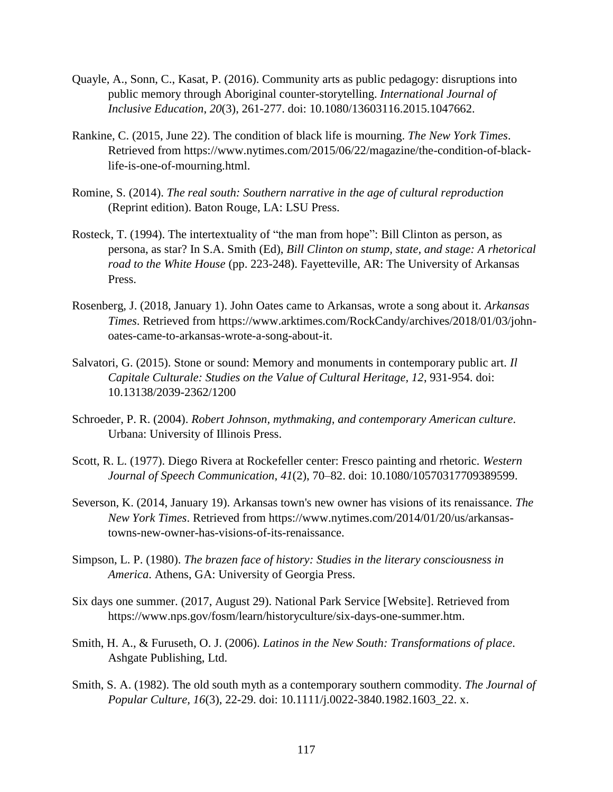- Quayle, A., Sonn, C., Kasat, P. (2016). Community arts as public pedagogy: disruptions into public memory through Aboriginal counter-storytelling. *International Journal of Inclusive Education*, *20*(3), 261-277. doi: 10.1080/13603116.2015.1047662.
- Rankine, C. (2015, June 22). The condition of black life is mourning. *The New York Times*. Retrieved from https://www.nytimes.com/2015/06/22/magazine/the-condition-of-blacklife-is-one-of-mourning.html.
- Romine, S. (2014). *The real south: Southern narrative in the age of cultural reproduction* (Reprint edition). Baton Rouge, LA: LSU Press.
- Rosteck, T. (1994). The intertextuality of "the man from hope": Bill Clinton as person, as persona, as star? In S.A. Smith (Ed), *Bill Clinton on stump, state, and stage: A rhetorical road to the White House* (pp. 223-248). Fayetteville, AR: The University of Arkansas Press.
- Rosenberg, J. (2018, January 1). John Oates came to Arkansas, wrote a song about it. *Arkansas Times*. Retrieved from https://www.arktimes.com/RockCandy/archives/2018/01/03/johnoates-came-to-arkansas-wrote-a-song-about-it.
- Salvatori, G. (2015). Stone or sound: Memory and monuments in contemporary public art. *Il Capitale Culturale: Studies on the Value of Cultural Heritage, 12*, 931-954. doi: 10.13138/2039-2362/1200
- Schroeder, P. R. (2004). *Robert Johnson, mythmaking, and contemporary American culture*. Urbana: University of Illinois Press.
- Scott, R. L. (1977). Diego Rivera at Rockefeller center: Fresco painting and rhetoric. *Western Journal of Speech Communication*, *41*(2), 70–82. doi: 10.1080/10570317709389599.
- Severson, K. (2014, January 19). Arkansas town's new owner has visions of its renaissance. *The New York Times*. Retrieved from https://www.nytimes.com/2014/01/20/us/arkansastowns-new-owner-has-visions-of-its-renaissance.
- Simpson, L. P. (1980). *The brazen face of history: Studies in the literary consciousness in America*. Athens, GA: University of Georgia Press.
- Six days one summer. (2017, August 29). National Park Service [Website]. Retrieved from https://www.nps.gov/fosm/learn/historyculture/six-days-one-summer.htm.
- Smith, H. A., & Furuseth, O. J. (2006). *Latinos in the New South: Transformations of place*. Ashgate Publishing, Ltd.
- Smith, S. A. (1982). The old south myth as a contemporary southern commodity. *The Journal of Popular Culture, 16*(3), 22-29. doi: 10.1111/j.0022-3840.1982.1603\_22. x.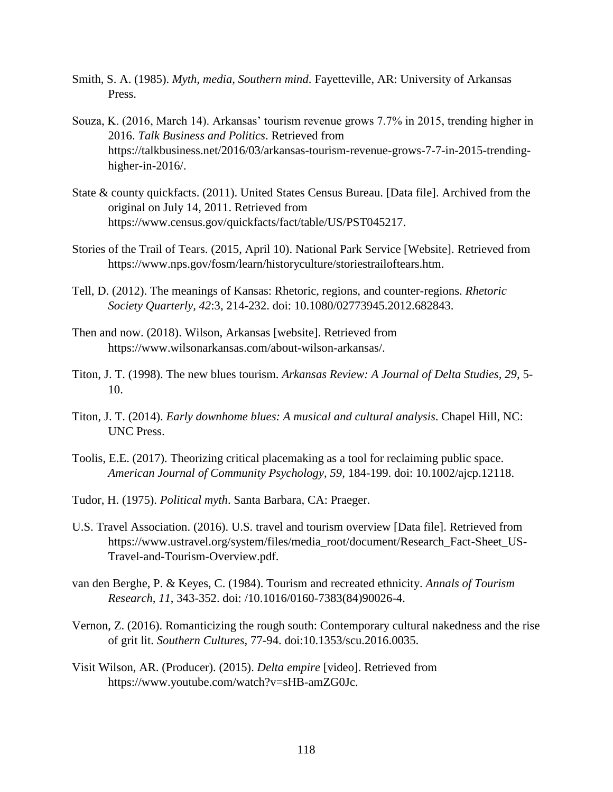- Smith, S. A. (1985). *Myth, media, Southern mind*. Fayetteville, AR: University of Arkansas Press.
- Souza, K. (2016, March 14). Arkansas' tourism revenue grows 7.7% in 2015, trending higher in 2016. *Talk Business and Politics*. Retrieved from https://talkbusiness.net/2016/03/arkansas-tourism-revenue-grows-7-7-in-2015-trendinghigher-in-2016/.
- State & county quickfacts. (2011). United States Census Bureau. [Data file]. Archived from the original on July 14, 2011. Retrieved from https://www.census.gov/quickfacts/fact/table/US/PST045217.
- Stories of the Trail of Tears. (2015, April 10). National Park Service [Website]. Retrieved from https://www.nps.gov/fosm/learn/historyculture/storiestrailoftears.htm.
- Tell, D. (2012). The meanings of Kansas: Rhetoric, regions, and counter-regions. *Rhetoric Society Quarterly, 42*:3, 214-232. doi: 10.1080/02773945.2012.682843.
- Then and now. (2018). Wilson, Arkansas [website]. Retrieved from https://www.wilsonarkansas.com/about-wilson-arkansas/.
- Titon, J. T. (1998). The new blues tourism. *Arkansas Review: A Journal of Delta Studies, 29*, 5- 10.
- Titon, J. T. (2014). *Early downhome blues: A musical and cultural analysis*. Chapel Hill, NC: UNC Press.
- Toolis, E.E. (2017). Theorizing critical placemaking as a tool for reclaiming public space. *American Journal of Community Psychology, 59,* 184-199. doi: 10.1002/ajcp.12118.
- Tudor, H. (1975). *Political myth*. Santa Barbara, CA: Praeger.
- U.S. Travel Association. (2016). U.S. travel and tourism overview [Data file]. Retrieved from https://www.ustravel.org/system/files/media\_root/document/Research\_Fact-Sheet\_US-Travel-and-Tourism-Overview.pdf.
- van den Berghe, P. & Keyes, C. (1984). Tourism and recreated ethnicity. *Annals of Tourism Research, 11*, 343-352. doi: /10.1016/0160-7383(84)90026-4.
- Vernon, Z. (2016). Romanticizing the rough south: Contemporary cultural nakedness and the rise of grit lit. *Southern Cultures,* 77-94. doi:10.1353/scu.2016.0035.
- Visit Wilson, AR. (Producer). (2015). *Delta empire* [video]. Retrieved from https://www.youtube.com/watch?v=sHB-amZG0Jc.